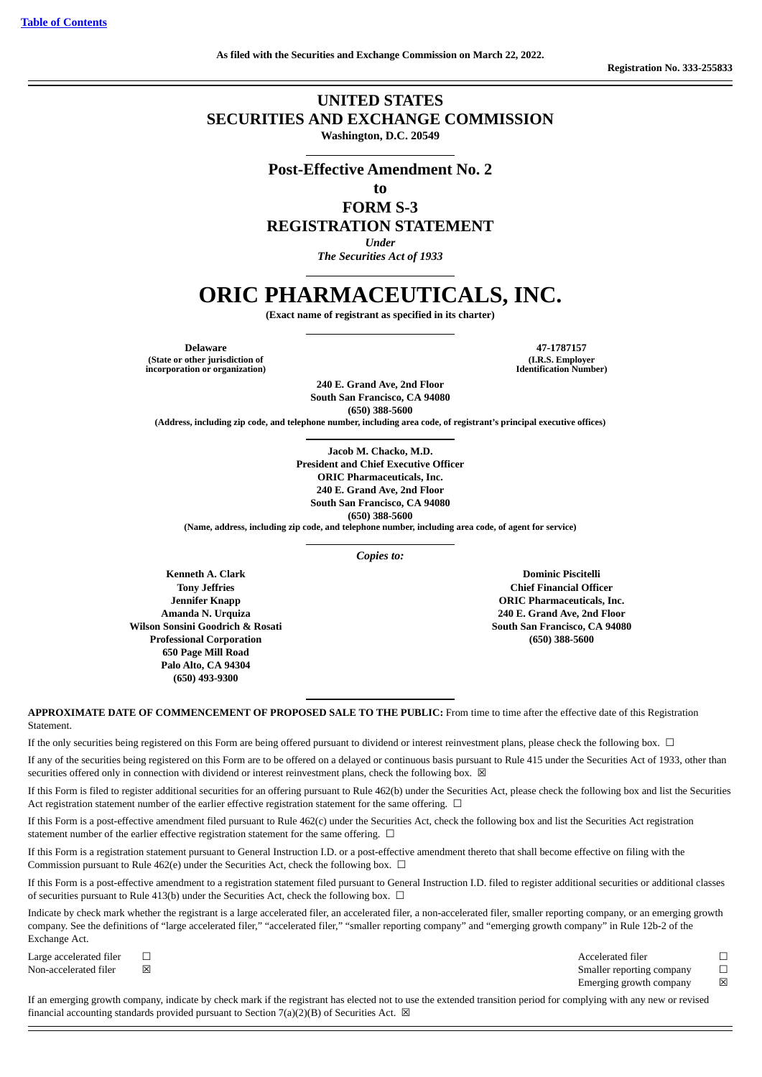**Registration No. 333-255833**

#### **UNITED STATES SECURITIES AND EXCHANGE COMMISSION Washington, D.C. 20549**

### **Post-Effective Amendment No. 2**

**to**

**FORM S-3**

**REGISTRATION STATEMENT**

*Under*

*The Securities Act of 1933*

## **ORIC PHARMACEUTICALS, INC.**

**(Exact name of registrant as specified in its charter)**

**Delaware 47-1787157 (State or other jurisdiction of incorporation or organization)**

> **240 E. Grand Ave, 2nd Floor South San Francisco, CA 94080 (650) 388-5600**

**(Address, including zip code, and telephone number, including area code, of registrant's principal executive offices)**

**Jacob M. Chacko, M.D. President and Chief Executive Officer ORIC Pharmaceuticals, Inc. 240 E. Grand Ave, 2nd Floor South San Francisco, CA 94080 (650) 388-5600**

**(Name, address, including zip code, and telephone number, including area code, of agent for service)**

*Copies to:*

**Kenneth A. Clark Tony Jeffries Jennifer Knapp Amanda N. Urquiza Wilson Sonsini Goodrich & Rosati Professional Corporation 650 Page Mill Road Palo Alto, CA 94304 (650) 493-9300**

**Dominic Piscitelli Chief Financial Officer ORIC Pharmaceuticals, Inc. 240 E. Grand Ave, 2nd Floor South San Francisco, CA 94080 (650) 388-5600**

**APPROXIMATE DATE OF COMMENCEMENT OF PROPOSED SALE TO THE PUBLIC:** From time to time after the effective date of this Registration Statement.

If the only securities being registered on this Form are being offered pursuant to dividend or interest reinvestment plans, please check the following box. ☐

If any of the securities being registered on this Form are to be offered on a delayed or continuous basis pursuant to Rule 415 under the Securities Act of 1933, other than securities offered only in connection with dividend or interest reinvestment plans, check the following box.  $\boxtimes$ 

If this Form is filed to register additional securities for an offering pursuant to Rule 462(b) under the Securities Act, please check the following box and list the Securities Act registration statement number of the earlier effective registration statement for the same offering. □

If this Form is a post-effective amendment filed pursuant to Rule 462(c) under the Securities Act, check the following box and list the Securities Act registration statement number of the earlier effective registration statement for the same offering.  $\Box$ 

If this Form is a registration statement pursuant to General Instruction I.D. or a post-effective amendment thereto that shall become effective on filing with the Commission pursuant to Rule 462(e) under the Securities Act, check the following box.  $\Box$ 

If this Form is a post-effective amendment to a registration statement filed pursuant to General Instruction I.D. filed to register additional securities or additional classes of securities pursuant to Rule 413(b) under the Securities Act, check the following box.  $\Box$ 

Indicate by check mark whether the registrant is a large accelerated filer, an accelerated filer, a non-accelerated filer, smaller reporting company, or an emerging growth company. See the definitions of "large accelerated filer," "accelerated filer," "smaller reporting company" and "emerging growth company" in Rule 12b-2 of the Exchange Act.

Large accelerated filer ☐ Accelerated filer ☐ Non-accelerated filer ⊠ △ Smaller reporting company <del>□</del> Emerging growth company  $\boxtimes$ 

If an emerging growth company, indicate by check mark if the registrant has elected not to use the extended transition period for complying with any new or revised financial accounting standards provided pursuant to Section 7(a)(2)(B) of Securities Act.  $\boxtimes$ 

**(I.R.S. Employer Identification Number)**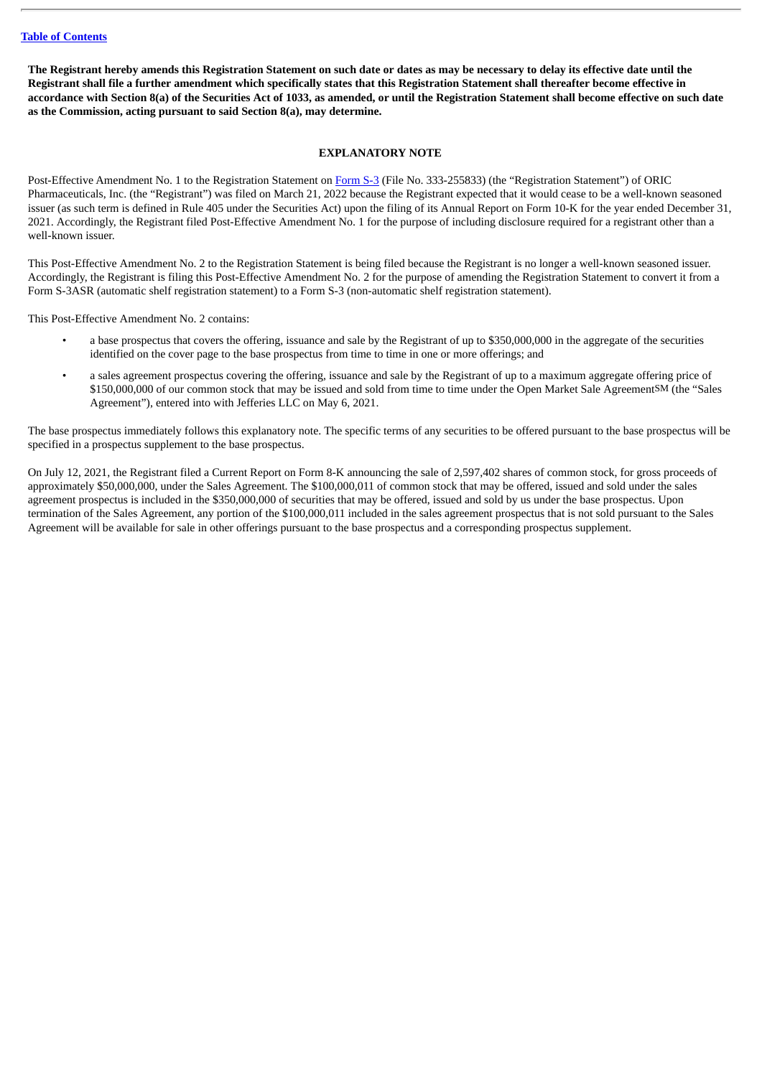The Registrant hereby amends this Registration Statement on such date or dates as may be necessary to delay its effective date until the Registrant shall file a further amendment which specifically states that this Registration Statement shall thereafter become effective in accordance with Section 8(a) of the Securities Act of 1033, as amended, or until the Registration Statement shall become effective on such date **as the Commission, acting pursuant to said Section 8(a), may determine.**

#### **EXPLANATORY NOTE**

Post-Effective Amendment No. 1 to the Registration Statement on [Form](http://www.sec.gov/Archives/edgar/data/1796280/000119312521153360/d179648ds3asr.htm) S-3 (File No. 333-255833) (the "Registration Statement") of ORIC Pharmaceuticals, Inc. (the "Registrant") was filed on March 21, 2022 because the Registrant expected that it would cease to be a well-known seasoned issuer (as such term is defined in Rule 405 under the Securities Act) upon the filing of its Annual Report on Form 10-K for the year ended December 31, 2021. Accordingly, the Registrant filed Post-Effective Amendment No. 1 for the purpose of including disclosure required for a registrant other than a well-known issuer.

This Post-Effective Amendment No. 2 to the Registration Statement is being filed because the Registrant is no longer a well-known seasoned issuer. Accordingly, the Registrant is filing this Post-Effective Amendment No. 2 for the purpose of amending the Registration Statement to convert it from a Form S-3ASR (automatic shelf registration statement) to a Form S-3 (non-automatic shelf registration statement).

This Post-Effective Amendment No. 2 contains:

- a base prospectus that covers the offering, issuance and sale by the Registrant of up to \$350,000,000 in the aggregate of the securities identified on the cover page to the base prospectus from time to time in one or more offerings; and
- a sales agreement prospectus covering the offering, issuance and sale by the Registrant of up to a maximum aggregate offering price of \$150,000,000 of our common stock that may be issued and sold from time to time under the Open Market Sale AgreementSM (the "Sales Agreement"), entered into with Jefferies LLC on May 6, 2021.

The base prospectus immediately follows this explanatory note. The specific terms of any securities to be offered pursuant to the base prospectus will be specified in a prospectus supplement to the base prospectus.

On July 12, 2021, the Registrant filed a Current Report on Form 8-K announcing the sale of 2,597,402 shares of common stock, for gross proceeds of approximately \$50,000,000, under the Sales Agreement. The \$100,000,011 of common stock that may be offered, issued and sold under the sales agreement prospectus is included in the \$350,000,000 of securities that may be offered, issued and sold by us under the base prospectus. Upon termination of the Sales Agreement, any portion of the \$100,000,011 included in the sales agreement prospectus that is not sold pursuant to the Sales Agreement will be available for sale in other offerings pursuant to the base prospectus and a corresponding prospectus supplement.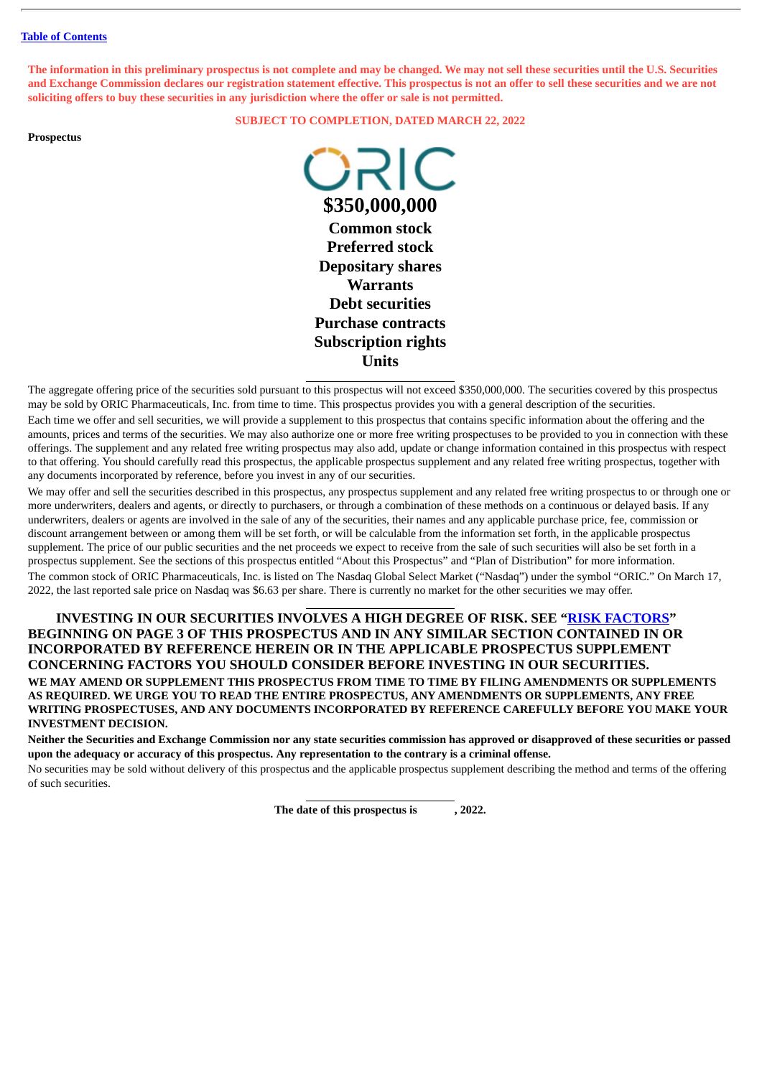The information in this preliminary prospectus is not complete and may be changed. We may not sell these securities until the U.S. Securities and Exchange Commission declares our registration statement effective. This prospectus is not an offer to sell these securities and we are not **soliciting offers to buy these securities in any jurisdiction where the offer or sale is not permitted.**

**Prospectus**

#### **SUBJECT TO COMPLETION, DATED MARCH 22, 2022**

ORIC **\$350,000,000 Common stock Preferred stock Depositary shares Warrants Debt securities Purchase contracts Subscription rights Units**

The aggregate offering price of the securities sold pursuant to this prospectus will not exceed \$350,000,000. The securities covered by this prospectus may be sold by ORIC Pharmaceuticals, Inc. from time to time. This prospectus provides you with a general description of the securities.

Each time we offer and sell securities, we will provide a supplement to this prospectus that contains specific information about the offering and the amounts, prices and terms of the securities. We may also authorize one or more free writing prospectuses to be provided to you in connection with these offerings. The supplement and any related free writing prospectus may also add, update or change information contained in this prospectus with respect to that offering. You should carefully read this prospectus, the applicable prospectus supplement and any related free writing prospectus, together with any documents incorporated by reference, before you invest in any of our securities.

We may offer and sell the securities described in this prospectus, any prospectus supplement and any related free writing prospectus to or through one or more underwriters, dealers and agents, or directly to purchasers, or through a combination of these methods on a continuous or delayed basis. If any underwriters, dealers or agents are involved in the sale of any of the securities, their names and any applicable purchase price, fee, commission or discount arrangement between or among them will be set forth, or will be calculable from the information set forth, in the applicable prospectus supplement. The price of our public securities and the net proceeds we expect to receive from the sale of such securities will also be set forth in a prospectus supplement. See the sections of this prospectus entitled "About this Prospectus" and "Plan of Distribution" for more information. The common stock of ORIC Pharmaceuticals, Inc. is listed on The Nasdaq Global Select Market ("Nasdaq") under the symbol "ORIC." On March 17, 2022, the last reported sale price on Nasdaq was \$6.63 per share. There is currently no market for the other securities we may offer.

**INVESTING IN OUR SECURITIES INVOLVES A HIGH DEGREE OF RISK. SEE "[RISK FACTORS](#page-6-0)" BEGINNING ON PAGE 3 OF THIS PROSPECTUS AND IN ANY SIMILAR SECTION CONTAINED IN OR INCORPORATED BY REFERENCE HEREIN OR IN THE APPLICABLE PROSPECTUS SUPPLEMENT CONCERNING FACTORS YOU SHOULD CONSIDER BEFORE INVESTING IN OUR SECURITIES. WE MAY AMEND OR SUPPLEMENT THIS PROSPECTUS FROM TIME TO TIME BY FILING AMENDMENTS OR SUPPLEMENTS AS REQUIRED. WE URGE YOU TO READ THE ENTIRE PROSPECTUS, ANY AMENDMENTS OR SUPPLEMENTS, ANY FREE WRITING PROSPECTUSES, AND ANY DOCUMENTS INCORPORATED BY REFERENCE CAREFULLY BEFORE YOU MAKE YOUR INVESTMENT DECISION.**

Neither the Securities and Exchange Commission nor any state securities commission has approved or disapproved of these securities or passed upon the adequacy or accuracy of this prospectus. Any representation to the contrary is a criminal offense.

No securities may be sold without delivery of this prospectus and the applicable prospectus supplement describing the method and terms of the offering of such securities.

**The date of this prospectus is , 2022.**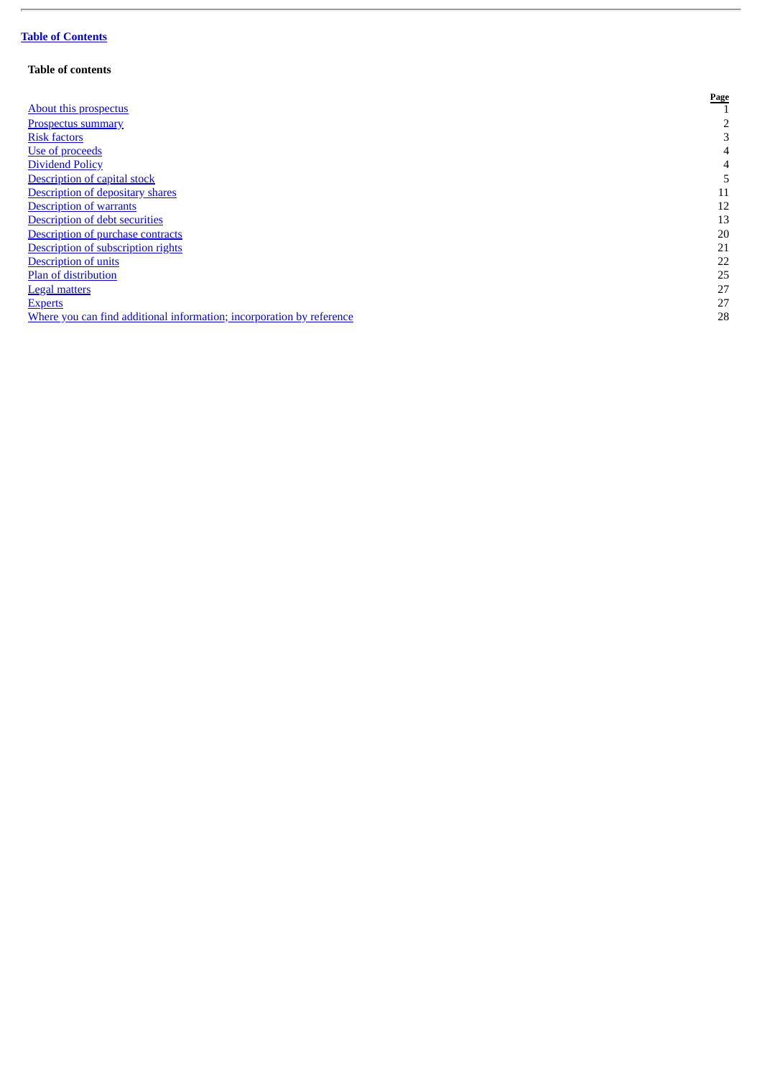#### <span id="page-3-0"></span>**Table of contents**

|                                                                       | Page |
|-----------------------------------------------------------------------|------|
| <b>About this prospectus</b>                                          |      |
| <b>Prospectus summary</b>                                             | 2    |
| <b>Risk factors</b>                                                   | 3    |
| Use of proceeds                                                       | 4    |
| <b>Dividend Policy</b>                                                | 4    |
| Description of capital stock                                          | 5    |
| Description of depositary shares                                      | 11   |
| <b>Description of warrants</b>                                        | 12   |
| Description of debt securities                                        | 13   |
| Description of purchase contracts                                     | 20   |
| Description of subscription rights                                    | 21   |
| <b>Description of units</b>                                           | 22   |
| Plan of distribution                                                  | 25   |
| <b>Legal matters</b>                                                  | 27   |
| <b>Experts</b>                                                        | 27   |
| Where you can find additional information; incorporation by reference | 28   |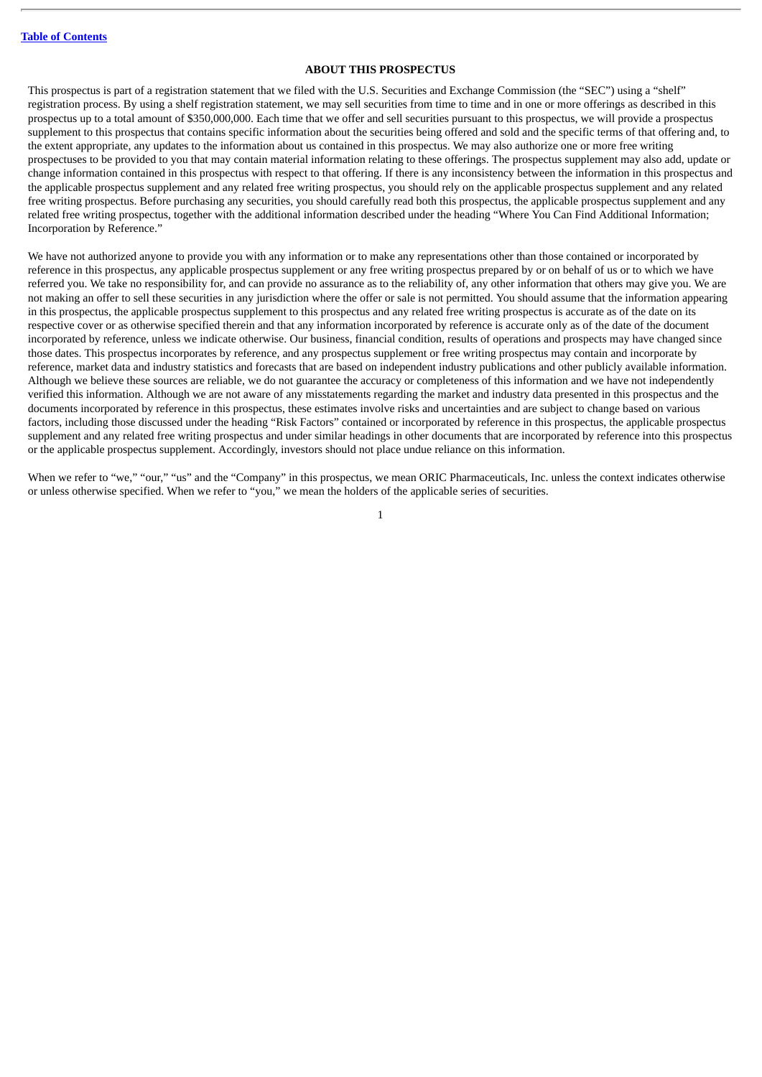#### **ABOUT THIS PROSPECTUS**

<span id="page-4-0"></span>This prospectus is part of a registration statement that we filed with the U.S. Securities and Exchange Commission (the "SEC") using a "shelf" registration process. By using a shelf registration statement, we may sell securities from time to time and in one or more offerings as described in this prospectus up to a total amount of \$350,000,000. Each time that we offer and sell securities pursuant to this prospectus, we will provide a prospectus supplement to this prospectus that contains specific information about the securities being offered and sold and the specific terms of that offering and, to the extent appropriate, any updates to the information about us contained in this prospectus. We may also authorize one or more free writing prospectuses to be provided to you that may contain material information relating to these offerings. The prospectus supplement may also add, update or change information contained in this prospectus with respect to that offering. If there is any inconsistency between the information in this prospectus and the applicable prospectus supplement and any related free writing prospectus, you should rely on the applicable prospectus supplement and any related free writing prospectus. Before purchasing any securities, you should carefully read both this prospectus, the applicable prospectus supplement and any related free writing prospectus, together with the additional information described under the heading "Where You Can Find Additional Information; Incorporation by Reference."

We have not authorized anyone to provide you with any information or to make any representations other than those contained or incorporated by reference in this prospectus, any applicable prospectus supplement or any free writing prospectus prepared by or on behalf of us or to which we have referred you. We take no responsibility for, and can provide no assurance as to the reliability of, any other information that others may give you. We are not making an offer to sell these securities in any jurisdiction where the offer or sale is not permitted. You should assume that the information appearing in this prospectus, the applicable prospectus supplement to this prospectus and any related free writing prospectus is accurate as of the date on its respective cover or as otherwise specified therein and that any information incorporated by reference is accurate only as of the date of the document incorporated by reference, unless we indicate otherwise. Our business, financial condition, results of operations and prospects may have changed since those dates. This prospectus incorporates by reference, and any prospectus supplement or free writing prospectus may contain and incorporate by reference, market data and industry statistics and forecasts that are based on independent industry publications and other publicly available information. Although we believe these sources are reliable, we do not guarantee the accuracy or completeness of this information and we have not independently verified this information. Although we are not aware of any misstatements regarding the market and industry data presented in this prospectus and the documents incorporated by reference in this prospectus, these estimates involve risks and uncertainties and are subject to change based on various factors, including those discussed under the heading "Risk Factors" contained or incorporated by reference in this prospectus, the applicable prospectus supplement and any related free writing prospectus and under similar headings in other documents that are incorporated by reference into this prospectus or the applicable prospectus supplement. Accordingly, investors should not place undue reliance on this information.

When we refer to "we," "our," "us" and the "Company" in this prospectus, we mean ORIC Pharmaceuticals, Inc. unless the context indicates otherwise or unless otherwise specified. When we refer to "you," we mean the holders of the applicable series of securities.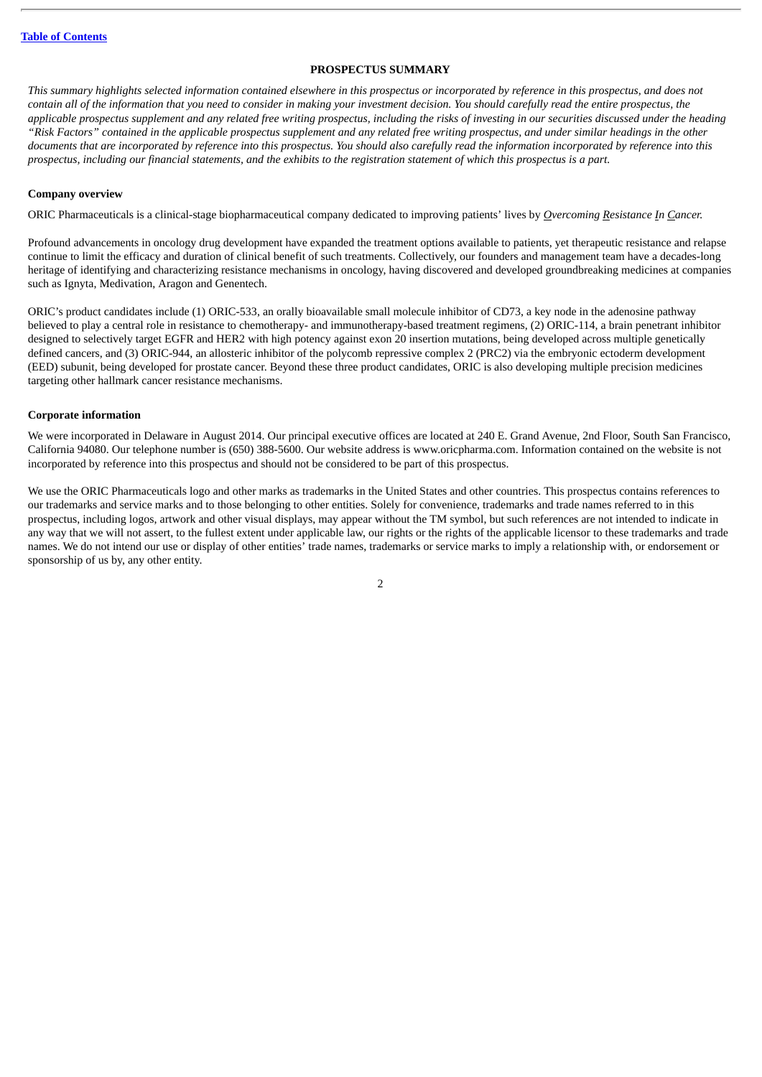#### **PROSPECTUS SUMMARY**

<span id="page-5-0"></span>This summary highlights selected information contained elsewhere in this prospectus or incorporated by reference in this prospectus, and does not contain all of the information that you need to consider in making your investment decision. You should carefully read the entire prospectus, the applicable prospectus supplement and any related free writing prospectus, including the risks of investing in our securities discussed under the heading "Risk Factors" contained in the applicable prospectus supplement and any related free writing prospectus, and under similar headings in the other documents that are incorporated by reference into this prospectus. You should also carefully read the information incorporated by reference into this prospectus, including our financial statements, and the exhibits to the registration statement of which this prospectus is a part.

#### **Company overview**

ORIC Pharmaceuticals is a clinical-stage biopharmaceutical company dedicated to improving patients' lives by *Overcoming Resistance In Cancer.*

Profound advancements in oncology drug development have expanded the treatment options available to patients, yet therapeutic resistance and relapse continue to limit the efficacy and duration of clinical benefit of such treatments. Collectively, our founders and management team have a decades-long heritage of identifying and characterizing resistance mechanisms in oncology, having discovered and developed groundbreaking medicines at companies such as Ignyta, Medivation, Aragon and Genentech.

ORIC's product candidates include (1) ORIC-533, an orally bioavailable small molecule inhibitor of CD73, a key node in the adenosine pathway believed to play a central role in resistance to chemotherapy- and immunotherapy-based treatment regimens, (2) ORIC-114, a brain penetrant inhibitor designed to selectively target EGFR and HER2 with high potency against exon 20 insertion mutations, being developed across multiple genetically defined cancers, and (3) ORIC-944, an allosteric inhibitor of the polycomb repressive complex 2 (PRC2) via the embryonic ectoderm development (EED) subunit, being developed for prostate cancer. Beyond these three product candidates, ORIC is also developing multiple precision medicines targeting other hallmark cancer resistance mechanisms.

#### **Corporate information**

We were incorporated in Delaware in August 2014. Our principal executive offices are located at 240 E. Grand Avenue, 2nd Floor, South San Francisco, California 94080. Our telephone number is (650) 388-5600. Our website address is www.oricpharma.com. Information contained on the website is not incorporated by reference into this prospectus and should not be considered to be part of this prospectus.

We use the ORIC Pharmaceuticals logo and other marks as trademarks in the United States and other countries. This prospectus contains references to our trademarks and service marks and to those belonging to other entities. Solely for convenience, trademarks and trade names referred to in this prospectus, including logos, artwork and other visual displays, may appear without the TM symbol, but such references are not intended to indicate in any way that we will not assert, to the fullest extent under applicable law, our rights or the rights of the applicable licensor to these trademarks and trade names. We do not intend our use or display of other entities' trade names, trademarks or service marks to imply a relationship with, or endorsement or sponsorship of us by, any other entity.

 $\overline{2}$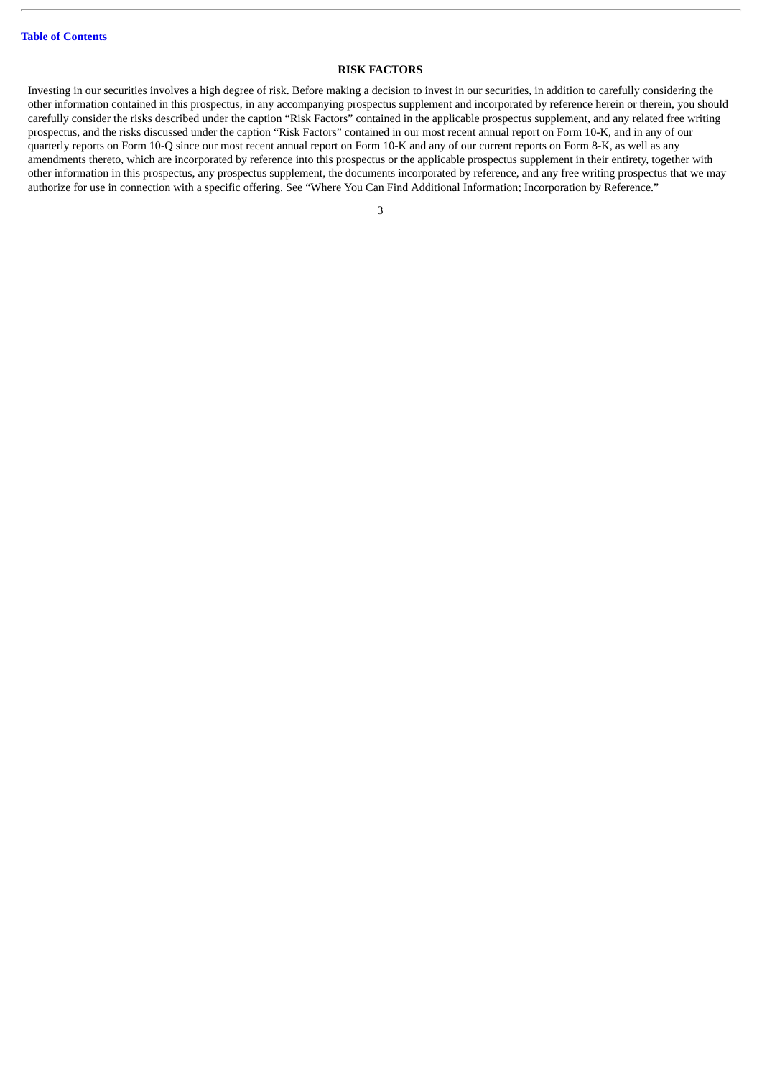#### **RISK FACTORS**

<span id="page-6-0"></span>Investing in our securities involves a high degree of risk. Before making a decision to invest in our securities, in addition to carefully considering the other information contained in this prospectus, in any accompanying prospectus supplement and incorporated by reference herein or therein, you should carefully consider the risks described under the caption "Risk Factors" contained in the applicable prospectus supplement, and any related free writing prospectus, and the risks discussed under the caption "Risk Factors" contained in our most recent annual report on Form 10-K, and in any of our quarterly reports on Form 10-Q since our most recent annual report on Form 10-K and any of our current reports on Form 8-K, as well as any amendments thereto, which are incorporated by reference into this prospectus or the applicable prospectus supplement in their entirety, together with other information in this prospectus, any prospectus supplement, the documents incorporated by reference, and any free writing prospectus that we may authorize for use in connection with a specific offering. See "Where You Can Find Additional Information; Incorporation by Reference."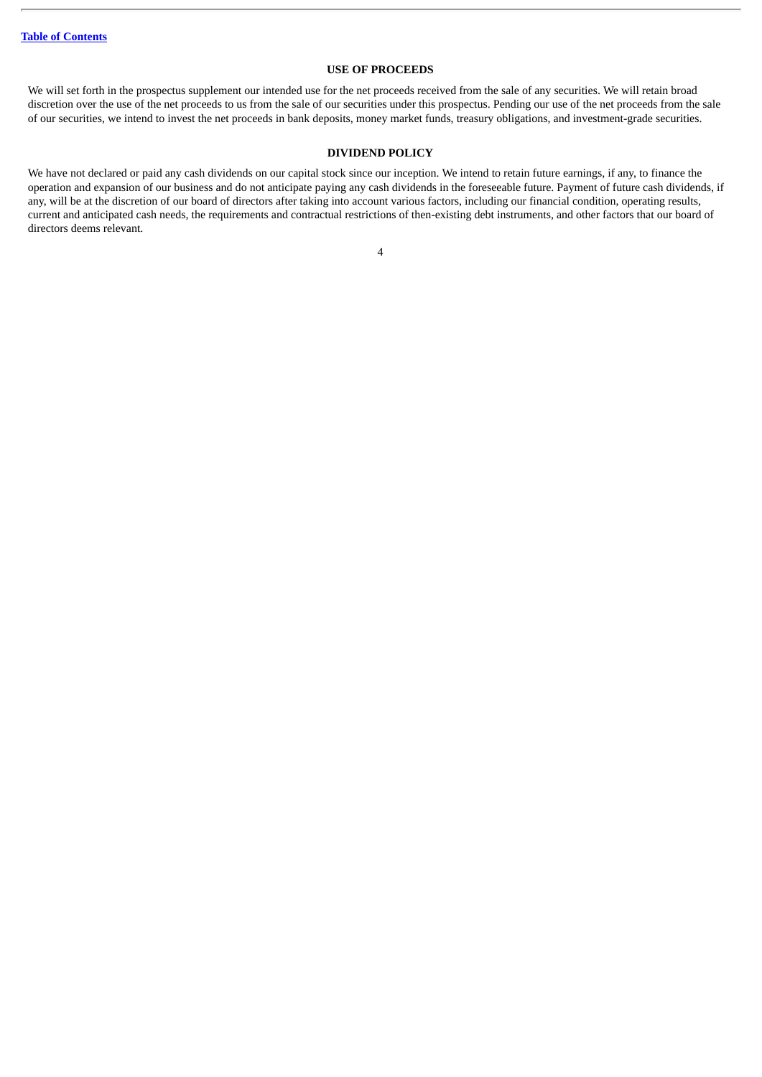#### **USE OF PROCEEDS**

<span id="page-7-0"></span>We will set forth in the prospectus supplement our intended use for the net proceeds received from the sale of any securities. We will retain broad discretion over the use of the net proceeds to us from the sale of our securities under this prospectus. Pending our use of the net proceeds from the sale of our securities, we intend to invest the net proceeds in bank deposits, money market funds, treasury obligations, and investment-grade securities.

#### **DIVIDEND POLICY**

<span id="page-7-1"></span>We have not declared or paid any cash dividends on our capital stock since our inception. We intend to retain future earnings, if any, to finance the operation and expansion of our business and do not anticipate paying any cash dividends in the foreseeable future. Payment of future cash dividends, if any, will be at the discretion of our board of directors after taking into account various factors, including our financial condition, operating results, current and anticipated cash needs, the requirements and contractual restrictions of then-existing debt instruments, and other factors that our board of directors deems relevant.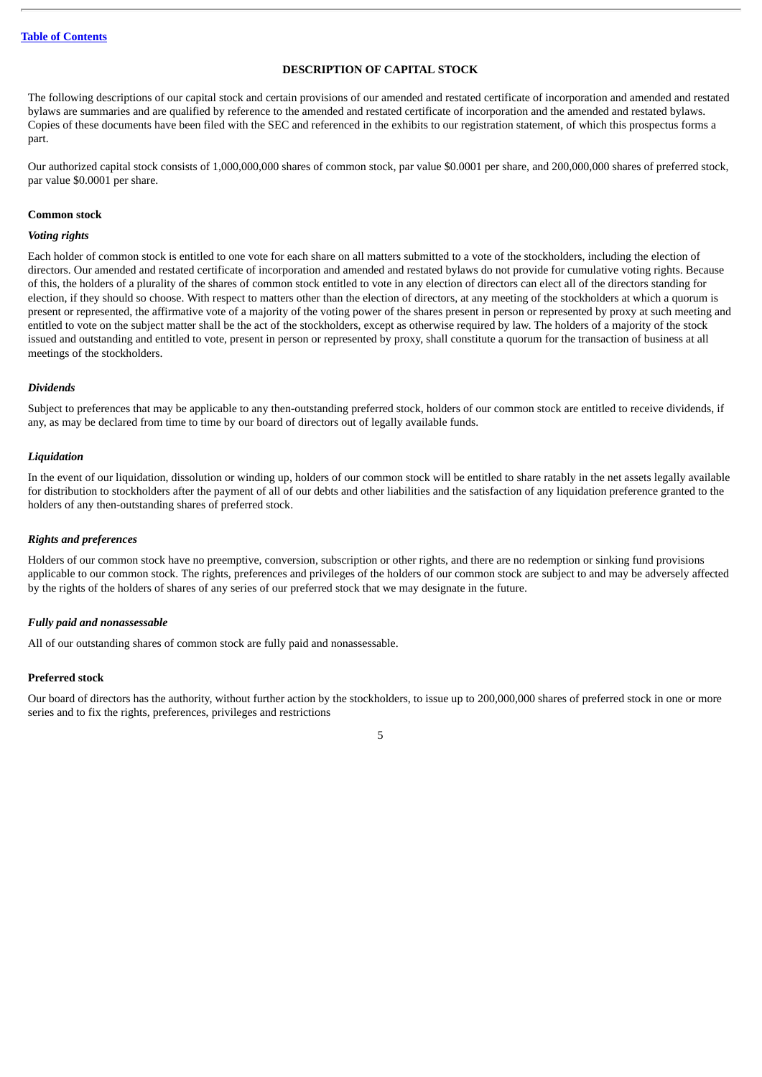#### **DESCRIPTION OF CAPITAL STOCK**

<span id="page-8-0"></span>The following descriptions of our capital stock and certain provisions of our amended and restated certificate of incorporation and amended and restated bylaws are summaries and are qualified by reference to the amended and restated certificate of incorporation and the amended and restated bylaws. Copies of these documents have been filed with the SEC and referenced in the exhibits to our registration statement, of which this prospectus forms a part.

Our authorized capital stock consists of 1,000,000,000 shares of common stock, par value \$0.0001 per share, and 200,000,000 shares of preferred stock, par value \$0.0001 per share.

#### **Common stock**

#### *Voting rights*

Each holder of common stock is entitled to one vote for each share on all matters submitted to a vote of the stockholders, including the election of directors. Our amended and restated certificate of incorporation and amended and restated bylaws do not provide for cumulative voting rights. Because of this, the holders of a plurality of the shares of common stock entitled to vote in any election of directors can elect all of the directors standing for election, if they should so choose. With respect to matters other than the election of directors, at any meeting of the stockholders at which a quorum is present or represented, the affirmative vote of a majority of the voting power of the shares present in person or represented by proxy at such meeting and entitled to vote on the subject matter shall be the act of the stockholders, except as otherwise required by law. The holders of a majority of the stock issued and outstanding and entitled to vote, present in person or represented by proxy, shall constitute a quorum for the transaction of business at all meetings of the stockholders.

#### *Dividends*

Subject to preferences that may be applicable to any then-outstanding preferred stock, holders of our common stock are entitled to receive dividends, if any, as may be declared from time to time by our board of directors out of legally available funds.

#### *Liquidation*

In the event of our liquidation, dissolution or winding up, holders of our common stock will be entitled to share ratably in the net assets legally available for distribution to stockholders after the payment of all of our debts and other liabilities and the satisfaction of any liquidation preference granted to the holders of any then-outstanding shares of preferred stock.

#### *Rights and preferences*

Holders of our common stock have no preemptive, conversion, subscription or other rights, and there are no redemption or sinking fund provisions applicable to our common stock. The rights, preferences and privileges of the holders of our common stock are subject to and may be adversely affected by the rights of the holders of shares of any series of our preferred stock that we may designate in the future.

#### *Fully paid and nonassessable*

All of our outstanding shares of common stock are fully paid and nonassessable.

#### **Preferred stock**

Our board of directors has the authority, without further action by the stockholders, to issue up to 200,000,000 shares of preferred stock in one or more series and to fix the rights, preferences, privileges and restrictions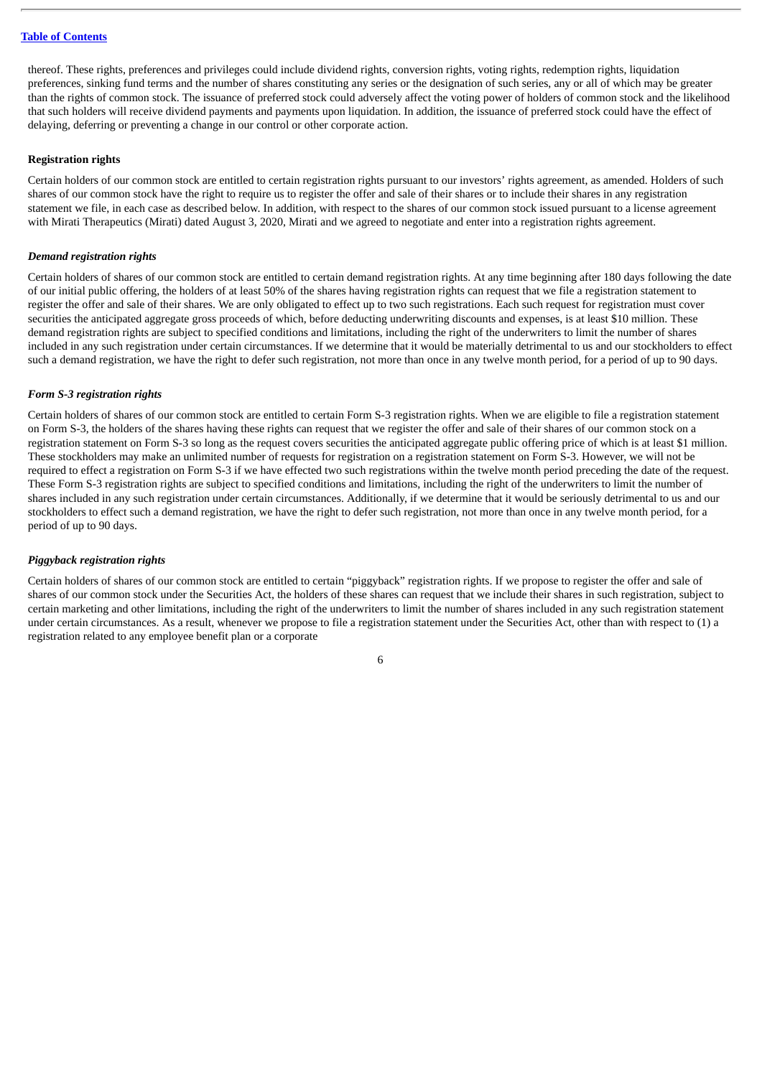thereof. These rights, preferences and privileges could include dividend rights, conversion rights, voting rights, redemption rights, liquidation preferences, sinking fund terms and the number of shares constituting any series or the designation of such series, any or all of which may be greater than the rights of common stock. The issuance of preferred stock could adversely affect the voting power of holders of common stock and the likelihood that such holders will receive dividend payments and payments upon liquidation. In addition, the issuance of preferred stock could have the effect of delaying, deferring or preventing a change in our control or other corporate action.

#### **Registration rights**

Certain holders of our common stock are entitled to certain registration rights pursuant to our investors' rights agreement, as amended. Holders of such shares of our common stock have the right to require us to register the offer and sale of their shares or to include their shares in any registration statement we file, in each case as described below. In addition, with respect to the shares of our common stock issued pursuant to a license agreement with Mirati Therapeutics (Mirati) dated August 3, 2020, Mirati and we agreed to negotiate and enter into a registration rights agreement.

#### *Demand registration rights*

Certain holders of shares of our common stock are entitled to certain demand registration rights. At any time beginning after 180 days following the date of our initial public offering, the holders of at least 50% of the shares having registration rights can request that we file a registration statement to register the offer and sale of their shares. We are only obligated to effect up to two such registrations. Each such request for registration must cover securities the anticipated aggregate gross proceeds of which, before deducting underwriting discounts and expenses, is at least \$10 million. These demand registration rights are subject to specified conditions and limitations, including the right of the underwriters to limit the number of shares included in any such registration under certain circumstances. If we determine that it would be materially detrimental to us and our stockholders to effect such a demand registration, we have the right to defer such registration, not more than once in any twelve month period, for a period of up to 90 days.

#### *Form S-3 registration rights*

Certain holders of shares of our common stock are entitled to certain Form S-3 registration rights. When we are eligible to file a registration statement on Form S-3, the holders of the shares having these rights can request that we register the offer and sale of their shares of our common stock on a registration statement on Form S-3 so long as the request covers securities the anticipated aggregate public offering price of which is at least \$1 million. These stockholders may make an unlimited number of requests for registration on a registration statement on Form S-3. However, we will not be required to effect a registration on Form S-3 if we have effected two such registrations within the twelve month period preceding the date of the request. These Form S-3 registration rights are subject to specified conditions and limitations, including the right of the underwriters to limit the number of shares included in any such registration under certain circumstances. Additionally, if we determine that it would be seriously detrimental to us and our stockholders to effect such a demand registration, we have the right to defer such registration, not more than once in any twelve month period, for a period of up to 90 days.

#### *Piggyback registration rights*

Certain holders of shares of our common stock are entitled to certain "piggyback" registration rights. If we propose to register the offer and sale of shares of our common stock under the Securities Act, the holders of these shares can request that we include their shares in such registration, subject to certain marketing and other limitations, including the right of the underwriters to limit the number of shares included in any such registration statement under certain circumstances. As a result, whenever we propose to file a registration statement under the Securities Act, other than with respect to (1) a registration related to any employee benefit plan or a corporate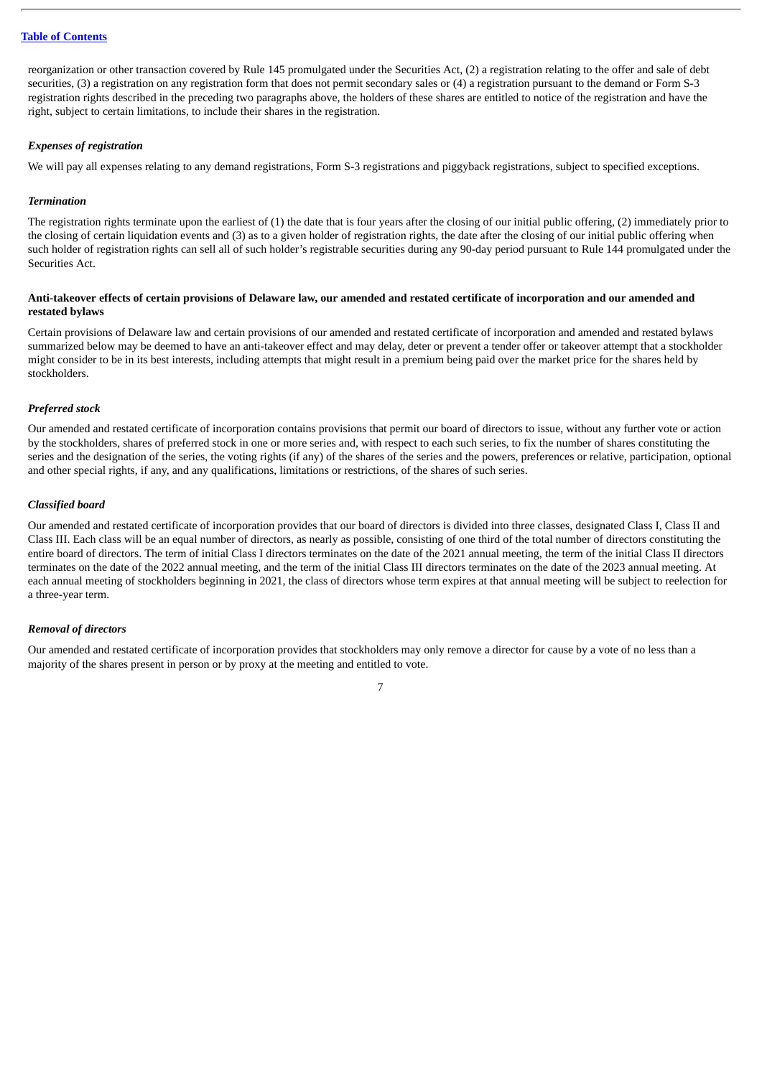reorganization or other transaction covered by Rule 145 promulgated under the Securities Act, (2) a registration relating to the offer and sale of debt securities, (3) a registration on any registration form that does not permit secondary sales or (4) a registration pursuant to the demand or Form S-3 registration rights described in the preceding two paragraphs above, the holders of these shares are entitled to notice of the registration and have the right, subject to certain limitations, to include their shares in the registration.

#### *Expenses of registration*

We will pay all expenses relating to any demand registrations, Form S-3 registrations and piggyback registrations, subject to specified exceptions.

#### *Termination*

The registration rights terminate upon the earliest of (1) the date that is four years after the closing of our initial public offering, (2) immediately prior to the closing of certain liquidation events and (3) as to a given holder of registration rights, the date after the closing of our initial public offering when such holder of registration rights can sell all of such holder's registrable securities during any 90-day period pursuant to Rule 144 promulgated under the Securities Act.

#### Anti-takeover effects of certain provisions of Delaware law, our amended and restated certificate of incorporation and our amended and **restated bylaws**

Certain provisions of Delaware law and certain provisions of our amended and restated certificate of incorporation and amended and restated bylaws summarized below may be deemed to have an anti-takeover effect and may delay, deter or prevent a tender offer or takeover attempt that a stockholder might consider to be in its best interests, including attempts that might result in a premium being paid over the market price for the shares held by stockholders.

#### *Preferred stock*

Our amended and restated certificate of incorporation contains provisions that permit our board of directors to issue, without any further vote or action by the stockholders, shares of preferred stock in one or more series and, with respect to each such series, to fix the number of shares constituting the series and the designation of the series, the voting rights (if any) of the shares of the series and the powers, preferences or relative, participation, optional and other special rights, if any, and any qualifications, limitations or restrictions, of the shares of such series.

#### *Classified board*

Our amended and restated certificate of incorporation provides that our board of directors is divided into three classes, designated Class I, Class II and Class III. Each class will be an equal number of directors, as nearly as possible, consisting of one third of the total number of directors constituting the entire board of directors. The term of initial Class I directors terminates on the date of the 2021 annual meeting, the term of the initial Class II directors terminates on the date of the 2022 annual meeting, and the term of the initial Class III directors terminates on the date of the 2023 annual meeting. At each annual meeting of stockholders beginning in 2021, the class of directors whose term expires at that annual meeting will be subject to reelection for a three-year term.

#### *Removal of directors*

Our amended and restated certificate of incorporation provides that stockholders may only remove a director for cause by a vote of no less than a majority of the shares present in person or by proxy at the meeting and entitled to vote.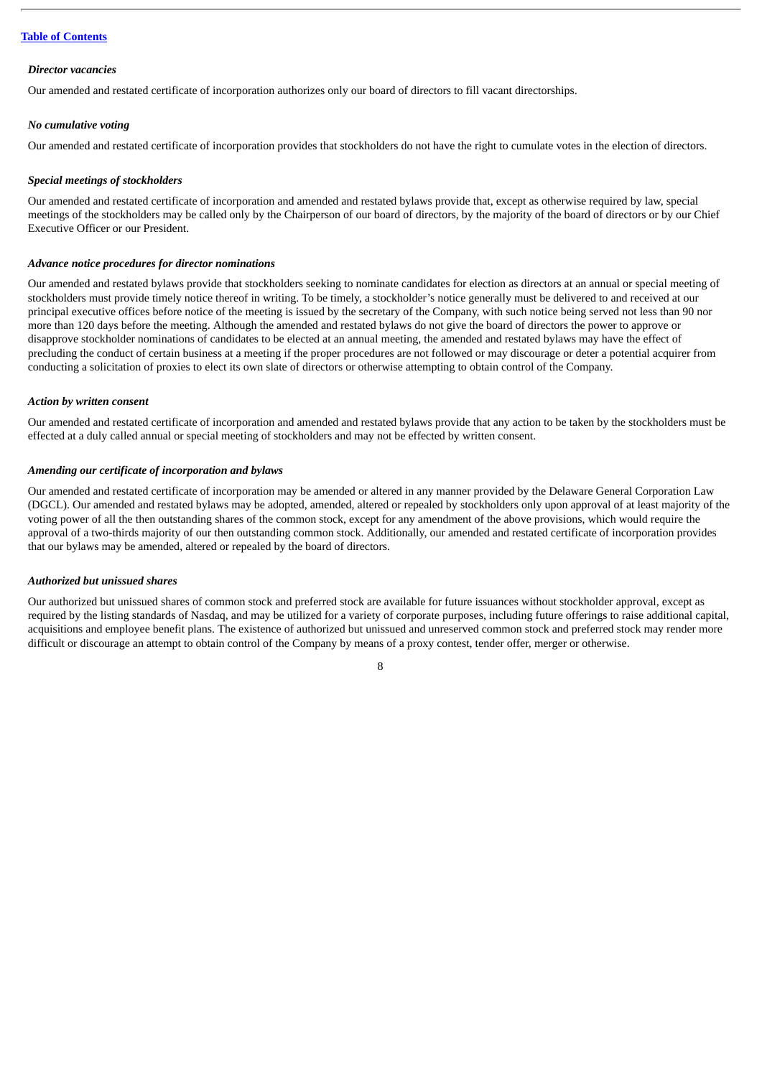#### *Director vacancies*

Our amended and restated certificate of incorporation authorizes only our board of directors to fill vacant directorships.

#### *No cumulative voting*

Our amended and restated certificate of incorporation provides that stockholders do not have the right to cumulate votes in the election of directors.

#### *Special meetings of stockholders*

Our amended and restated certificate of incorporation and amended and restated bylaws provide that, except as otherwise required by law, special meetings of the stockholders may be called only by the Chairperson of our board of directors, by the majority of the board of directors or by our Chief Executive Officer or our President.

#### *Advance notice procedures for director nominations*

Our amended and restated bylaws provide that stockholders seeking to nominate candidates for election as directors at an annual or special meeting of stockholders must provide timely notice thereof in writing. To be timely, a stockholder's notice generally must be delivered to and received at our principal executive offices before notice of the meeting is issued by the secretary of the Company, with such notice being served not less than 90 nor more than 120 days before the meeting. Although the amended and restated bylaws do not give the board of directors the power to approve or disapprove stockholder nominations of candidates to be elected at an annual meeting, the amended and restated bylaws may have the effect of precluding the conduct of certain business at a meeting if the proper procedures are not followed or may discourage or deter a potential acquirer from conducting a solicitation of proxies to elect its own slate of directors or otherwise attempting to obtain control of the Company.

#### *Action by written consent*

Our amended and restated certificate of incorporation and amended and restated bylaws provide that any action to be taken by the stockholders must be effected at a duly called annual or special meeting of stockholders and may not be effected by written consent.

#### *Amending our certificate of incorporation and bylaws*

Our amended and restated certificate of incorporation may be amended or altered in any manner provided by the Delaware General Corporation Law (DGCL). Our amended and restated bylaws may be adopted, amended, altered or repealed by stockholders only upon approval of at least majority of the voting power of all the then outstanding shares of the common stock, except for any amendment of the above provisions, which would require the approval of a two-thirds majority of our then outstanding common stock. Additionally, our amended and restated certificate of incorporation provides that our bylaws may be amended, altered or repealed by the board of directors.

#### *Authorized but unissued shares*

Our authorized but unissued shares of common stock and preferred stock are available for future issuances without stockholder approval, except as required by the listing standards of Nasdaq, and may be utilized for a variety of corporate purposes, including future offerings to raise additional capital, acquisitions and employee benefit plans. The existence of authorized but unissued and unreserved common stock and preferred stock may render more difficult or discourage an attempt to obtain control of the Company by means of a proxy contest, tender offer, merger or otherwise.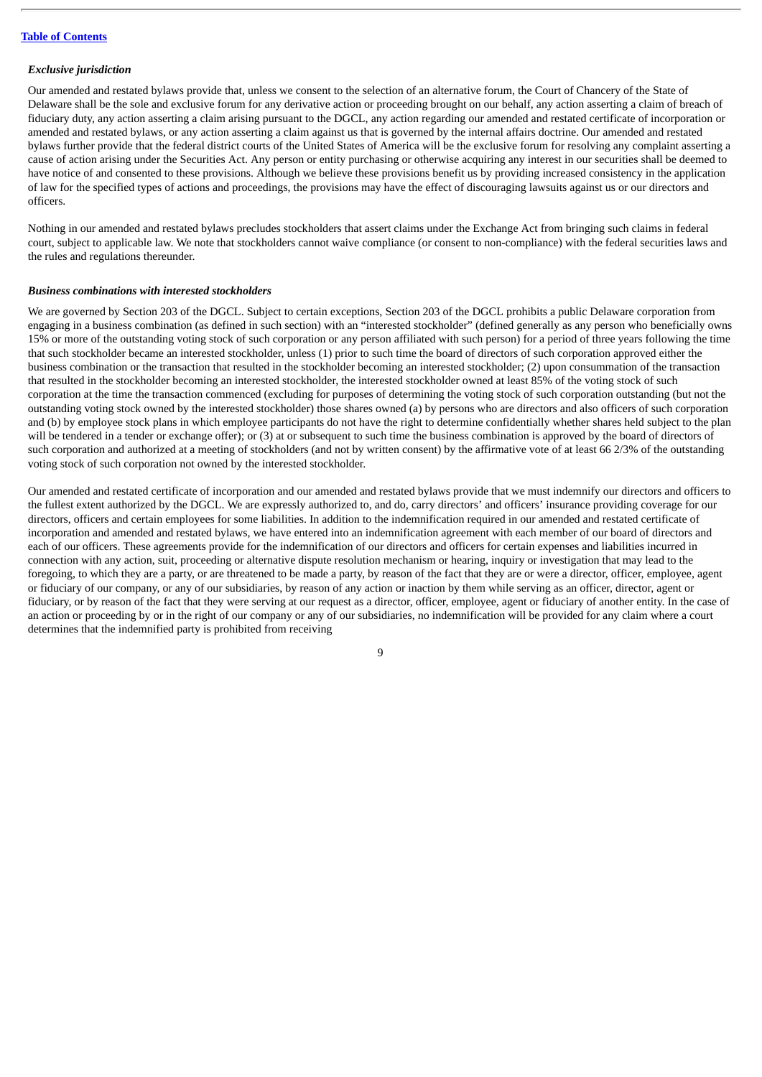#### *Exclusive jurisdiction*

Our amended and restated bylaws provide that, unless we consent to the selection of an alternative forum, the Court of Chancery of the State of Delaware shall be the sole and exclusive forum for any derivative action or proceeding brought on our behalf, any action asserting a claim of breach of fiduciary duty, any action asserting a claim arising pursuant to the DGCL, any action regarding our amended and restated certificate of incorporation or amended and restated bylaws, or any action asserting a claim against us that is governed by the internal affairs doctrine. Our amended and restated bylaws further provide that the federal district courts of the United States of America will be the exclusive forum for resolving any complaint asserting a cause of action arising under the Securities Act. Any person or entity purchasing or otherwise acquiring any interest in our securities shall be deemed to have notice of and consented to these provisions. Although we believe these provisions benefit us by providing increased consistency in the application of law for the specified types of actions and proceedings, the provisions may have the effect of discouraging lawsuits against us or our directors and officers.

Nothing in our amended and restated bylaws precludes stockholders that assert claims under the Exchange Act from bringing such claims in federal court, subject to applicable law. We note that stockholders cannot waive compliance (or consent to non-compliance) with the federal securities laws and the rules and regulations thereunder.

#### *Business combinations with interested stockholders*

We are governed by Section 203 of the DGCL. Subject to certain exceptions, Section 203 of the DGCL prohibits a public Delaware corporation from engaging in a business combination (as defined in such section) with an "interested stockholder" (defined generally as any person who beneficially owns 15% or more of the outstanding voting stock of such corporation or any person affiliated with such person) for a period of three years following the time that such stockholder became an interested stockholder, unless (1) prior to such time the board of directors of such corporation approved either the business combination or the transaction that resulted in the stockholder becoming an interested stockholder; (2) upon consummation of the transaction that resulted in the stockholder becoming an interested stockholder, the interested stockholder owned at least 85% of the voting stock of such corporation at the time the transaction commenced (excluding for purposes of determining the voting stock of such corporation outstanding (but not the outstanding voting stock owned by the interested stockholder) those shares owned (a) by persons who are directors and also officers of such corporation and (b) by employee stock plans in which employee participants do not have the right to determine confidentially whether shares held subject to the plan will be tendered in a tender or exchange offer); or (3) at or subsequent to such time the business combination is approved by the board of directors of such corporation and authorized at a meeting of stockholders (and not by written consent) by the affirmative vote of at least 66 2/3% of the outstanding voting stock of such corporation not owned by the interested stockholder.

Our amended and restated certificate of incorporation and our amended and restated bylaws provide that we must indemnify our directors and officers to the fullest extent authorized by the DGCL. We are expressly authorized to, and do, carry directors' and officers' insurance providing coverage for our directors, officers and certain employees for some liabilities. In addition to the indemnification required in our amended and restated certificate of incorporation and amended and restated bylaws, we have entered into an indemnification agreement with each member of our board of directors and each of our officers. These agreements provide for the indemnification of our directors and officers for certain expenses and liabilities incurred in connection with any action, suit, proceeding or alternative dispute resolution mechanism or hearing, inquiry or investigation that may lead to the foregoing, to which they are a party, or are threatened to be made a party, by reason of the fact that they are or were a director, officer, employee, agent or fiduciary of our company, or any of our subsidiaries, by reason of any action or inaction by them while serving as an officer, director, agent or fiduciary, or by reason of the fact that they were serving at our request as a director, officer, employee, agent or fiduciary of another entity. In the case of an action or proceeding by or in the right of our company or any of our subsidiaries, no indemnification will be provided for any claim where a court determines that the indemnified party is prohibited from receiving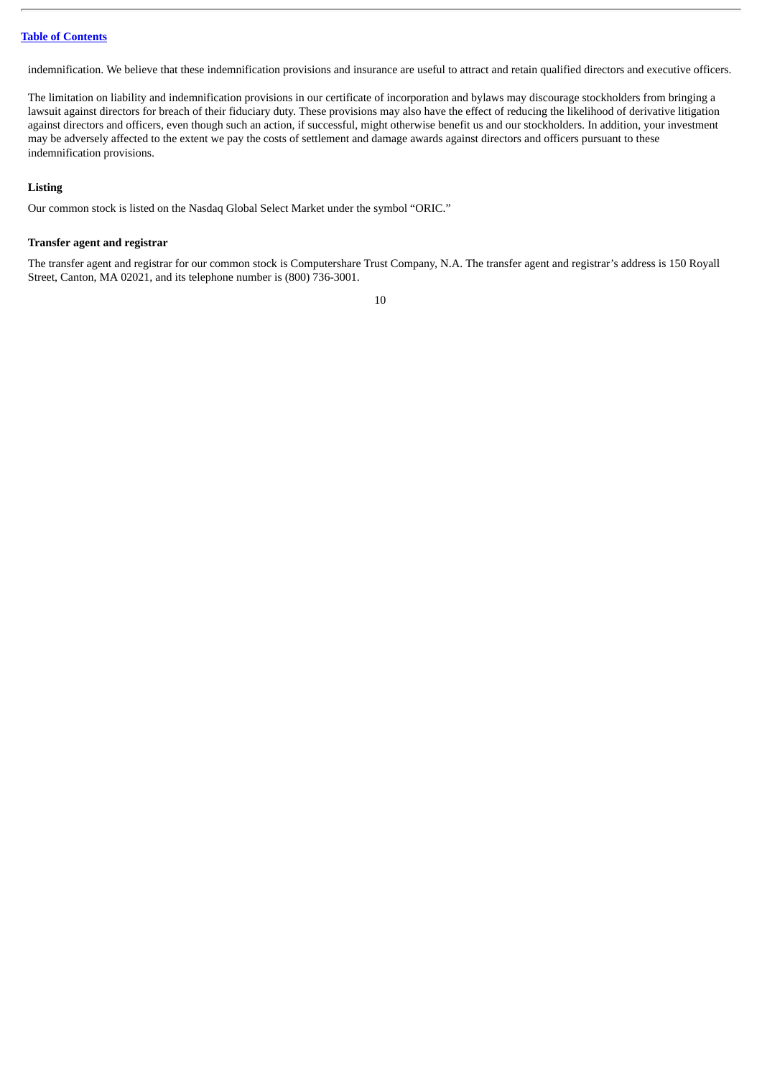indemnification. We believe that these indemnification provisions and insurance are useful to attract and retain qualified directors and executive officers.

The limitation on liability and indemnification provisions in our certificate of incorporation and bylaws may discourage stockholders from bringing a lawsuit against directors for breach of their fiduciary duty. These provisions may also have the effect of reducing the likelihood of derivative litigation against directors and officers, even though such an action, if successful, might otherwise benefit us and our stockholders. In addition, your investment may be adversely affected to the extent we pay the costs of settlement and damage awards against directors and officers pursuant to these indemnification provisions.

#### **Listing**

Our common stock is listed on the Nasdaq Global Select Market under the symbol "ORIC."

#### **Transfer agent and registrar**

The transfer agent and registrar for our common stock is Computershare Trust Company, N.A. The transfer agent and registrar's address is 150 Royall Street, Canton, MA 02021, and its telephone number is (800) 736-3001.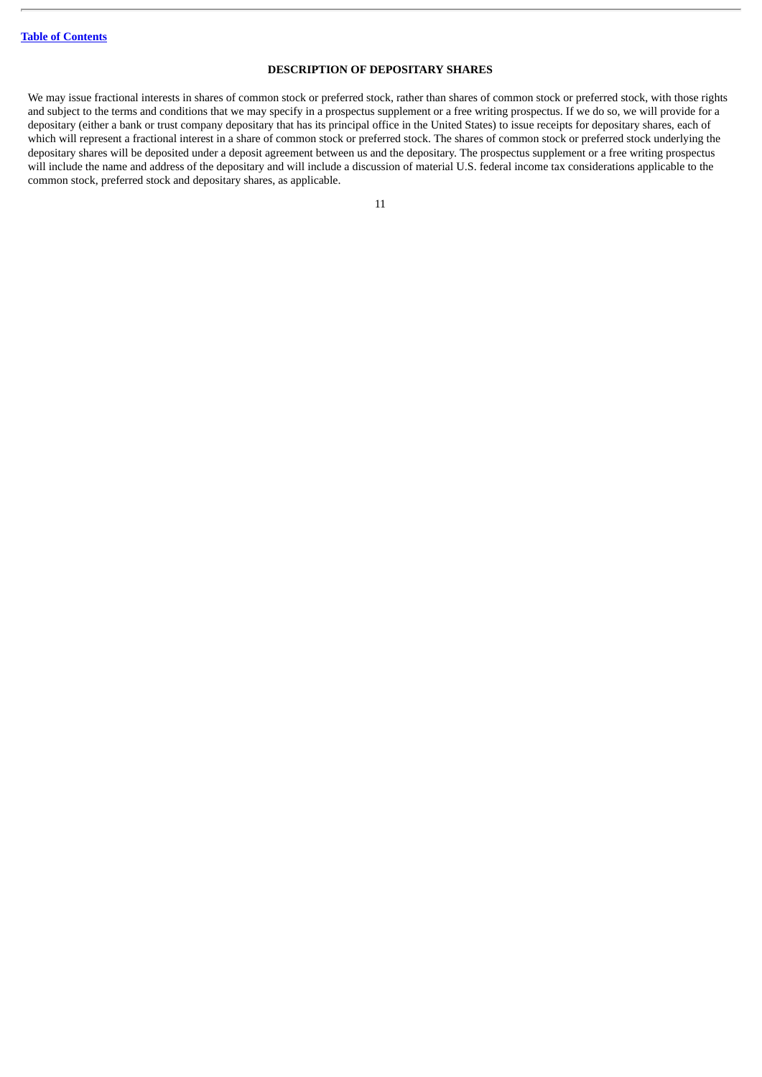#### **DESCRIPTION OF DEPOSITARY SHARES**

<span id="page-14-0"></span>We may issue fractional interests in shares of common stock or preferred stock, rather than shares of common stock or preferred stock, with those rights and subject to the terms and conditions that we may specify in a prospectus supplement or a free writing prospectus. If we do so, we will provide for a depositary (either a bank or trust company depositary that has its principal office in the United States) to issue receipts for depositary shares, each of which will represent a fractional interest in a share of common stock or preferred stock. The shares of common stock or preferred stock underlying the depositary shares will be deposited under a deposit agreement between us and the depositary. The prospectus supplement or a free writing prospectus will include the name and address of the depositary and will include a discussion of material U.S. federal income tax considerations applicable to the common stock, preferred stock and depositary shares, as applicable.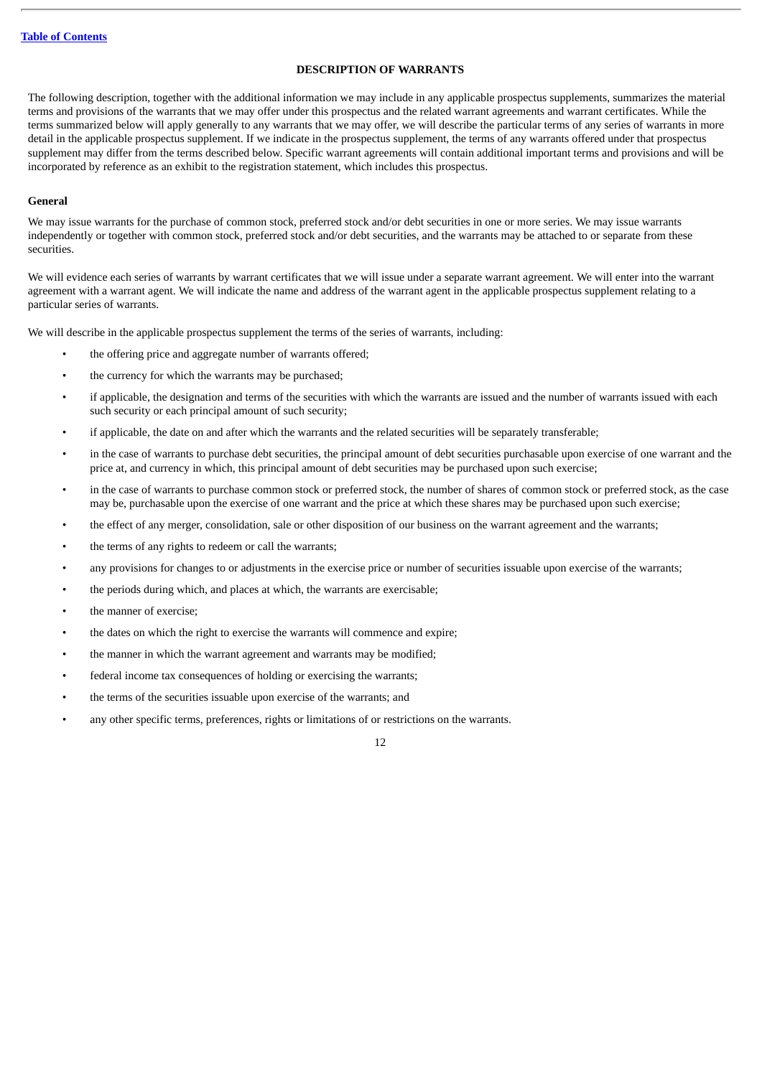#### **DESCRIPTION OF WARRANTS**

<span id="page-15-0"></span>The following description, together with the additional information we may include in any applicable prospectus supplements, summarizes the material terms and provisions of the warrants that we may offer under this prospectus and the related warrant agreements and warrant certificates. While the terms summarized below will apply generally to any warrants that we may offer, we will describe the particular terms of any series of warrants in more detail in the applicable prospectus supplement. If we indicate in the prospectus supplement, the terms of any warrants offered under that prospectus supplement may differ from the terms described below. Specific warrant agreements will contain additional important terms and provisions and will be incorporated by reference as an exhibit to the registration statement, which includes this prospectus.

#### **General**

We may issue warrants for the purchase of common stock, preferred stock and/or debt securities in one or more series. We may issue warrants independently or together with common stock, preferred stock and/or debt securities, and the warrants may be attached to or separate from these securities.

We will evidence each series of warrants by warrant certificates that we will issue under a separate warrant agreement. We will enter into the warrant agreement with a warrant agent. We will indicate the name and address of the warrant agent in the applicable prospectus supplement relating to a particular series of warrants.

We will describe in the applicable prospectus supplement the terms of the series of warrants, including:

- the offering price and aggregate number of warrants offered;
- the currency for which the warrants may be purchased;
- if applicable, the designation and terms of the securities with which the warrants are issued and the number of warrants issued with each such security or each principal amount of such security;
- if applicable, the date on and after which the warrants and the related securities will be separately transferable;
- in the case of warrants to purchase debt securities, the principal amount of debt securities purchasable upon exercise of one warrant and the price at, and currency in which, this principal amount of debt securities may be purchased upon such exercise;
- in the case of warrants to purchase common stock or preferred stock, the number of shares of common stock or preferred stock, as the case may be, purchasable upon the exercise of one warrant and the price at which these shares may be purchased upon such exercise;
- the effect of any merger, consolidation, sale or other disposition of our business on the warrant agreement and the warrants;
- the terms of any rights to redeem or call the warrants;
- any provisions for changes to or adjustments in the exercise price or number of securities issuable upon exercise of the warrants;
- the periods during which, and places at which, the warrants are exercisable;
- the manner of exercise;
- the dates on which the right to exercise the warrants will commence and expire;
- the manner in which the warrant agreement and warrants may be modified;
- federal income tax consequences of holding or exercising the warrants;
- the terms of the securities issuable upon exercise of the warrants; and
- any other specific terms, preferences, rights or limitations of or restrictions on the warrants.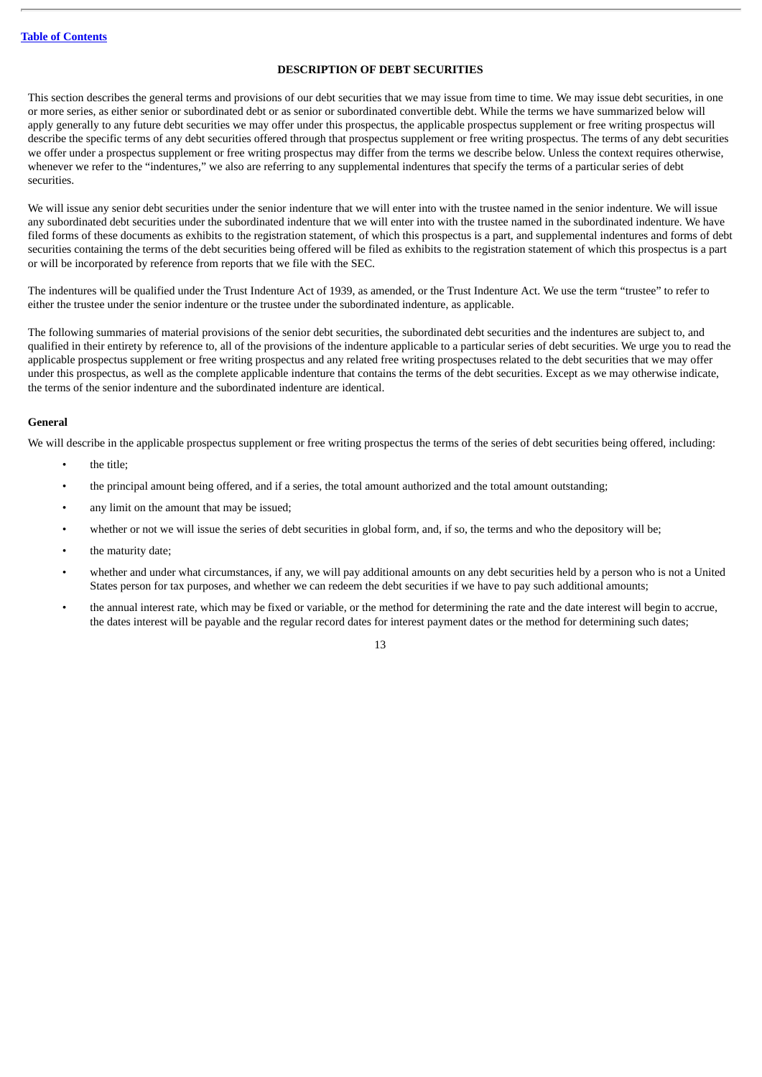#### **DESCRIPTION OF DEBT SECURITIES**

<span id="page-16-0"></span>This section describes the general terms and provisions of our debt securities that we may issue from time to time. We may issue debt securities, in one or more series, as either senior or subordinated debt or as senior or subordinated convertible debt. While the terms we have summarized below will apply generally to any future debt securities we may offer under this prospectus, the applicable prospectus supplement or free writing prospectus will describe the specific terms of any debt securities offered through that prospectus supplement or free writing prospectus. The terms of any debt securities we offer under a prospectus supplement or free writing prospectus may differ from the terms we describe below. Unless the context requires otherwise, whenever we refer to the "indentures," we also are referring to any supplemental indentures that specify the terms of a particular series of debt securities.

We will issue any senior debt securities under the senior indenture that we will enter into with the trustee named in the senior indenture. We will issue any subordinated debt securities under the subordinated indenture that we will enter into with the trustee named in the subordinated indenture. We have filed forms of these documents as exhibits to the registration statement, of which this prospectus is a part, and supplemental indentures and forms of debt securities containing the terms of the debt securities being offered will be filed as exhibits to the registration statement of which this prospectus is a part or will be incorporated by reference from reports that we file with the SEC.

The indentures will be qualified under the Trust Indenture Act of 1939, as amended, or the Trust Indenture Act. We use the term "trustee" to refer to either the trustee under the senior indenture or the trustee under the subordinated indenture, as applicable.

The following summaries of material provisions of the senior debt securities, the subordinated debt securities and the indentures are subject to, and qualified in their entirety by reference to, all of the provisions of the indenture applicable to a particular series of debt securities. We urge you to read the applicable prospectus supplement or free writing prospectus and any related free writing prospectuses related to the debt securities that we may offer under this prospectus, as well as the complete applicable indenture that contains the terms of the debt securities. Except as we may otherwise indicate, the terms of the senior indenture and the subordinated indenture are identical.

#### **General**

We will describe in the applicable prospectus supplement or free writing prospectus the terms of the series of debt securities being offered, including:

- the title;
- the principal amount being offered, and if a series, the total amount authorized and the total amount outstanding;
- any limit on the amount that may be issued;
- whether or not we will issue the series of debt securities in global form, and, if so, the terms and who the depository will be;
- the maturity date:
- whether and under what circumstances, if any, we will pay additional amounts on any debt securities held by a person who is not a United States person for tax purposes, and whether we can redeem the debt securities if we have to pay such additional amounts;
- the annual interest rate, which may be fixed or variable, or the method for determining the rate and the date interest will begin to accrue, the dates interest will be payable and the regular record dates for interest payment dates or the method for determining such dates;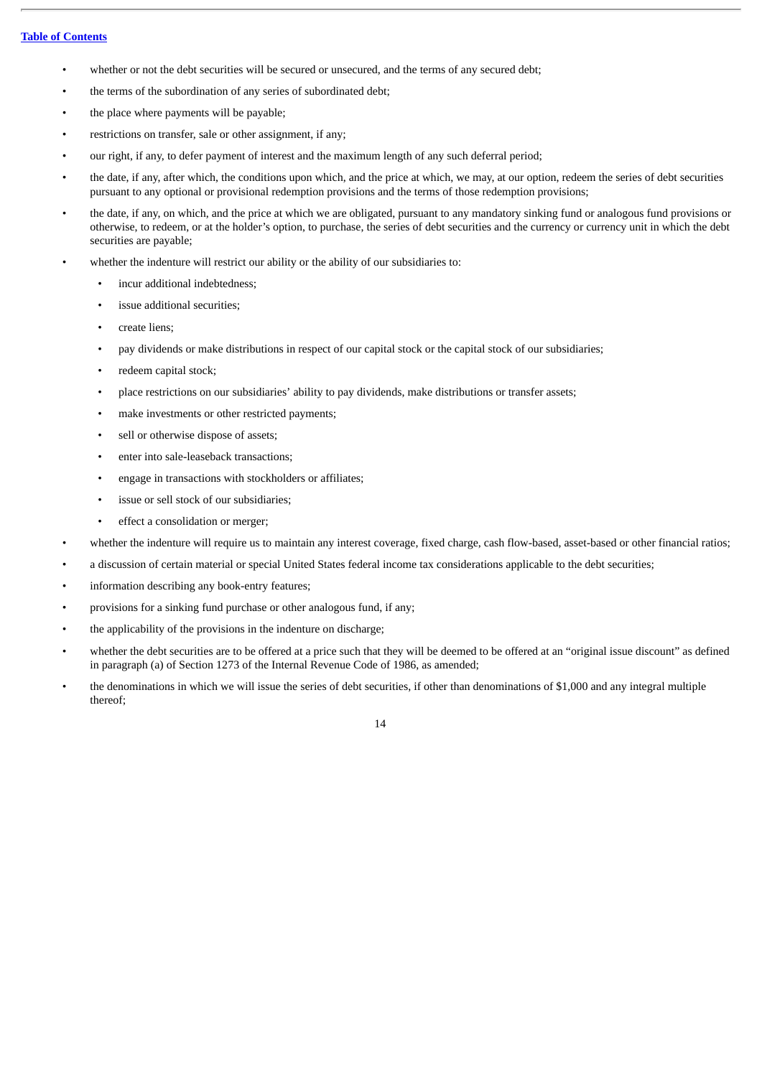- whether or not the debt securities will be secured or unsecured, and the terms of any secured debt;
- the terms of the subordination of any series of subordinated debt;
- the place where payments will be payable;
- restrictions on transfer, sale or other assignment, if any;
- our right, if any, to defer payment of interest and the maximum length of any such deferral period;
- the date, if any, after which, the conditions upon which, and the price at which, we may, at our option, redeem the series of debt securities pursuant to any optional or provisional redemption provisions and the terms of those redemption provisions;
- the date, if any, on which, and the price at which we are obligated, pursuant to any mandatory sinking fund or analogous fund provisions or otherwise, to redeem, or at the holder's option, to purchase, the series of debt securities and the currency or currency unit in which the debt securities are payable;
- whether the indenture will restrict our ability or the ability of our subsidiaries to:
	- incur additional indebtedness;
	- issue additional securities;
	- create liens;
	- pay dividends or make distributions in respect of our capital stock or the capital stock of our subsidiaries;
	- redeem capital stock;
	- place restrictions on our subsidiaries' ability to pay dividends, make distributions or transfer assets;
	- make investments or other restricted payments;
	- sell or otherwise dispose of assets;
	- enter into sale-leaseback transactions;
	- engage in transactions with stockholders or affiliates;
	- issue or sell stock of our subsidiaries;
	- effect a consolidation or merger;
- whether the indenture will require us to maintain any interest coverage, fixed charge, cash flow-based, asset-based or other financial ratios;
- a discussion of certain material or special United States federal income tax considerations applicable to the debt securities;
- information describing any book-entry features;
- provisions for a sinking fund purchase or other analogous fund, if any;
- the applicability of the provisions in the indenture on discharge;
- whether the debt securities are to be offered at a price such that they will be deemed to be offered at an "original issue discount" as defined in paragraph (a) of Section 1273 of the Internal Revenue Code of 1986, as amended;
- the denominations in which we will issue the series of debt securities, if other than denominations of \$1,000 and any integral multiple thereof;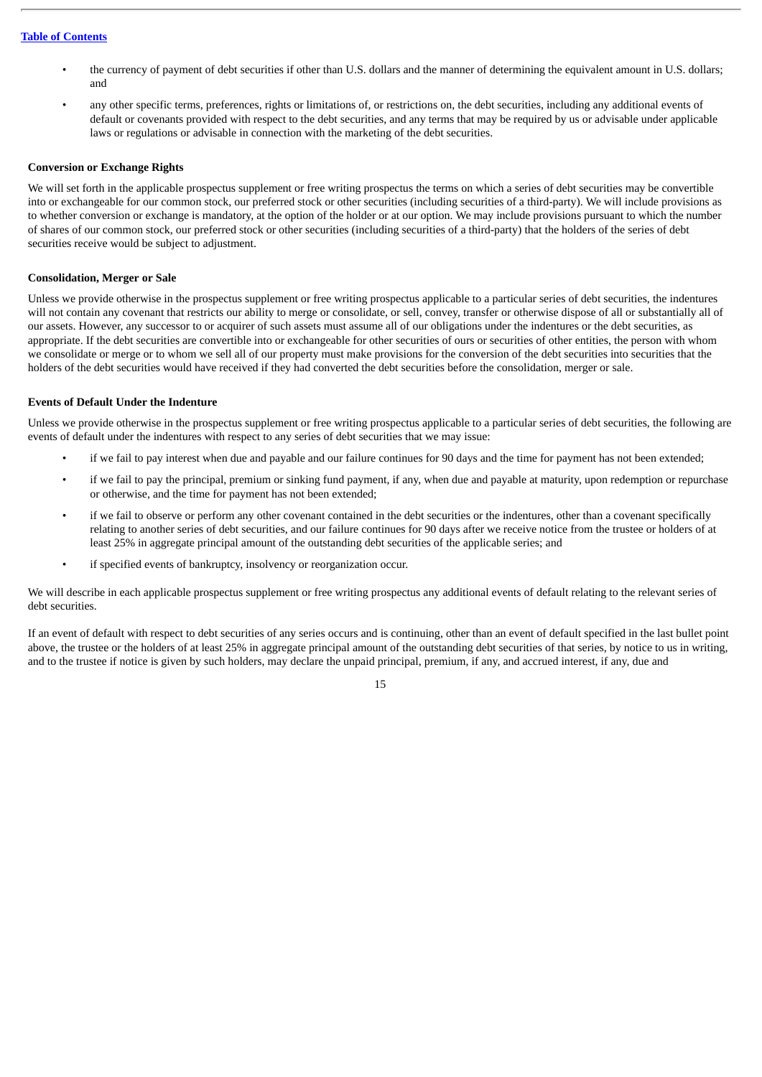- the currency of payment of debt securities if other than U.S. dollars and the manner of determining the equivalent amount in U.S. dollars; and
- any other specific terms, preferences, rights or limitations of, or restrictions on, the debt securities, including any additional events of default or covenants provided with respect to the debt securities, and any terms that may be required by us or advisable under applicable laws or regulations or advisable in connection with the marketing of the debt securities.

#### **Conversion or Exchange Rights**

We will set forth in the applicable prospectus supplement or free writing prospectus the terms on which a series of debt securities may be convertible into or exchangeable for our common stock, our preferred stock or other securities (including securities of a third-party). We will include provisions as to whether conversion or exchange is mandatory, at the option of the holder or at our option. We may include provisions pursuant to which the number of shares of our common stock, our preferred stock or other securities (including securities of a third-party) that the holders of the series of debt securities receive would be subject to adjustment.

#### **Consolidation, Merger or Sale**

Unless we provide otherwise in the prospectus supplement or free writing prospectus applicable to a particular series of debt securities, the indentures will not contain any covenant that restricts our ability to merge or consolidate, or sell, convey, transfer or otherwise dispose of all or substantially all of our assets. However, any successor to or acquirer of such assets must assume all of our obligations under the indentures or the debt securities, as appropriate. If the debt securities are convertible into or exchangeable for other securities of ours or securities of other entities, the person with whom we consolidate or merge or to whom we sell all of our property must make provisions for the conversion of the debt securities into securities that the holders of the debt securities would have received if they had converted the debt securities before the consolidation, merger or sale.

#### **Events of Default Under the Indenture**

Unless we provide otherwise in the prospectus supplement or free writing prospectus applicable to a particular series of debt securities, the following are events of default under the indentures with respect to any series of debt securities that we may issue:

- if we fail to pay interest when due and payable and our failure continues for 90 days and the time for payment has not been extended;
- if we fail to pay the principal, premium or sinking fund payment, if any, when due and payable at maturity, upon redemption or repurchase or otherwise, and the time for payment has not been extended;
- if we fail to observe or perform any other covenant contained in the debt securities or the indentures, other than a covenant specifically relating to another series of debt securities, and our failure continues for 90 days after we receive notice from the trustee or holders of at least 25% in aggregate principal amount of the outstanding debt securities of the applicable series; and
- if specified events of bankruptcy, insolvency or reorganization occur.

We will describe in each applicable prospectus supplement or free writing prospectus any additional events of default relating to the relevant series of debt securities.

If an event of default with respect to debt securities of any series occurs and is continuing, other than an event of default specified in the last bullet point above, the trustee or the holders of at least 25% in aggregate principal amount of the outstanding debt securities of that series, by notice to us in writing, and to the trustee if notice is given by such holders, may declare the unpaid principal, premium, if any, and accrued interest, if any, due and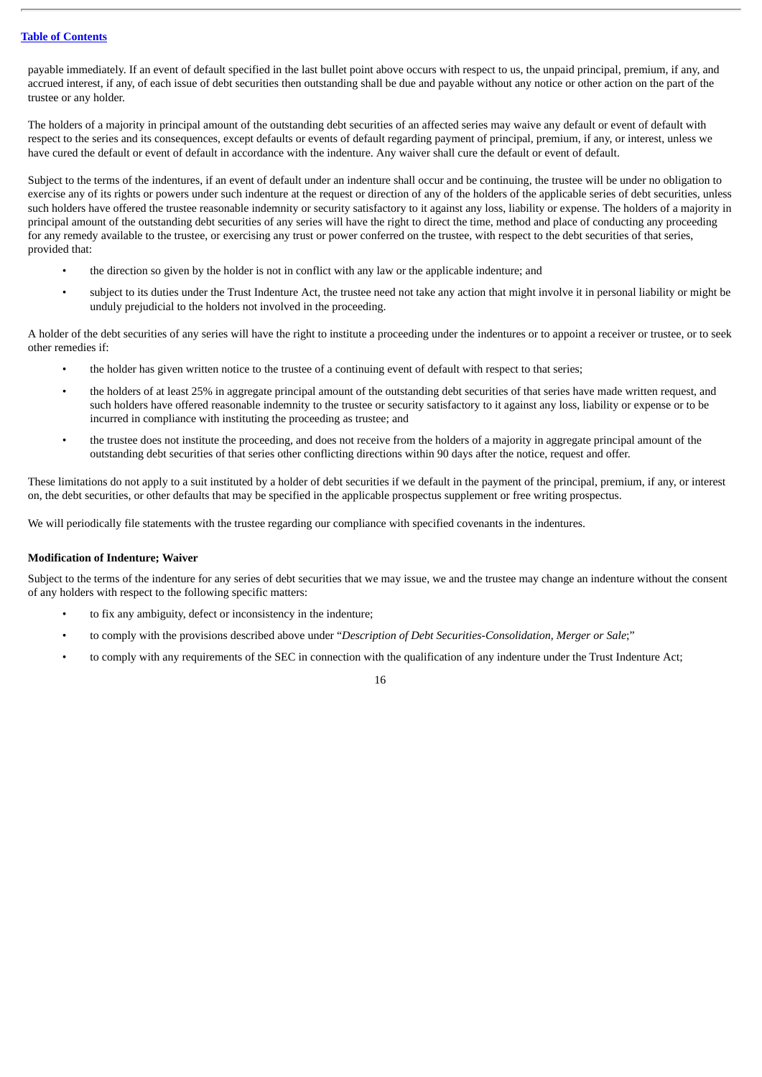payable immediately. If an event of default specified in the last bullet point above occurs with respect to us, the unpaid principal, premium, if any, and accrued interest, if any, of each issue of debt securities then outstanding shall be due and payable without any notice or other action on the part of the trustee or any holder.

The holders of a majority in principal amount of the outstanding debt securities of an affected series may waive any default or event of default with respect to the series and its consequences, except defaults or events of default regarding payment of principal, premium, if any, or interest, unless we have cured the default or event of default in accordance with the indenture. Any waiver shall cure the default or event of default.

Subject to the terms of the indentures, if an event of default under an indenture shall occur and be continuing, the trustee will be under no obligation to exercise any of its rights or powers under such indenture at the request or direction of any of the holders of the applicable series of debt securities, unless such holders have offered the trustee reasonable indemnity or security satisfactory to it against any loss, liability or expense. The holders of a majority in principal amount of the outstanding debt securities of any series will have the right to direct the time, method and place of conducting any proceeding for any remedy available to the trustee, or exercising any trust or power conferred on the trustee, with respect to the debt securities of that series, provided that:

- the direction so given by the holder is not in conflict with any law or the applicable indenture; and
- subject to its duties under the Trust Indenture Act, the trustee need not take any action that might involve it in personal liability or might be unduly prejudicial to the holders not involved in the proceeding.

A holder of the debt securities of any series will have the right to institute a proceeding under the indentures or to appoint a receiver or trustee, or to seek other remedies if:

- the holder has given written notice to the trustee of a continuing event of default with respect to that series;
- the holders of at least 25% in aggregate principal amount of the outstanding debt securities of that series have made written request, and such holders have offered reasonable indemnity to the trustee or security satisfactory to it against any loss, liability or expense or to be incurred in compliance with instituting the proceeding as trustee; and
- the trustee does not institute the proceeding, and does not receive from the holders of a majority in aggregate principal amount of the outstanding debt securities of that series other conflicting directions within 90 days after the notice, request and offer.

These limitations do not apply to a suit instituted by a holder of debt securities if we default in the payment of the principal, premium, if any, or interest on, the debt securities, or other defaults that may be specified in the applicable prospectus supplement or free writing prospectus.

We will periodically file statements with the trustee regarding our compliance with specified covenants in the indentures.

#### **Modification of Indenture; Waiver**

Subject to the terms of the indenture for any series of debt securities that we may issue, we and the trustee may change an indenture without the consent of any holders with respect to the following specific matters:

- to fix any ambiguity, defect or inconsistency in the indenture;
- to comply with the provisions described above under "*Description of Debt Securities-Consolidation, Merger or Sale*;"
- to comply with any requirements of the SEC in connection with the qualification of any indenture under the Trust Indenture Act;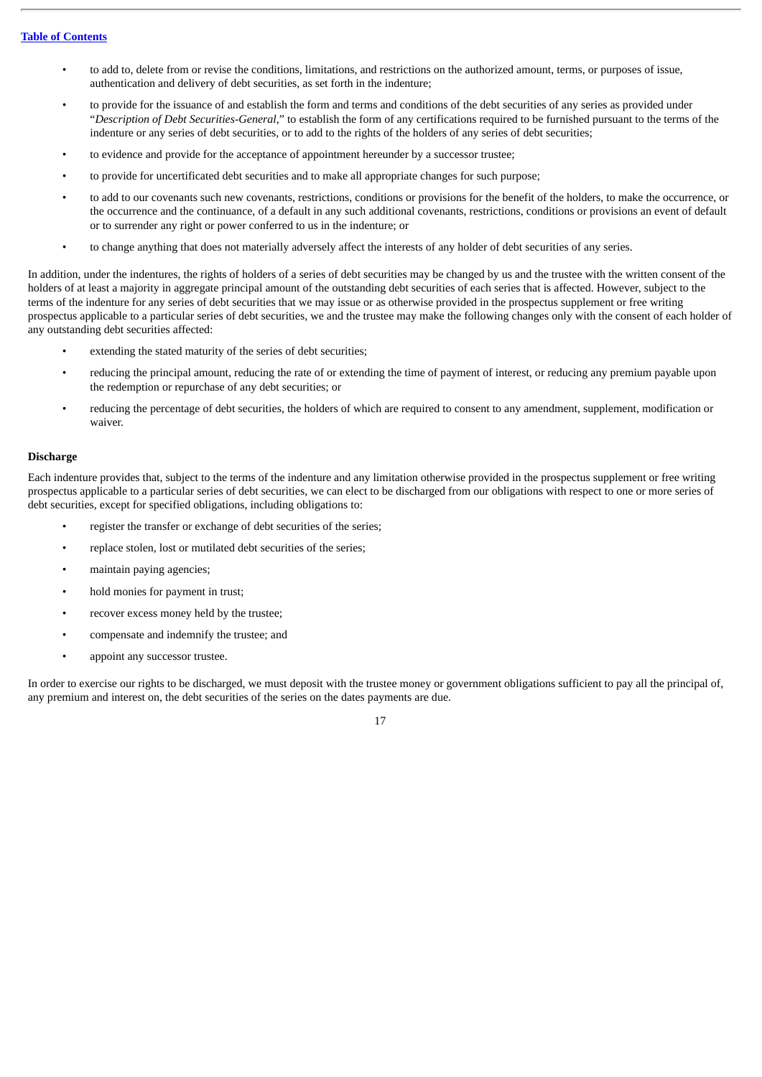- to add to, delete from or revise the conditions, limitations, and restrictions on the authorized amount, terms, or purposes of issue, authentication and delivery of debt securities, as set forth in the indenture;
- to provide for the issuance of and establish the form and terms and conditions of the debt securities of any series as provided under "*Description of Debt Securities-General*," to establish the form of any certifications required to be furnished pursuant to the terms of the indenture or any series of debt securities, or to add to the rights of the holders of any series of debt securities;
- to evidence and provide for the acceptance of appointment hereunder by a successor trustee;
- to provide for uncertificated debt securities and to make all appropriate changes for such purpose;
- to add to our covenants such new covenants, restrictions, conditions or provisions for the benefit of the holders, to make the occurrence, or the occurrence and the continuance, of a default in any such additional covenants, restrictions, conditions or provisions an event of default or to surrender any right or power conferred to us in the indenture; or
- to change anything that does not materially adversely affect the interests of any holder of debt securities of any series.

In addition, under the indentures, the rights of holders of a series of debt securities may be changed by us and the trustee with the written consent of the holders of at least a majority in aggregate principal amount of the outstanding debt securities of each series that is affected. However, subject to the terms of the indenture for any series of debt securities that we may issue or as otherwise provided in the prospectus supplement or free writing prospectus applicable to a particular series of debt securities, we and the trustee may make the following changes only with the consent of each holder of any outstanding debt securities affected:

- extending the stated maturity of the series of debt securities;
- reducing the principal amount, reducing the rate of or extending the time of payment of interest, or reducing any premium payable upon the redemption or repurchase of any debt securities; or
- reducing the percentage of debt securities, the holders of which are required to consent to any amendment, supplement, modification or waiver.

#### **Discharge**

Each indenture provides that, subject to the terms of the indenture and any limitation otherwise provided in the prospectus supplement or free writing prospectus applicable to a particular series of debt securities, we can elect to be discharged from our obligations with respect to one or more series of debt securities, except for specified obligations, including obligations to:

- register the transfer or exchange of debt securities of the series;
- replace stolen, lost or mutilated debt securities of the series;
- maintain paying agencies;
- hold monies for payment in trust;
- recover excess money held by the trustee;
- compensate and indemnify the trustee; and
- appoint any successor trustee.

In order to exercise our rights to be discharged, we must deposit with the trustee money or government obligations sufficient to pay all the principal of, any premium and interest on, the debt securities of the series on the dates payments are due.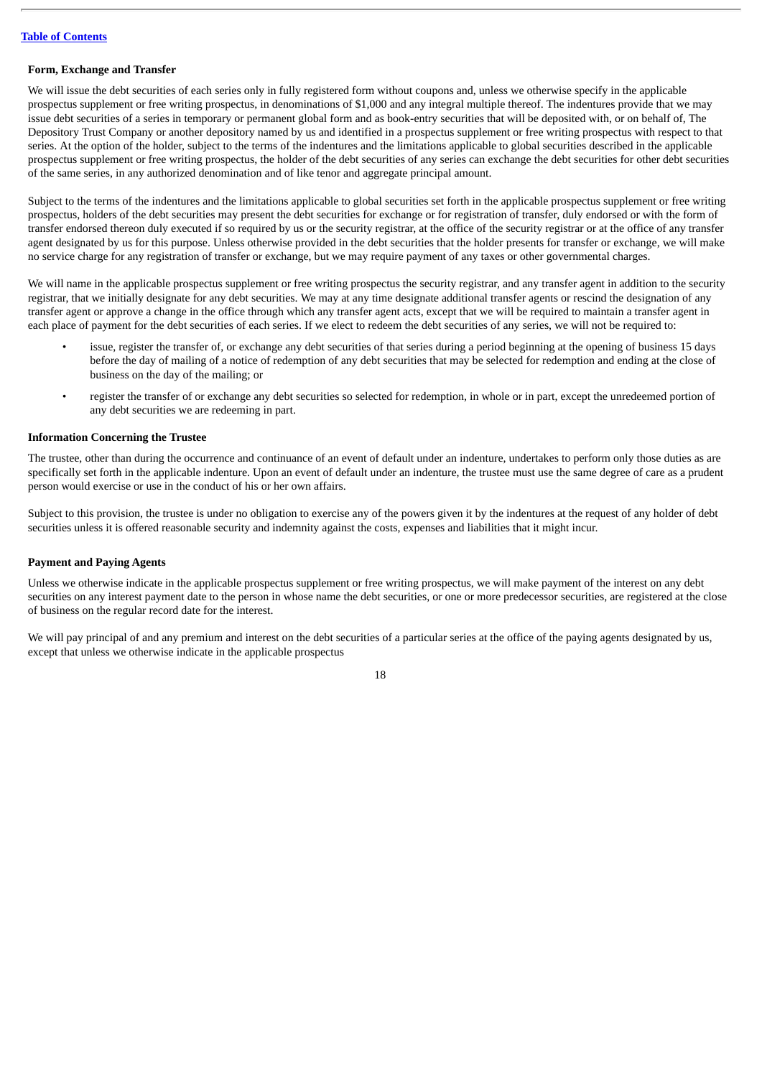#### **Form, Exchange and Transfer**

We will issue the debt securities of each series only in fully registered form without coupons and, unless we otherwise specify in the applicable prospectus supplement or free writing prospectus, in denominations of \$1,000 and any integral multiple thereof. The indentures provide that we may issue debt securities of a series in temporary or permanent global form and as book-entry securities that will be deposited with, or on behalf of, The Depository Trust Company or another depository named by us and identified in a prospectus supplement or free writing prospectus with respect to that series. At the option of the holder, subject to the terms of the indentures and the limitations applicable to global securities described in the applicable prospectus supplement or free writing prospectus, the holder of the debt securities of any series can exchange the debt securities for other debt securities of the same series, in any authorized denomination and of like tenor and aggregate principal amount.

Subject to the terms of the indentures and the limitations applicable to global securities set forth in the applicable prospectus supplement or free writing prospectus, holders of the debt securities may present the debt securities for exchange or for registration of transfer, duly endorsed or with the form of transfer endorsed thereon duly executed if so required by us or the security registrar, at the office of the security registrar or at the office of any transfer agent designated by us for this purpose. Unless otherwise provided in the debt securities that the holder presents for transfer or exchange, we will make no service charge for any registration of transfer or exchange, but we may require payment of any taxes or other governmental charges.

We will name in the applicable prospectus supplement or free writing prospectus the security registrar, and any transfer agent in addition to the security registrar, that we initially designate for any debt securities. We may at any time designate additional transfer agents or rescind the designation of any transfer agent or approve a change in the office through which any transfer agent acts, except that we will be required to maintain a transfer agent in each place of payment for the debt securities of each series. If we elect to redeem the debt securities of any series, we will not be required to:

- issue, register the transfer of, or exchange any debt securities of that series during a period beginning at the opening of business 15 days before the day of mailing of a notice of redemption of any debt securities that may be selected for redemption and ending at the close of business on the day of the mailing; or
- register the transfer of or exchange any debt securities so selected for redemption, in whole or in part, except the unredeemed portion of any debt securities we are redeeming in part.

#### **Information Concerning the Trustee**

The trustee, other than during the occurrence and continuance of an event of default under an indenture, undertakes to perform only those duties as are specifically set forth in the applicable indenture. Upon an event of default under an indenture, the trustee must use the same degree of care as a prudent person would exercise or use in the conduct of his or her own affairs.

Subject to this provision, the trustee is under no obligation to exercise any of the powers given it by the indentures at the request of any holder of debt securities unless it is offered reasonable security and indemnity against the costs, expenses and liabilities that it might incur.

#### **Payment and Paying Agents**

Unless we otherwise indicate in the applicable prospectus supplement or free writing prospectus, we will make payment of the interest on any debt securities on any interest payment date to the person in whose name the debt securities, or one or more predecessor securities, are registered at the close of business on the regular record date for the interest.

We will pay principal of and any premium and interest on the debt securities of a particular series at the office of the paying agents designated by us, except that unless we otherwise indicate in the applicable prospectus

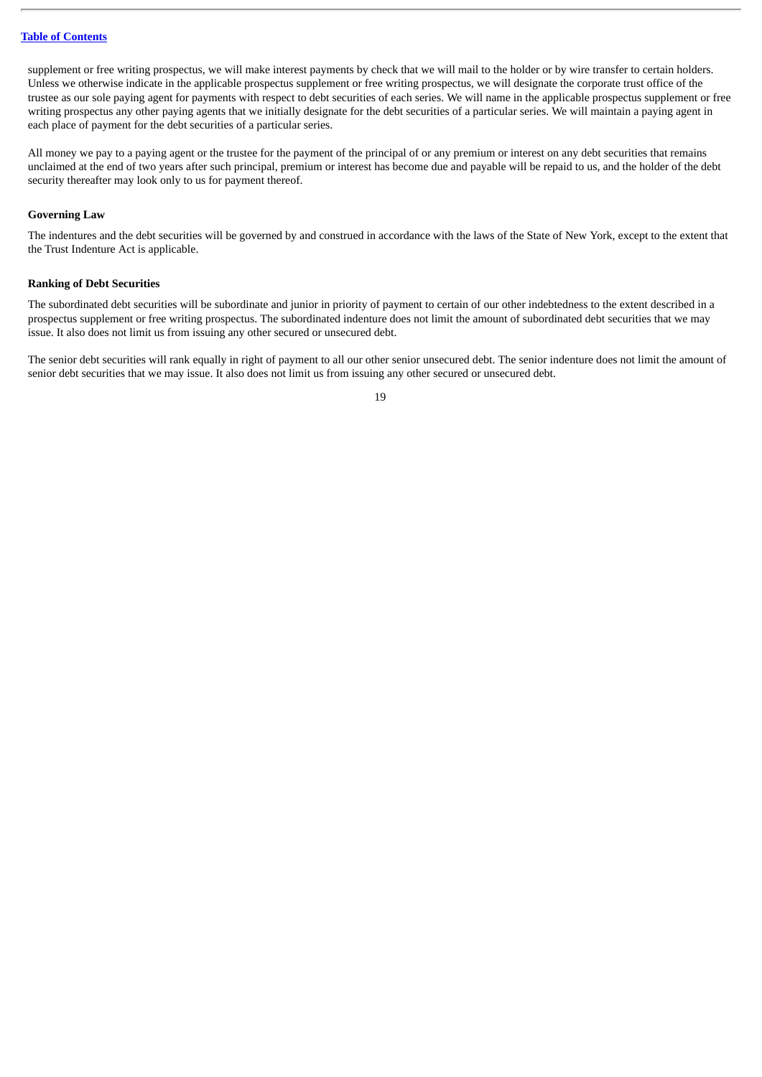supplement or free writing prospectus, we will make interest payments by check that we will mail to the holder or by wire transfer to certain holders. Unless we otherwise indicate in the applicable prospectus supplement or free writing prospectus, we will designate the corporate trust office of the trustee as our sole paying agent for payments with respect to debt securities of each series. We will name in the applicable prospectus supplement or free writing prospectus any other paying agents that we initially designate for the debt securities of a particular series. We will maintain a paying agent in each place of payment for the debt securities of a particular series.

All money we pay to a paying agent or the trustee for the payment of the principal of or any premium or interest on any debt securities that remains unclaimed at the end of two years after such principal, premium or interest has become due and payable will be repaid to us, and the holder of the debt security thereafter may look only to us for payment thereof.

#### **Governing Law**

The indentures and the debt securities will be governed by and construed in accordance with the laws of the State of New York, except to the extent that the Trust Indenture Act is applicable.

#### **Ranking of Debt Securities**

The subordinated debt securities will be subordinate and junior in priority of payment to certain of our other indebtedness to the extent described in a prospectus supplement or free writing prospectus. The subordinated indenture does not limit the amount of subordinated debt securities that we may issue. It also does not limit us from issuing any other secured or unsecured debt.

The senior debt securities will rank equally in right of payment to all our other senior unsecured debt. The senior indenture does not limit the amount of senior debt securities that we may issue. It also does not limit us from issuing any other secured or unsecured debt.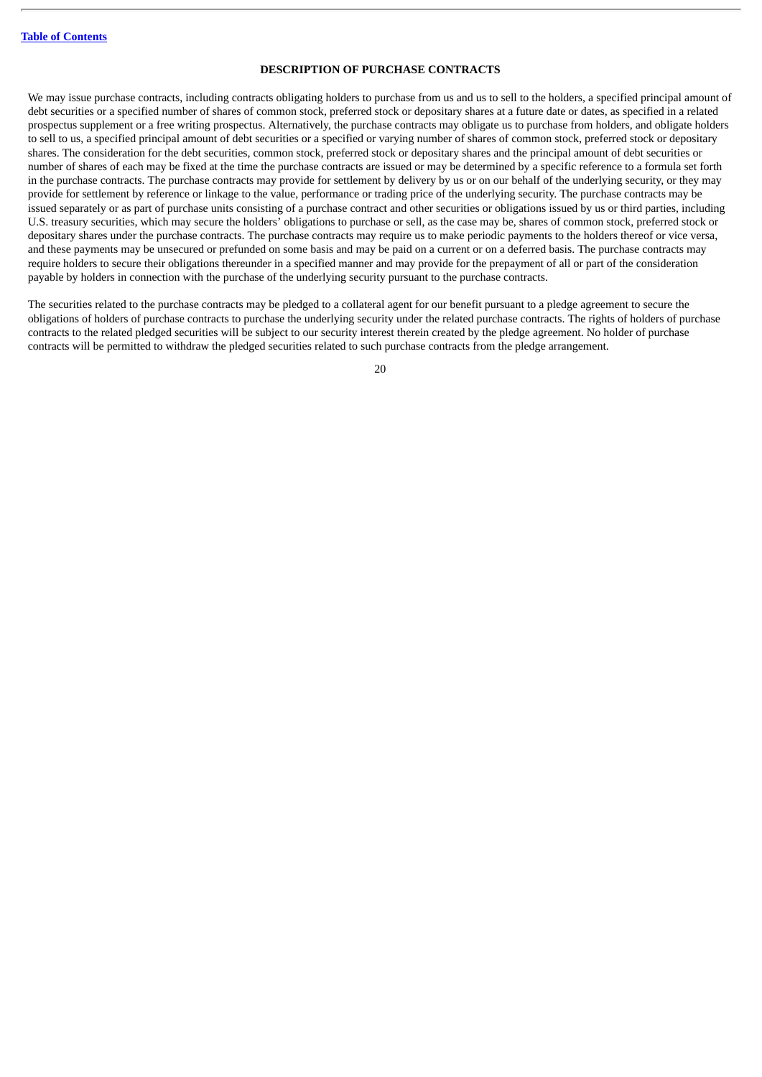#### **DESCRIPTION OF PURCHASE CONTRACTS**

<span id="page-23-0"></span>We may issue purchase contracts, including contracts obligating holders to purchase from us and us to sell to the holders, a specified principal amount of debt securities or a specified number of shares of common stock, preferred stock or depositary shares at a future date or dates, as specified in a related prospectus supplement or a free writing prospectus. Alternatively, the purchase contracts may obligate us to purchase from holders, and obligate holders to sell to us, a specified principal amount of debt securities or a specified or varying number of shares of common stock, preferred stock or depositary shares. The consideration for the debt securities, common stock, preferred stock or depositary shares and the principal amount of debt securities or number of shares of each may be fixed at the time the purchase contracts are issued or may be determined by a specific reference to a formula set forth in the purchase contracts. The purchase contracts may provide for settlement by delivery by us or on our behalf of the underlying security, or they may provide for settlement by reference or linkage to the value, performance or trading price of the underlying security. The purchase contracts may be issued separately or as part of purchase units consisting of a purchase contract and other securities or obligations issued by us or third parties, including U.S. treasury securities, which may secure the holders' obligations to purchase or sell, as the case may be, shares of common stock, preferred stock or depositary shares under the purchase contracts. The purchase contracts may require us to make periodic payments to the holders thereof or vice versa, and these payments may be unsecured or prefunded on some basis and may be paid on a current or on a deferred basis. The purchase contracts may require holders to secure their obligations thereunder in a specified manner and may provide for the prepayment of all or part of the consideration payable by holders in connection with the purchase of the underlying security pursuant to the purchase contracts.

The securities related to the purchase contracts may be pledged to a collateral agent for our benefit pursuant to a pledge agreement to secure the obligations of holders of purchase contracts to purchase the underlying security under the related purchase contracts. The rights of holders of purchase contracts to the related pledged securities will be subject to our security interest therein created by the pledge agreement. No holder of purchase contracts will be permitted to withdraw the pledged securities related to such purchase contracts from the pledge arrangement.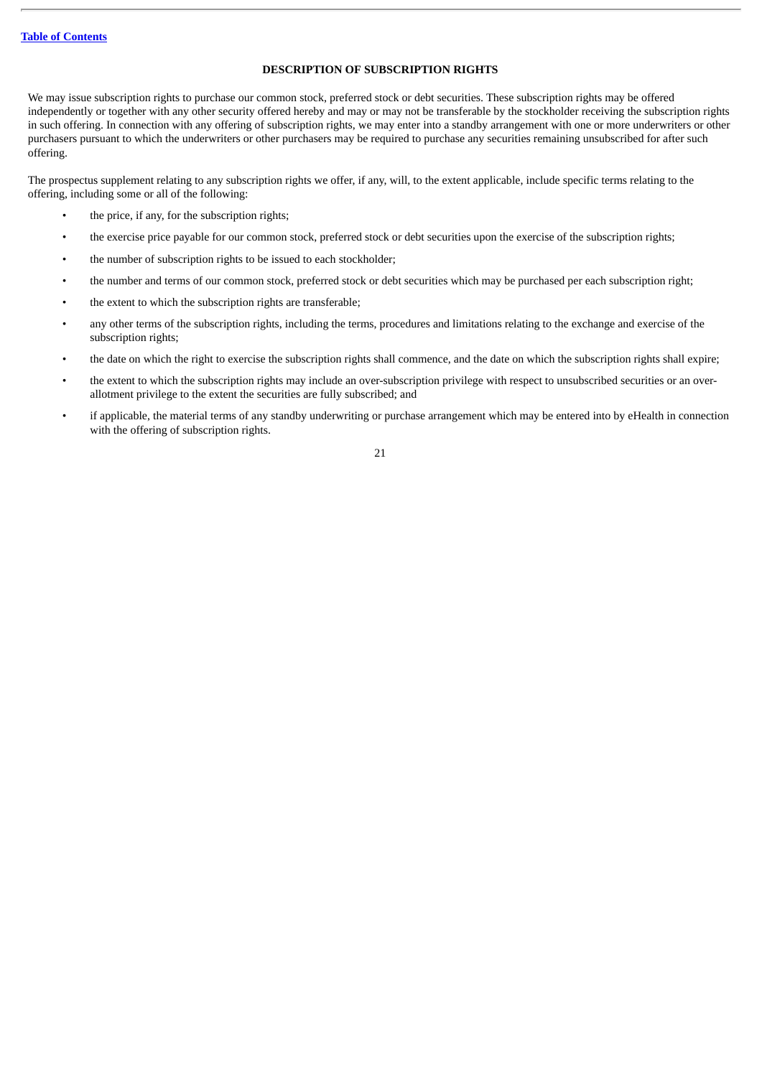#### **DESCRIPTION OF SUBSCRIPTION RIGHTS**

<span id="page-24-0"></span>We may issue subscription rights to purchase our common stock, preferred stock or debt securities. These subscription rights may be offered independently or together with any other security offered hereby and may or may not be transferable by the stockholder receiving the subscription rights in such offering. In connection with any offering of subscription rights, we may enter into a standby arrangement with one or more underwriters or other purchasers pursuant to which the underwriters or other purchasers may be required to purchase any securities remaining unsubscribed for after such offering.

The prospectus supplement relating to any subscription rights we offer, if any, will, to the extent applicable, include specific terms relating to the offering, including some or all of the following:

- the price, if any, for the subscription rights;
- the exercise price payable for our common stock, preferred stock or debt securities upon the exercise of the subscription rights;
- the number of subscription rights to be issued to each stockholder;
- the number and terms of our common stock, preferred stock or debt securities which may be purchased per each subscription right;
- the extent to which the subscription rights are transferable;
- any other terms of the subscription rights, including the terms, procedures and limitations relating to the exchange and exercise of the subscription rights;
- the date on which the right to exercise the subscription rights shall commence, and the date on which the subscription rights shall expire;
- the extent to which the subscription rights may include an over-subscription privilege with respect to unsubscribed securities or an overallotment privilege to the extent the securities are fully subscribed; and
- if applicable, the material terms of any standby underwriting or purchase arrangement which may be entered into by eHealth in connection with the offering of subscription rights.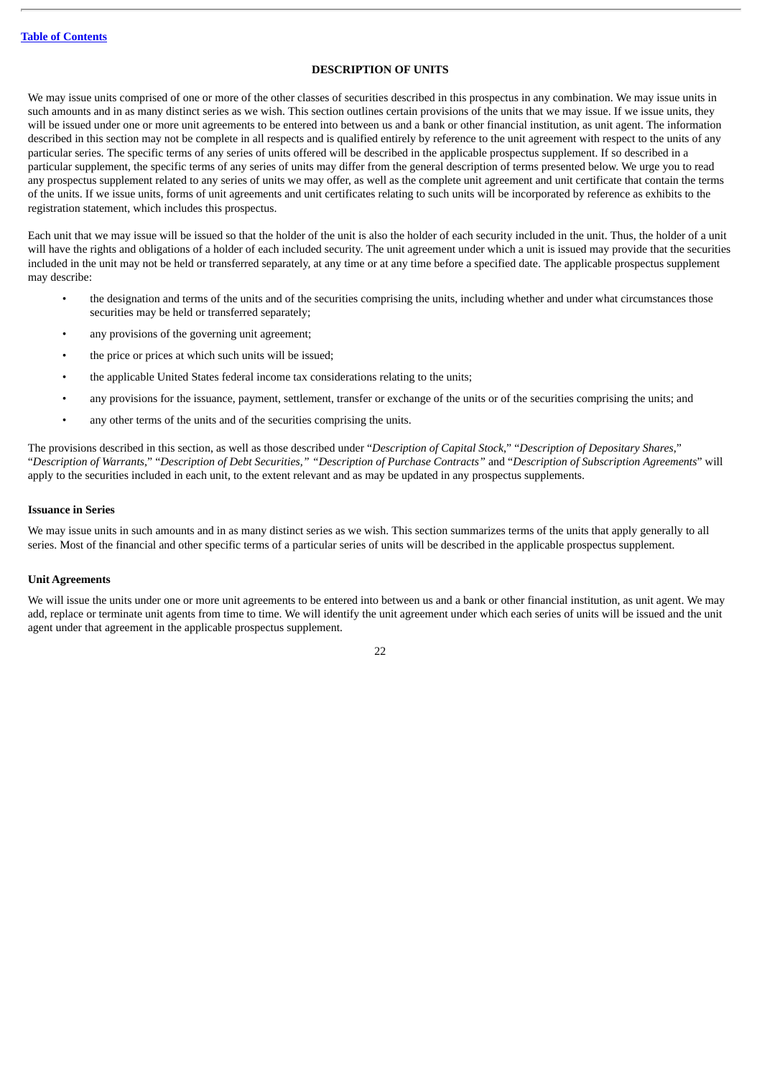#### **DESCRIPTION OF UNITS**

<span id="page-25-0"></span>We may issue units comprised of one or more of the other classes of securities described in this prospectus in any combination. We may issue units in such amounts and in as many distinct series as we wish. This section outlines certain provisions of the units that we may issue. If we issue units, they will be issued under one or more unit agreements to be entered into between us and a bank or other financial institution, as unit agent. The information described in this section may not be complete in all respects and is qualified entirely by reference to the unit agreement with respect to the units of any particular series. The specific terms of any series of units offered will be described in the applicable prospectus supplement. If so described in a particular supplement, the specific terms of any series of units may differ from the general description of terms presented below. We urge you to read any prospectus supplement related to any series of units we may offer, as well as the complete unit agreement and unit certificate that contain the terms of the units. If we issue units, forms of unit agreements and unit certificates relating to such units will be incorporated by reference as exhibits to the registration statement, which includes this prospectus.

Each unit that we may issue will be issued so that the holder of the unit is also the holder of each security included in the unit. Thus, the holder of a unit will have the rights and obligations of a holder of each included security. The unit agreement under which a unit is issued may provide that the securities included in the unit may not be held or transferred separately, at any time or at any time before a specified date. The applicable prospectus supplement may describe:

- the designation and terms of the units and of the securities comprising the units, including whether and under what circumstances those securities may be held or transferred separately;
- any provisions of the governing unit agreement;
- the price or prices at which such units will be issued;
- the applicable United States federal income tax considerations relating to the units;
- any provisions for the issuance, payment, settlement, transfer or exchange of the units or of the securities comprising the units; and
- any other terms of the units and of the securities comprising the units.

The provisions described in this section, as well as those described under "*Description of Capital Stock*," "*Description of Depositary Shares*," "Description of Warrants," "Description of Debt Securities," "Description of Purchase Contracts" and "Description of Subscription Agreements" will apply to the securities included in each unit, to the extent relevant and as may be updated in any prospectus supplements.

#### **Issuance in Series**

We may issue units in such amounts and in as many distinct series as we wish. This section summarizes terms of the units that apply generally to all series. Most of the financial and other specific terms of a particular series of units will be described in the applicable prospectus supplement.

#### **Unit Agreements**

We will issue the units under one or more unit agreements to be entered into between us and a bank or other financial institution, as unit agent. We may add, replace or terminate unit agents from time to time. We will identify the unit agreement under which each series of units will be issued and the unit agent under that agreement in the applicable prospectus supplement.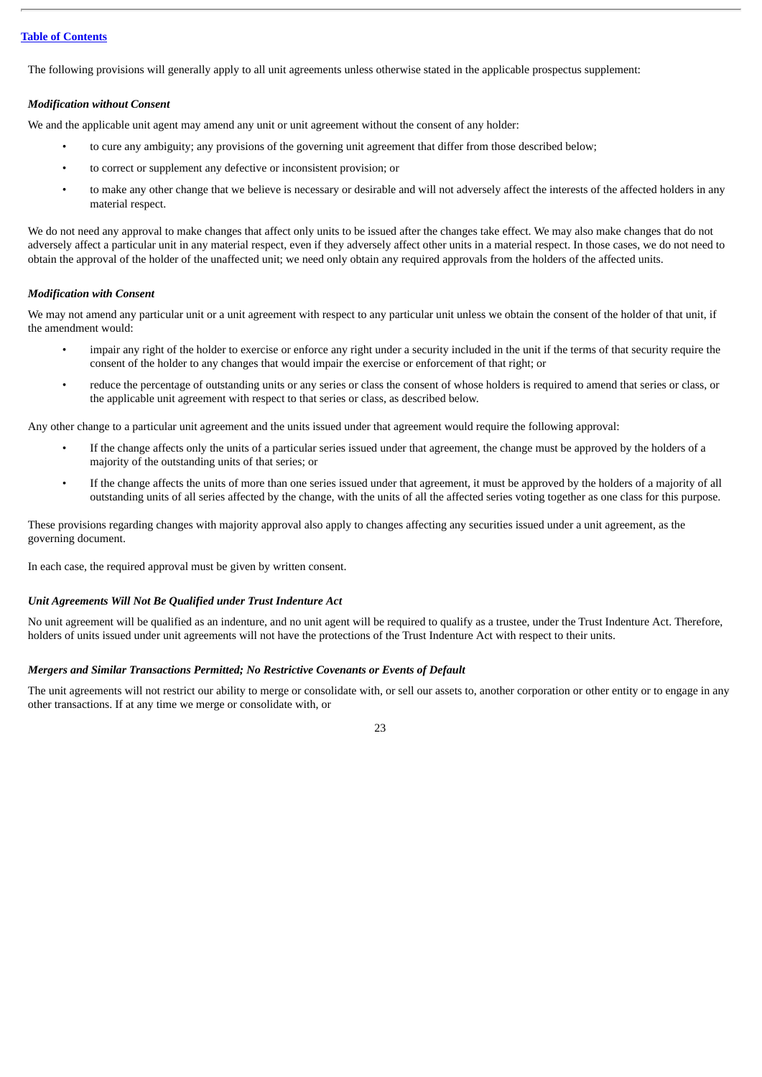The following provisions will generally apply to all unit agreements unless otherwise stated in the applicable prospectus supplement:

#### *Modification without Consent*

We and the applicable unit agent may amend any unit or unit agreement without the consent of any holder:

- to cure any ambiguity; any provisions of the governing unit agreement that differ from those described below;
- to correct or supplement any defective or inconsistent provision; or
- to make any other change that we believe is necessary or desirable and will not adversely affect the interests of the affected holders in any material respect.

We do not need any approval to make changes that affect only units to be issued after the changes take effect. We may also make changes that do not adversely affect a particular unit in any material respect, even if they adversely affect other units in a material respect. In those cases, we do not need to obtain the approval of the holder of the unaffected unit; we need only obtain any required approvals from the holders of the affected units.

#### *Modification with Consent*

We may not amend any particular unit or a unit agreement with respect to any particular unit unless we obtain the consent of the holder of that unit, if the amendment would:

- impair any right of the holder to exercise or enforce any right under a security included in the unit if the terms of that security require the consent of the holder to any changes that would impair the exercise or enforcement of that right; or
- reduce the percentage of outstanding units or any series or class the consent of whose holders is required to amend that series or class, or the applicable unit agreement with respect to that series or class, as described below.

Any other change to a particular unit agreement and the units issued under that agreement would require the following approval:

- If the change affects only the units of a particular series issued under that agreement, the change must be approved by the holders of a majority of the outstanding units of that series; or
- If the change affects the units of more than one series issued under that agreement, it must be approved by the holders of a majority of all outstanding units of all series affected by the change, with the units of all the affected series voting together as one class for this purpose.

These provisions regarding changes with majority approval also apply to changes affecting any securities issued under a unit agreement, as the governing document.

In each case, the required approval must be given by written consent.

#### *Unit Agreements Will Not Be Qualified under Trust Indenture Act*

No unit agreement will be qualified as an indenture, and no unit agent will be required to qualify as a trustee, under the Trust Indenture Act. Therefore, holders of units issued under unit agreements will not have the protections of the Trust Indenture Act with respect to their units.

#### *Mergers and Similar Transactions Permitted; No Restrictive Covenants or Events of Default*

The unit agreements will not restrict our ability to merge or consolidate with, or sell our assets to, another corporation or other entity or to engage in any other transactions. If at any time we merge or consolidate with, or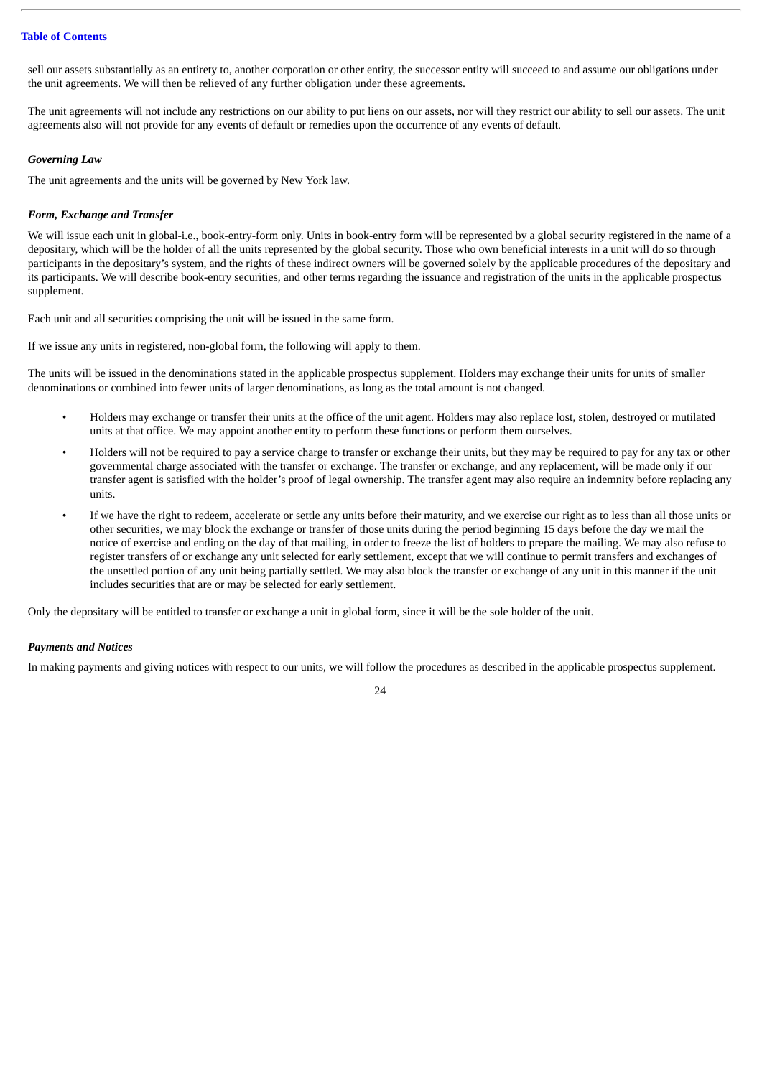sell our assets substantially as an entirety to, another corporation or other entity, the successor entity will succeed to and assume our obligations under the unit agreements. We will then be relieved of any further obligation under these agreements.

The unit agreements will not include any restrictions on our ability to put liens on our assets, nor will they restrict our ability to sell our assets. The unit agreements also will not provide for any events of default or remedies upon the occurrence of any events of default.

#### *Governing Law*

The unit agreements and the units will be governed by New York law.

#### *Form, Exchange and Transfer*

We will issue each unit in global-i.e., book-entry-form only. Units in book-entry form will be represented by a global security registered in the name of a depositary, which will be the holder of all the units represented by the global security. Those who own beneficial interests in a unit will do so through participants in the depositary's system, and the rights of these indirect owners will be governed solely by the applicable procedures of the depositary and its participants. We will describe book-entry securities, and other terms regarding the issuance and registration of the units in the applicable prospectus supplement.

Each unit and all securities comprising the unit will be issued in the same form.

If we issue any units in registered, non-global form, the following will apply to them.

The units will be issued in the denominations stated in the applicable prospectus supplement. Holders may exchange their units for units of smaller denominations or combined into fewer units of larger denominations, as long as the total amount is not changed.

- Holders may exchange or transfer their units at the office of the unit agent. Holders may also replace lost, stolen, destroyed or mutilated units at that office. We may appoint another entity to perform these functions or perform them ourselves.
- Holders will not be required to pay a service charge to transfer or exchange their units, but they may be required to pay for any tax or other governmental charge associated with the transfer or exchange. The transfer or exchange, and any replacement, will be made only if our transfer agent is satisfied with the holder's proof of legal ownership. The transfer agent may also require an indemnity before replacing any units.
- If we have the right to redeem, accelerate or settle any units before their maturity, and we exercise our right as to less than all those units or other securities, we may block the exchange or transfer of those units during the period beginning 15 days before the day we mail the notice of exercise and ending on the day of that mailing, in order to freeze the list of holders to prepare the mailing. We may also refuse to register transfers of or exchange any unit selected for early settlement, except that we will continue to permit transfers and exchanges of the unsettled portion of any unit being partially settled. We may also block the transfer or exchange of any unit in this manner if the unit includes securities that are or may be selected for early settlement.

Only the depositary will be entitled to transfer or exchange a unit in global form, since it will be the sole holder of the unit.

#### *Payments and Notices*

In making payments and giving notices with respect to our units, we will follow the procedures as described in the applicable prospectus supplement.

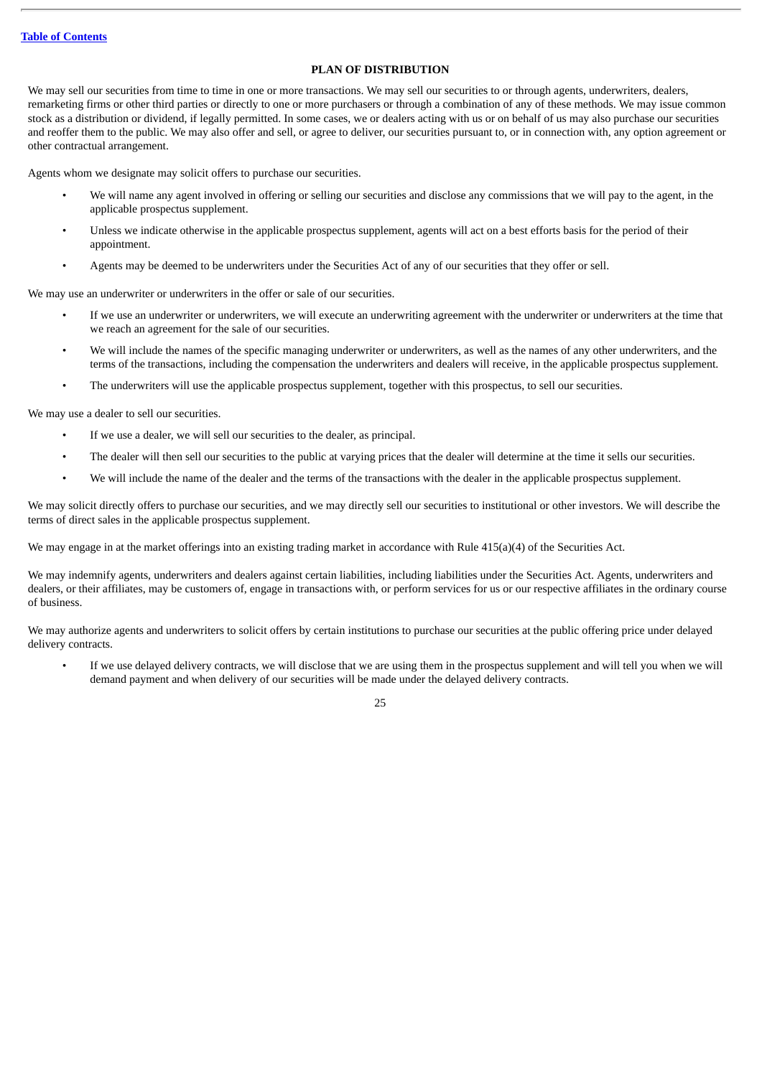#### **PLAN OF DISTRIBUTION**

<span id="page-28-0"></span>We may sell our securities from time to time in one or more transactions. We may sell our securities to or through agents, underwriters, dealers, remarketing firms or other third parties or directly to one or more purchasers or through a combination of any of these methods. We may issue common stock as a distribution or dividend, if legally permitted. In some cases, we or dealers acting with us or on behalf of us may also purchase our securities and reoffer them to the public. We may also offer and sell, or agree to deliver, our securities pursuant to, or in connection with, any option agreement or other contractual arrangement.

Agents whom we designate may solicit offers to purchase our securities.

- We will name any agent involved in offering or selling our securities and disclose any commissions that we will pay to the agent, in the applicable prospectus supplement.
- Unless we indicate otherwise in the applicable prospectus supplement, agents will act on a best efforts basis for the period of their appointment.
- Agents may be deemed to be underwriters under the Securities Act of any of our securities that they offer or sell.

We may use an underwriter or underwriters in the offer or sale of our securities.

- If we use an underwriter or underwriters, we will execute an underwriting agreement with the underwriter or underwriters at the time that we reach an agreement for the sale of our securities.
- We will include the names of the specific managing underwriter or underwriters, as well as the names of any other underwriters, and the terms of the transactions, including the compensation the underwriters and dealers will receive, in the applicable prospectus supplement.
- The underwriters will use the applicable prospectus supplement, together with this prospectus, to sell our securities.

We may use a dealer to sell our securities.

- If we use a dealer, we will sell our securities to the dealer, as principal.
- The dealer will then sell our securities to the public at varying prices that the dealer will determine at the time it sells our securities.
- We will include the name of the dealer and the terms of the transactions with the dealer in the applicable prospectus supplement.

We may solicit directly offers to purchase our securities, and we may directly sell our securities to institutional or other investors. We will describe the terms of direct sales in the applicable prospectus supplement.

We may engage in at the market offerings into an existing trading market in accordance with Rule 415(a)(4) of the Securities Act.

We may indemnify agents, underwriters and dealers against certain liabilities, including liabilities under the Securities Act. Agents, underwriters and dealers, or their affiliates, may be customers of, engage in transactions with, or perform services for us or our respective affiliates in the ordinary course of business.

We may authorize agents and underwriters to solicit offers by certain institutions to purchase our securities at the public offering price under delayed delivery contracts.

• If we use delayed delivery contracts, we will disclose that we are using them in the prospectus supplement and will tell you when we will demand payment and when delivery of our securities will be made under the delayed delivery contracts.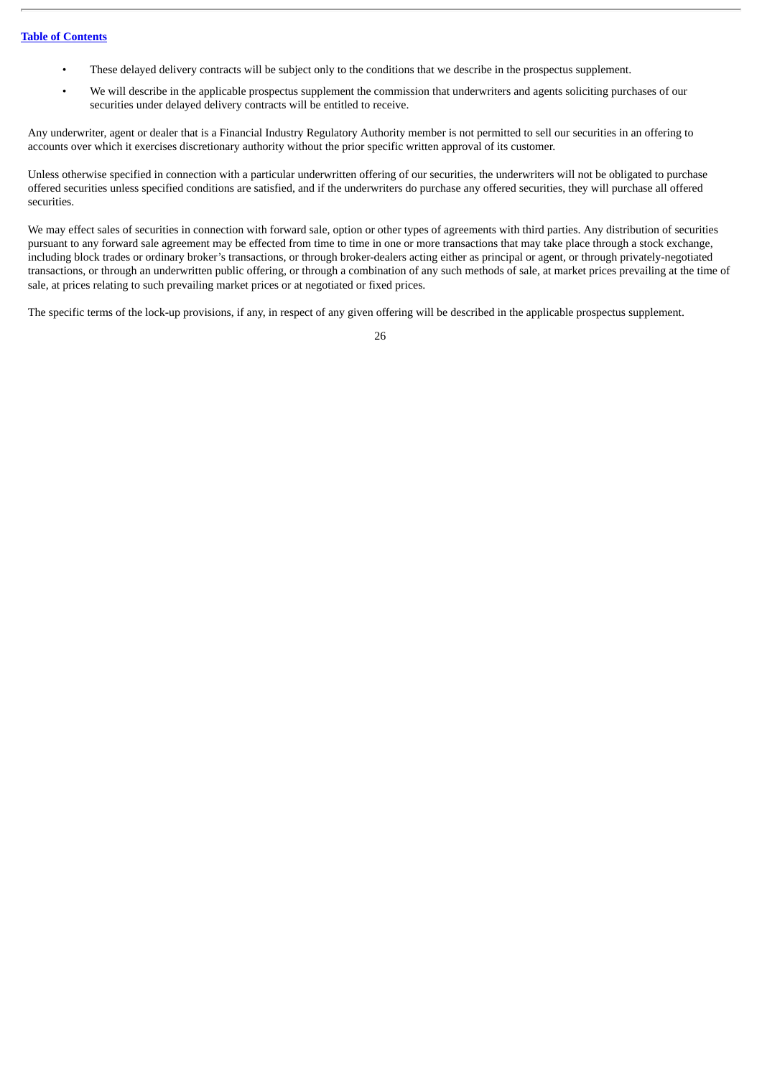- These delayed delivery contracts will be subject only to the conditions that we describe in the prospectus supplement.
- We will describe in the applicable prospectus supplement the commission that underwriters and agents soliciting purchases of our securities under delayed delivery contracts will be entitled to receive.

Any underwriter, agent or dealer that is a Financial Industry Regulatory Authority member is not permitted to sell our securities in an offering to accounts over which it exercises discretionary authority without the prior specific written approval of its customer.

Unless otherwise specified in connection with a particular underwritten offering of our securities, the underwriters will not be obligated to purchase offered securities unless specified conditions are satisfied, and if the underwriters do purchase any offered securities, they will purchase all offered securities.

We may effect sales of securities in connection with forward sale, option or other types of agreements with third parties. Any distribution of securities pursuant to any forward sale agreement may be effected from time to time in one or more transactions that may take place through a stock exchange, including block trades or ordinary broker's transactions, or through broker-dealers acting either as principal or agent, or through privately-negotiated transactions, or through an underwritten public offering, or through a combination of any such methods of sale, at market prices prevailing at the time of sale, at prices relating to such prevailing market prices or at negotiated or fixed prices.

The specific terms of the lock-up provisions, if any, in respect of any given offering will be described in the applicable prospectus supplement.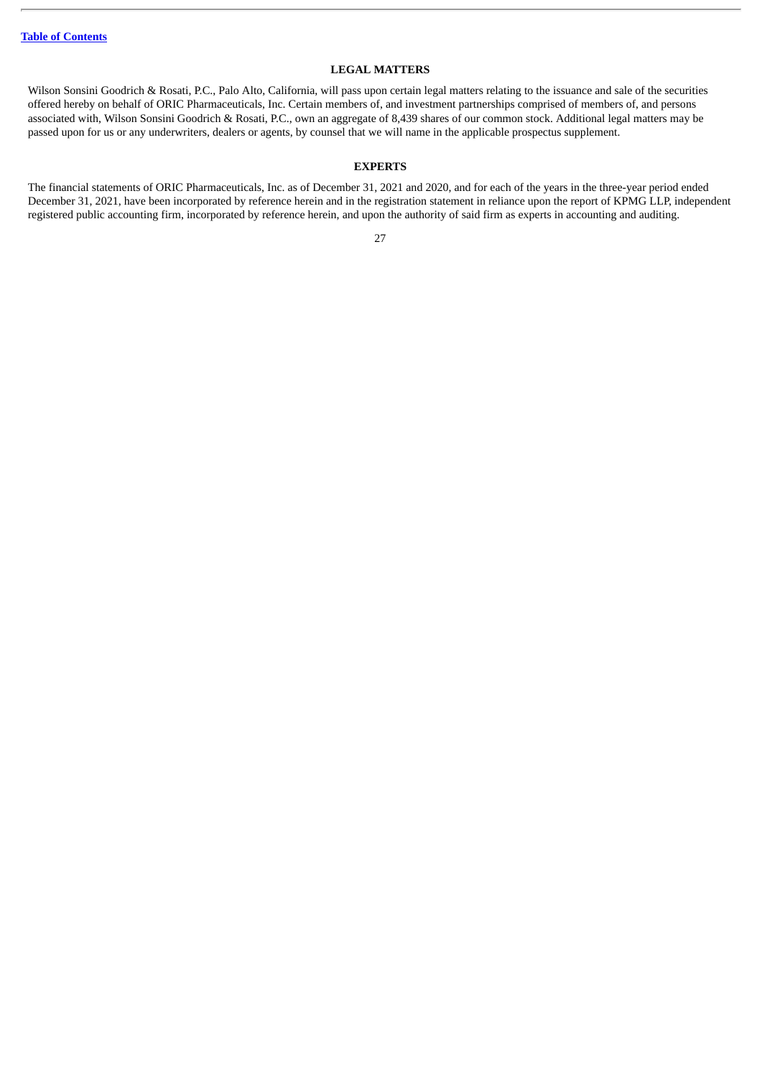#### **LEGAL MATTERS**

<span id="page-30-0"></span>Wilson Sonsini Goodrich & Rosati, P.C., Palo Alto, California, will pass upon certain legal matters relating to the issuance and sale of the securities offered hereby on behalf of ORIC Pharmaceuticals, Inc. Certain members of, and investment partnerships comprised of members of, and persons associated with, Wilson Sonsini Goodrich & Rosati, P.C., own an aggregate of 8,439 shares of our common stock. Additional legal matters may be passed upon for us or any underwriters, dealers or agents, by counsel that we will name in the applicable prospectus supplement.

#### **EXPERTS**

<span id="page-30-1"></span>The financial statements of ORIC Pharmaceuticals, Inc. as of December 31, 2021 and 2020, and for each of the years in the three-year period ended December 31, 2021, have been incorporated by reference herein and in the registration statement in reliance upon the report of KPMG LLP, independent registered public accounting firm, incorporated by reference herein, and upon the authority of said firm as experts in accounting and auditing.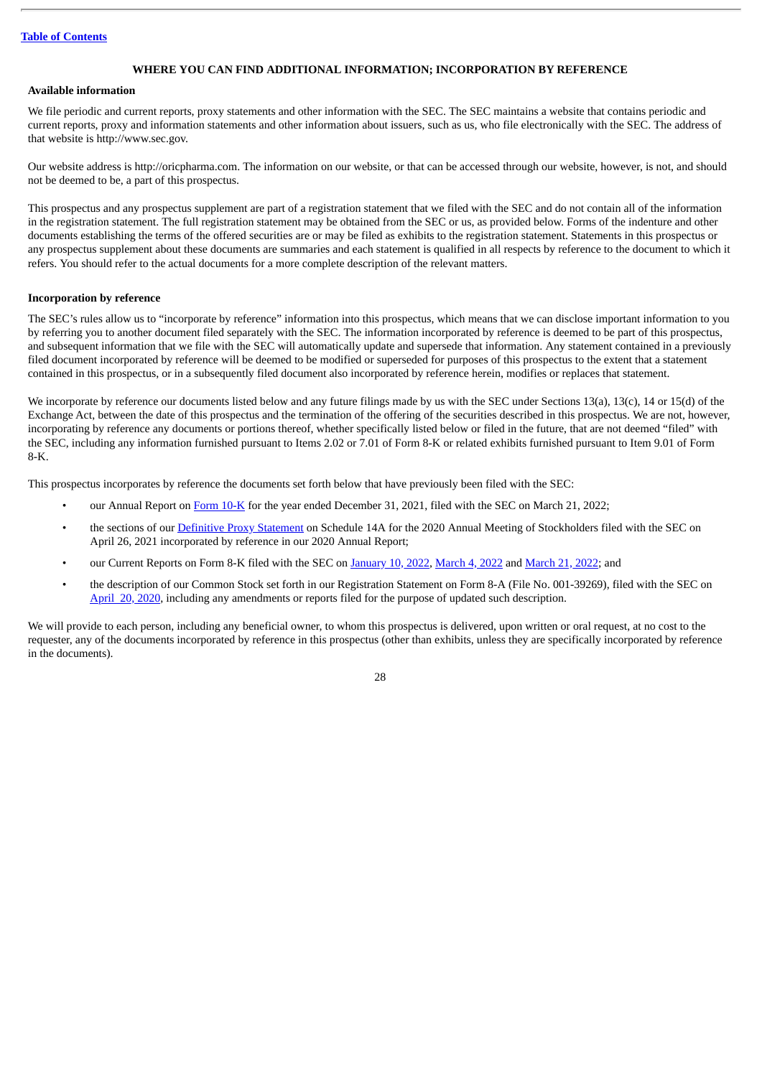#### **WHERE YOU CAN FIND ADDITIONAL INFORMATION; INCORPORATION BY REFERENCE**

#### <span id="page-31-0"></span>**Available information**

We file periodic and current reports, proxy statements and other information with the SEC. The SEC maintains a website that contains periodic and current reports, proxy and information statements and other information about issuers, such as us, who file electronically with the SEC. The address of that website is http://www.sec.gov.

Our website address is http://oricpharma.com. The information on our website, or that can be accessed through our website, however, is not, and should not be deemed to be, a part of this prospectus.

This prospectus and any prospectus supplement are part of a registration statement that we filed with the SEC and do not contain all of the information in the registration statement. The full registration statement may be obtained from the SEC or us, as provided below. Forms of the indenture and other documents establishing the terms of the offered securities are or may be filed as exhibits to the registration statement. Statements in this prospectus or any prospectus supplement about these documents are summaries and each statement is qualified in all respects by reference to the document to which it refers. You should refer to the actual documents for a more complete description of the relevant matters.

#### **Incorporation by reference**

The SEC's rules allow us to "incorporate by reference" information into this prospectus, which means that we can disclose important information to you by referring you to another document filed separately with the SEC. The information incorporated by reference is deemed to be part of this prospectus, and subsequent information that we file with the SEC will automatically update and supersede that information. Any statement contained in a previously filed document incorporated by reference will be deemed to be modified or superseded for purposes of this prospectus to the extent that a statement contained in this prospectus, or in a subsequently filed document also incorporated by reference herein, modifies or replaces that statement.

We incorporate by reference our documents listed below and any future filings made by us with the SEC under Sections 13(a), 13(c), 14 or 15(d) of the Exchange Act, between the date of this prospectus and the termination of the offering of the securities described in this prospectus. We are not, however, incorporating by reference any documents or portions thereof, whether specifically listed below or filed in the future, that are not deemed "filed" with the SEC, including any information furnished pursuant to Items 2.02 or 7.01 of Form 8-K or related exhibits furnished pursuant to Item 9.01 of Form 8-K.

This prospectus incorporates by reference the documents set forth below that have previously been filed with the SEC:

- our Annual Report on [Form](http://www.sec.gov/ix?doc=/Archives/edgar/data/1796280/000095017022004239/oric-20211231.htm) 10-K for the year ended December 31, 2021, filed with the SEC on March 21, 2022;
- the sections of our [Definitive](http://www.sec.gov/Archives/edgar/data/1796280/000119312521130074/d127916ddef14a.htm) Proxy Statement on Schedule 14A for the 2020 Annual Meeting of Stockholders filed with the SEC on April 26, 2021 incorporated by reference in our 2020 Annual Report;
- our Current Reports on Form 8-K filed with the SEC on [January](http://www.sec.gov/ix?doc=/Archives/edgar/data/1796280/000119312522005116/d243804d8k.htm) 10, 2022, [March](http://www.sec.gov/ix?doc=/Archives/edgar/data/1796280/000119312522080683/d337066d8k.htm) 4, 2022 and March 21, 2022; and
- the description of our Common Stock set forth in our Registration Statement on Form 8-A (File No. 001-39269), filed with the SEC on [April](http://www.sec.gov/Archives/edgar/data/1796280/000119312520112233/d859615d8a12b.htm) 20, 2020, including any amendments or reports filed for the purpose of updated such description.

We will provide to each person, including any beneficial owner, to whom this prospectus is delivered, upon written or oral request, at no cost to the requester, any of the documents incorporated by reference in this prospectus (other than exhibits, unless they are specifically incorporated by reference in the documents).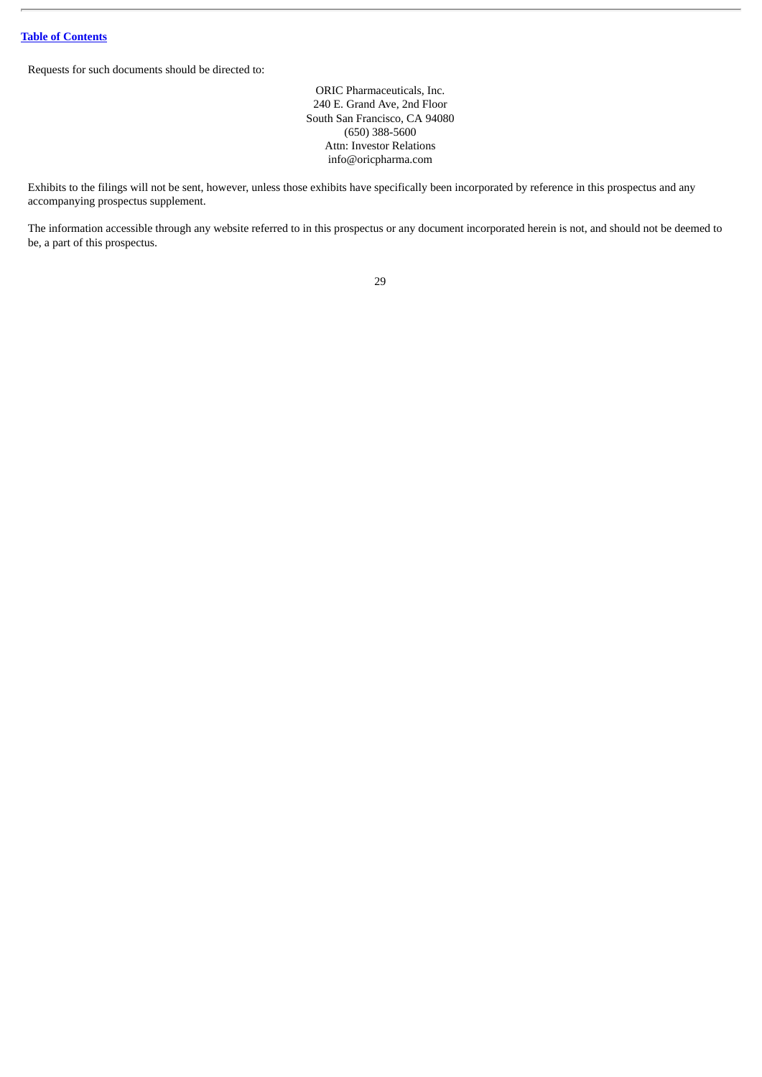Requests for such documents should be directed to:

ORIC Pharmaceuticals, Inc. 240 E. Grand Ave, 2nd Floor South San Francisco, CA 94080 (650) 388-5600 Attn: Investor Relations info@oricpharma.com

Exhibits to the filings will not be sent, however, unless those exhibits have specifically been incorporated by reference in this prospectus and any accompanying prospectus supplement.

The information accessible through any website referred to in this prospectus or any document incorporated herein is not, and should not be deemed to be, a part of this prospectus.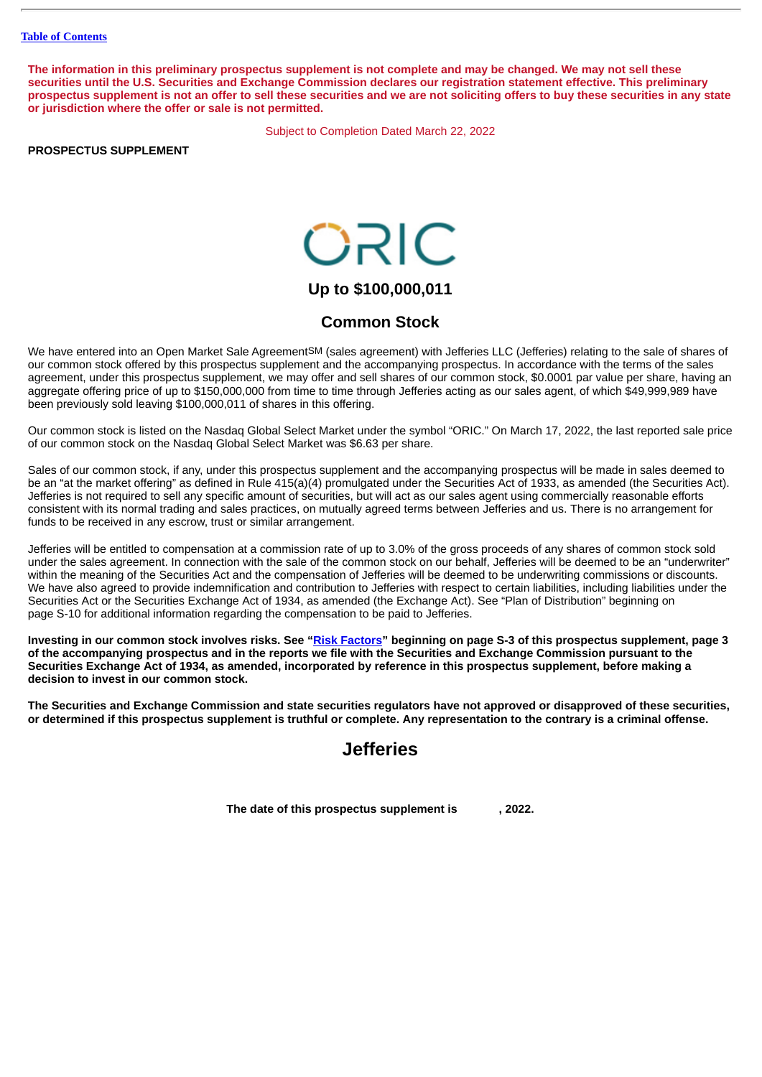The information in this preliminary prospectus supplement is not complete and may be changed. We may not sell these securities until the U.S. Securities and Exchange Commission declares our registration statement effective. This preliminary prospectus supplement is not an offer to sell these securities and we are not soliciting offers to buy these securities in any state **or jurisdiction where the offer or sale is not permitted.**

Subject to Completion Dated March 22, 2022

**PROSPECTUS SUPPLEMENT**

## ORIC

## **Up to \$100,000,011**

#### **Common Stock**

We have entered into an Open Market Sale Agreement<sup>SM</sup> (sales agreement) with Jefferies LLC (Jefferies) relating to the sale of shares of our common stock offered by this prospectus supplement and the accompanying prospectus. In accordance with the terms of the sales agreement, under this prospectus supplement, we may offer and sell shares of our common stock, \$0.0001 par value per share, having an aggregate offering price of up to \$150,000,000 from time to time through Jefferies acting as our sales agent, of which \$49,999,989 have been previously sold leaving \$100,000,011 of shares in this offering.

Our common stock is listed on the Nasdaq Global Select Market under the symbol "ORIC." On March 17, 2022, the last reported sale price of our common stock on the Nasdaq Global Select Market was \$6.63 per share.

Sales of our common stock, if any, under this prospectus supplement and the accompanying prospectus will be made in sales deemed to be an "at the market offering" as defined in Rule 415(a)(4) promulgated under the Securities Act of 1933, as amended (the Securities Act). Jefferies is not required to sell any specific amount of securities, but will act as our sales agent using commercially reasonable efforts consistent with its normal trading and sales practices, on mutually agreed terms between Jefferies and us. There is no arrangement for funds to be received in any escrow, trust or similar arrangement.

Jefferies will be entitled to compensation at a commission rate of up to 3.0% of the gross proceeds of any shares of common stock sold under the sales agreement. In connection with the sale of the common stock on our behalf, Jefferies will be deemed to be an "underwriter" within the meaning of the Securities Act and the compensation of Jefferies will be deemed to be underwriting commissions or discounts. We have also agreed to provide indemnification and contribution to Jefferies with respect to certain liabilities, including liabilities under the Securities Act or the Securities Exchange Act of 1934, as amended (the Exchange Act). See "Plan of Distribution" beginning on page S-10 for additional information regarding the compensation to be paid to Jefferies.

Investing in our common stock involves risks. See "Risk [Factors"](#page-38-0) beginning on page S-3 of this prospectus supplement, page 3 of the accompanying prospectus and in the reports we file with the Securities and Exchange Commission pursuant to the Securities Exchange Act of 1934, as amended, incorporated by reference in this prospectus supplement, before making a **decision to invest in our common stock.**

The Securities and Exchange Commission and state securities regulators have not approved or disapproved of these securities, or determined if this prospectus supplement is truthful or complete. Any representation to the contrary is a criminal offense.

## **Jefferies**

**The date of this prospectus supplement is , 2022.**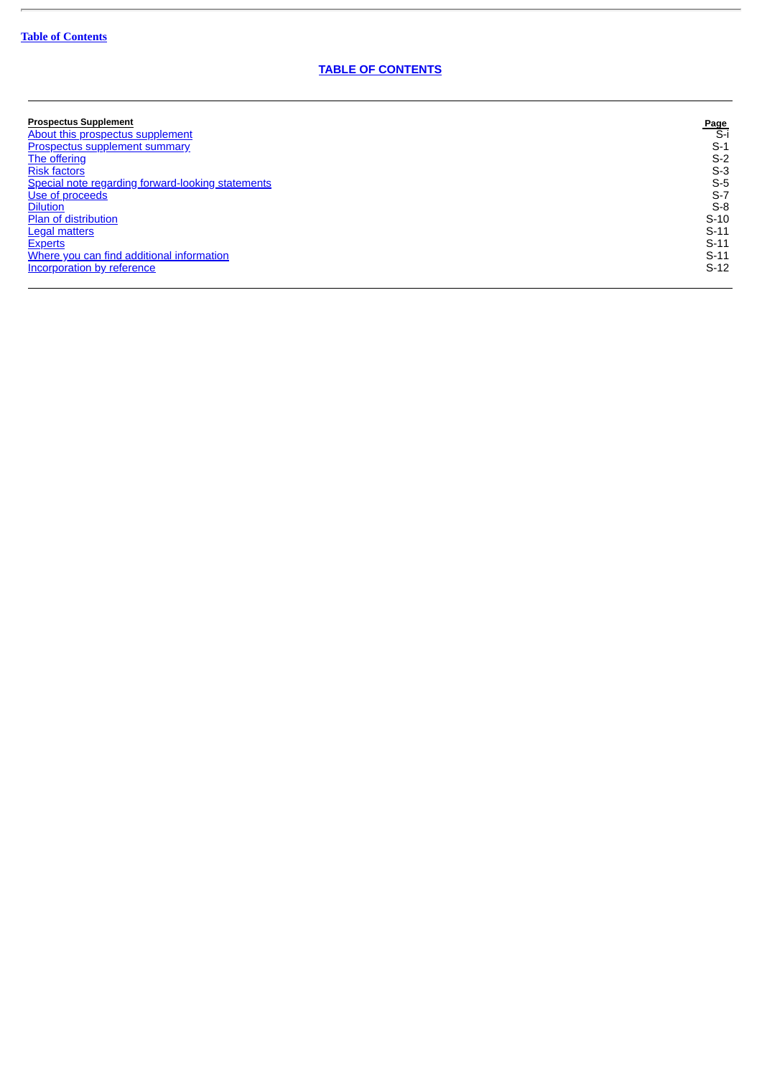ł.

#### **<u><del>[TA](#page-3-0)BLE OF CONTENTS</u>**</u></del>

| <b>Prospectus Supplement</b>                      | Page   |
|---------------------------------------------------|--------|
| About this prospectus supplement                  | S-i    |
| Prospectus supplement summary                     | $S-1$  |
| The offering                                      | $S-2$  |
| <b>Risk factors</b>                               | $S-3$  |
| Special note regarding forward-looking statements | $S-5$  |
| Use of proceeds                                   | $S-7$  |
| <b>Dilution</b>                                   | $S-8$  |
| Plan of distribution                              | $S-10$ |
| <b>Legal matters</b>                              | $S-11$ |
| <b>Experts</b>                                    | $S-11$ |
| Where you can find additional information         | $S-11$ |
| Incorporation by reference                        | $S-12$ |
|                                                   |        |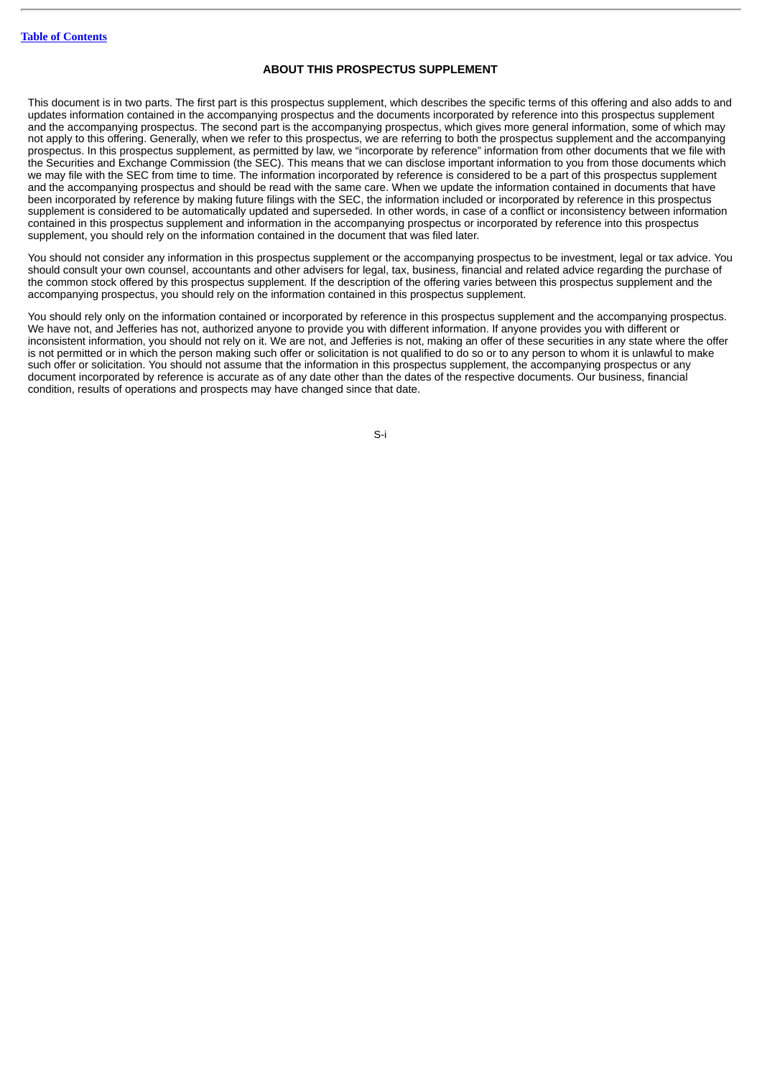#### **ABOUT THIS PROSPECTUS SUPPLEMENT**

<span id="page-35-0"></span>This document is in two parts. The first part is this prospectus supplement, which describes the specific terms of this offering and also adds to and updates information contained in the accompanying prospectus and the documents incorporated by reference into this prospectus supplement and the accompanying prospectus. The second part is the accompanying prospectus, which gives more general information, some of which may not apply to this offering. Generally, when we refer to this prospectus, we are referring to both the prospectus supplement and the accompanying prospectus. In this prospectus supplement, as permitted by law, we "incorporate by reference" information from other documents that we file with the Securities and Exchange Commission (the SEC). This means that we can disclose important information to you from those documents which we may file with the SEC from time to time. The information incorporated by reference is considered to be a part of this prospectus supplement and the accompanying prospectus and should be read with the same care. When we update the information contained in documents that have been incorporated by reference by making future filings with the SEC, the information included or incorporated by reference in this prospectus supplement is considered to be automatically updated and superseded. In other words, in case of a conflict or inconsistency between information contained in this prospectus supplement and information in the accompanying prospectus or incorporated by reference into this prospectus supplement, you should rely on the information contained in the document that was filed later.

You should not consider any information in this prospectus supplement or the accompanying prospectus to be investment, legal or tax advice. You should consult your own counsel, accountants and other advisers for legal, tax, business, financial and related advice regarding the purchase of the common stock offered by this prospectus supplement. If the description of the offering varies between this prospectus supplement and the accompanying prospectus, you should rely on the information contained in this prospectus supplement.

You should rely only on the information contained or incorporated by reference in this prospectus supplement and the accompanying prospectus. We have not, and Jefferies has not, authorized anyone to provide you with different information. If anyone provides you with different or inconsistent information, you should not rely on it. We are not, and Jefferies is not, making an offer of these securities in any state where the offer is not permitted or in which the person making such offer or solicitation is not qualified to do so or to any person to whom it is unlawful to make such offer or solicitation. You should not assume that the information in this prospectus supplement, the accompanying prospectus or any document incorporated by reference is accurate as of any date other than the dates of the respective documents. Our business, financial condition, results of operations and prospects may have changed since that date.

S-i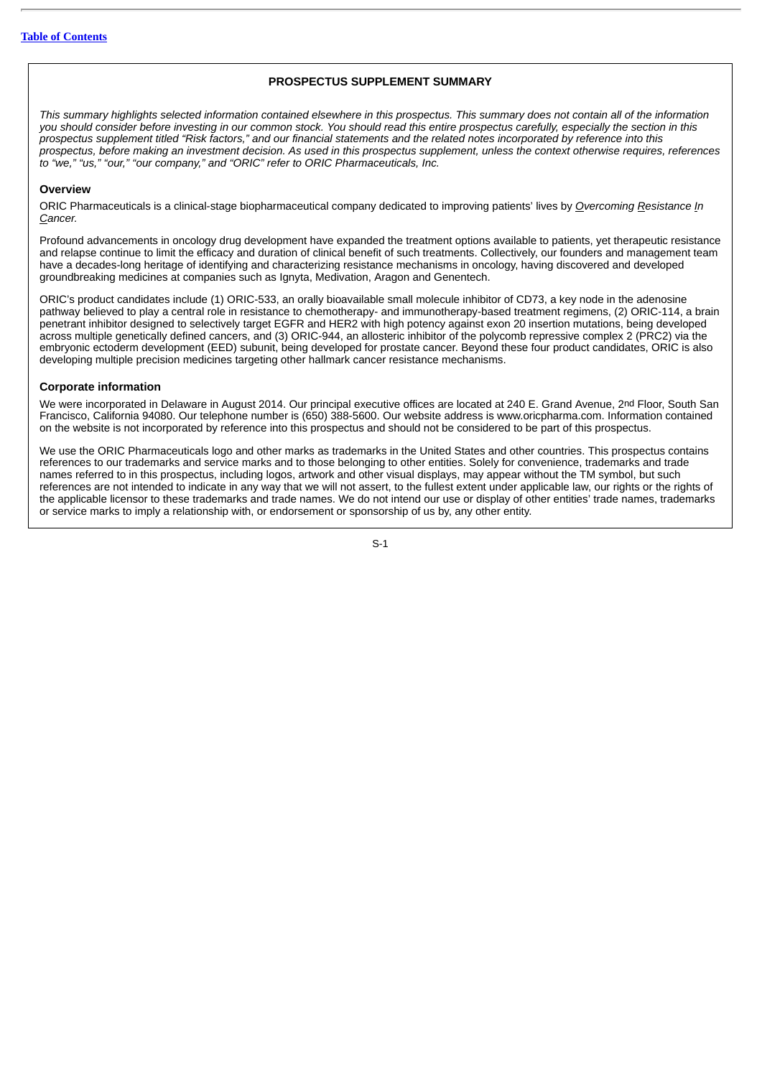#### **PROSPECTUS SUPPLEMENT SUMMARY**

<span id="page-36-0"></span>This summary highlights selected information contained elsewhere in this prospectus. This summary does not contain all of the information vou should consider before investing in our common stock. You should read this entire prospectus carefully, especially the section in this prospectus supplement titled "Risk factors," and our financial statements and the related notes incorporated by reference into this prospectus, before making an investment decision. As used in this prospectus supplement, unless the context otherwise requires, references *to "we," "us," "our," "our company," and "ORIC" refer to ORIC Pharmaceuticals, Inc.*

#### **Overview**

ORIC Pharmaceuticals is a clinical-stage biopharmaceutical company dedicated to improving patients' lives by *Overcoming Resistance In Cancer.*

Profound advancements in oncology drug development have expanded the treatment options available to patients, yet therapeutic resistance and relapse continue to limit the efficacy and duration of clinical benefit of such treatments. Collectively, our founders and management team have a decades-long heritage of identifying and characterizing resistance mechanisms in oncology, having discovered and developed groundbreaking medicines at companies such as Ignyta, Medivation, Aragon and Genentech.

ORIC's product candidates include (1) ORIC-533, an orally bioavailable small molecule inhibitor of CD73, a key node in the adenosine pathway believed to play a central role in resistance to chemotherapy- and immunotherapy-based treatment regimens, (2) ORIC-114, a brain penetrant inhibitor designed to selectively target EGFR and HER2 with high potency against exon 20 insertion mutations, being developed across multiple genetically defined cancers, and (3) ORIC-944, an allosteric inhibitor of the polycomb repressive complex 2 (PRC2) via the embryonic ectoderm development (EED) subunit, being developed for prostate cancer. Beyond these four product candidates, ORIC is also developing multiple precision medicines targeting other hallmark cancer resistance mechanisms.

#### **Corporate information**

We were incorporated in Delaware in August 2014. Our principal executive offices are located at 240 F. Grand Avenue, 2nd Floor, South San Francisco, California 94080. Our telephone number is (650) 388-5600. Our website address is www.oricpharma.com. Information contained on the website is not incorporated by reference into this prospectus and should not be considered to be part of this prospectus.

We use the ORIC Pharmaceuticals logo and other marks as trademarks in the United States and other countries. This prospectus contains references to our trademarks and service marks and to those belonging to other entities. Solely for convenience, trademarks and trade names referred to in this prospectus, including logos, artwork and other visual displays, may appear without the TM symbol, but such references are not intended to indicate in any way that we will not assert, to the fullest extent under applicable law, our rights or the rights of the applicable licensor to these trademarks and trade names. We do not intend our use or display of other entities' trade names, trademarks or service marks to imply a relationship with, or endorsement or sponsorship of us by, any other entity.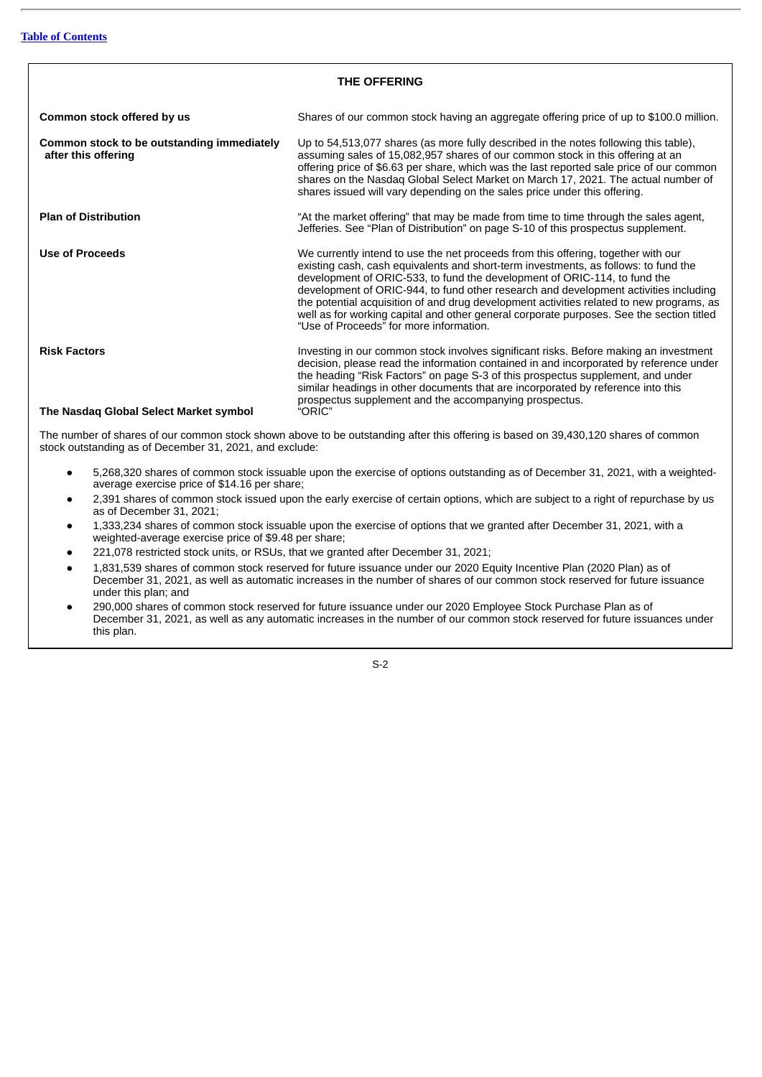<span id="page-37-0"></span>

| <b>THE OFFERING</b>                                               |                                                                                                                                                                                                                                                                                                                                                                                                                                                                                                                                                                                  |  |  |  |
|-------------------------------------------------------------------|----------------------------------------------------------------------------------------------------------------------------------------------------------------------------------------------------------------------------------------------------------------------------------------------------------------------------------------------------------------------------------------------------------------------------------------------------------------------------------------------------------------------------------------------------------------------------------|--|--|--|
| Common stock offered by us                                        | Shares of our common stock having an aggregate offering price of up to \$100.0 million.                                                                                                                                                                                                                                                                                                                                                                                                                                                                                          |  |  |  |
| Common stock to be outstanding immediately<br>after this offering | Up to 54,513,077 shares (as more fully described in the notes following this table),<br>assuming sales of 15,082,957 shares of our common stock in this offering at an<br>offering price of \$6.63 per share, which was the last reported sale price of our common<br>shares on the Nasdaq Global Select Market on March 17, 2021. The actual number of<br>shares issued will vary depending on the sales price under this offering.                                                                                                                                             |  |  |  |
| <b>Plan of Distribution</b>                                       | "At the market offering" that may be made from time to time through the sales agent,<br>Jefferies. See "Plan of Distribution" on page S-10 of this prospectus supplement.                                                                                                                                                                                                                                                                                                                                                                                                        |  |  |  |
| Use of Proceeds                                                   | We currently intend to use the net proceeds from this offering, together with our<br>existing cash, cash equivalents and short-term investments, as follows: to fund the<br>development of ORIC-533, to fund the development of ORIC-114, to fund the<br>development of ORIC-944, to fund other research and development activities including<br>the potential acquisition of and drug development activities related to new programs, as<br>well as for working capital and other general corporate purposes. See the section titled<br>"Use of Proceeds" for more information. |  |  |  |
| <b>Risk Factors</b><br>The Nasdag Global Select Market symbol     | Investing in our common stock involves significant risks. Before making an investment<br>decision, please read the information contained in and incorporated by reference under<br>the heading "Risk Factors" on page S-3 of this prospectus supplement, and under<br>similar headings in other documents that are incorporated by reference into this<br>prospectus supplement and the accompanying prospectus.<br>"ORIC"                                                                                                                                                       |  |  |  |

The number of shares of our common stock shown above to be outstanding after this offering is based on 39,430,120 shares of common stock outstanding as of December 31, 2021, and exclude:

- 5.268,320 shares of common stock issuable upon the exercise of options outstanding as of December 31, 2021, with a weightedaverage exercise price of \$14.16 per share;
- 2,391 shares of common stock issued upon the early exercise of certain options, which are subject to a right of repurchase by us as of December 31, 2021;
- 1,333,234 shares of common stock issuable upon the exercise of options that we granted after December 31, 2021, with a weighted-average exercise price of \$9.48 per share;
- 221,078 restricted stock units, or RSUs, that we granted after December 31, 2021;
- 1,831,539 shares of common stock reserved for future issuance under our 2020 Equity Incentive Plan (2020 Plan) as of December 31, 2021, as well as automatic increases in the number of shares of our common stock reserved for future issuance under this plan; and
- 290,000 shares of common stock reserved for future issuance under our 2020 Employee Stock Purchase Plan as of December 31, 2021, as well as any automatic increases in the number of our common stock reserved for future issuances under this plan.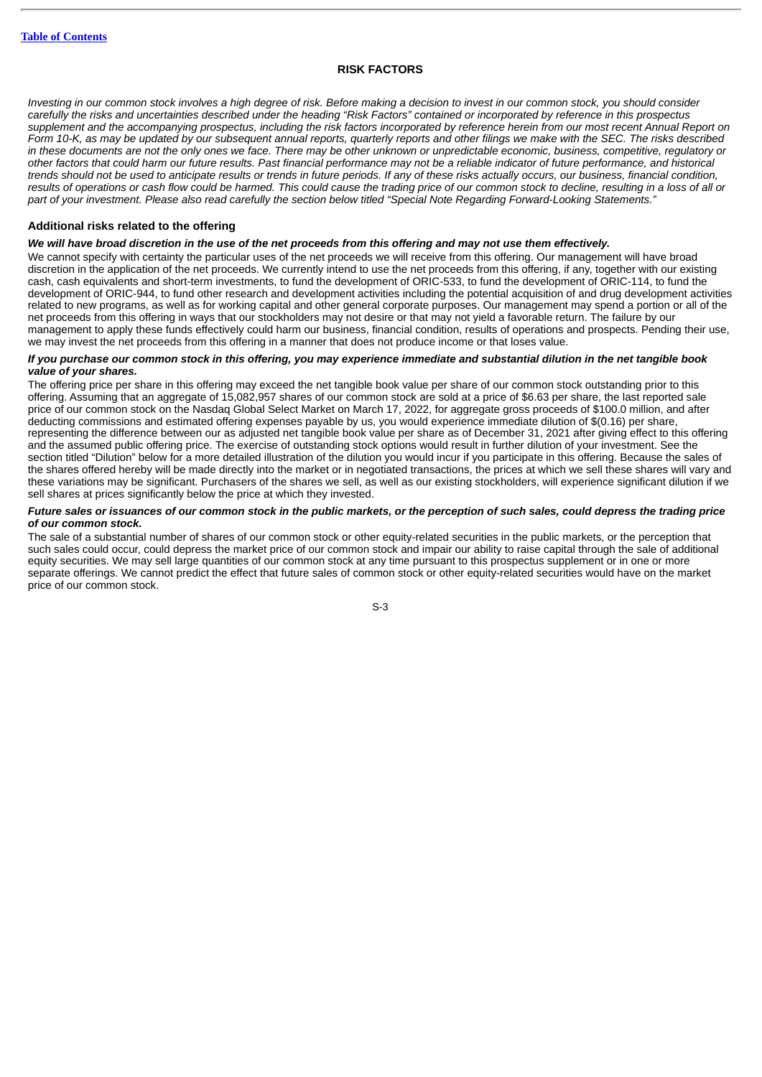#### **RISK FACTORS**

<span id="page-38-0"></span>Investing in our common stock involves a high degree of risk. Before making a decision to invest in our common stock, you should consider carefully the risks and uncertainties described under the heading "Risk Factors" contained or incorporated by reference in this prospectus supplement and the accompanying prospectus, including the risk factors incorporated by reference herein from our most recent Annual Report on Form 10-K, as may be updated by our subsequent annual reports, quarterly reports and other filings we make with the SEC. The risks described in these documents are not the only ones we face. There may be other unknown or unpredictable economic, business, competitive, regulatory or other factors that could harm our future results. Past financial performance may not be a reliable indicator of future performance, and historical trends should not be used to anticipate results or trends in future periods. If any of these risks actually occurs, our business, financial condition, results of operations or cash flow could be harmed. This could cause the trading price of our common stock to decline, resulting in a loss of all or part of your investment. Please also read carefully the section below titled "Special Note Regarding Forward-Looking Statements."

#### **Additional risks related to the offering**

#### We will have broad discretion in the use of the net proceeds from this offering and may not use them effectively.

We cannot specify with certainty the particular uses of the net proceeds we will receive from this offering. Our management will have broad discretion in the application of the net proceeds. We currently intend to use the net proceeds from this offering, if any, together with our existing cash, cash equivalents and short-term investments, to fund the development of ORIC-533, to fund the development of ORIC-114, to fund the development of ORIC-944, to fund other research and development activities including the potential acquisition of and drug development activities related to new programs, as well as for working capital and other general corporate purposes. Our management may spend a portion or all of the net proceeds from this offering in ways that our stockholders may not desire or that may not yield a favorable return. The failure by our management to apply these funds effectively could harm our business, financial condition, results of operations and prospects. Pending their use, we may invest the net proceeds from this offering in a manner that does not produce income or that loses value.

#### If you purchase our common stock in this offering, you may experience immediate and substantial dilution in the net tangible book *value of your shares.*

The offering price per share in this offering may exceed the net tangible book value per share of our common stock outstanding prior to this offering. Assuming that an aggregate of 15,082,957 shares of our common stock are sold at a price of \$6.63 per share, the last reported sale price of our common stock on the Nasdaq Global Select Market on March 17, 2022, for aggregate gross proceeds of \$100.0 million, and after deducting commissions and estimated offering expenses payable by us, you would experience immediate dilution of \$(0.16) per share, representing the difference between our as adjusted net tangible book value per share as of December 31, 2021 after giving effect to this offering and the assumed public offering price. The exercise of outstanding stock options would result in further dilution of your investment. See the section titled "Dilution" below for a more detailed illustration of the dilution you would incur if you participate in this offering. Because the sales of the shares offered hereby will be made directly into the market or in negotiated transactions, the prices at which we sell these shares will vary and these variations may be significant. Purchasers of the shares we sell, as well as our existing stockholders, will experience significant dilution if we sell shares at prices significantly below the price at which they invested.

#### Future sales or issuances of our common stock in the public markets, or the perception of such sales, could depress the trading price *of our common stock.*

The sale of a substantial number of shares of our common stock or other equity-related securities in the public markets, or the perception that such sales could occur, could depress the market price of our common stock and impair our ability to raise capital through the sale of additional equity securities. We may sell large quantities of our common stock at any time pursuant to this prospectus supplement or in one or more separate offerings. We cannot predict the effect that future sales of common stock or other equity-related securities would have on the market price of our common stock.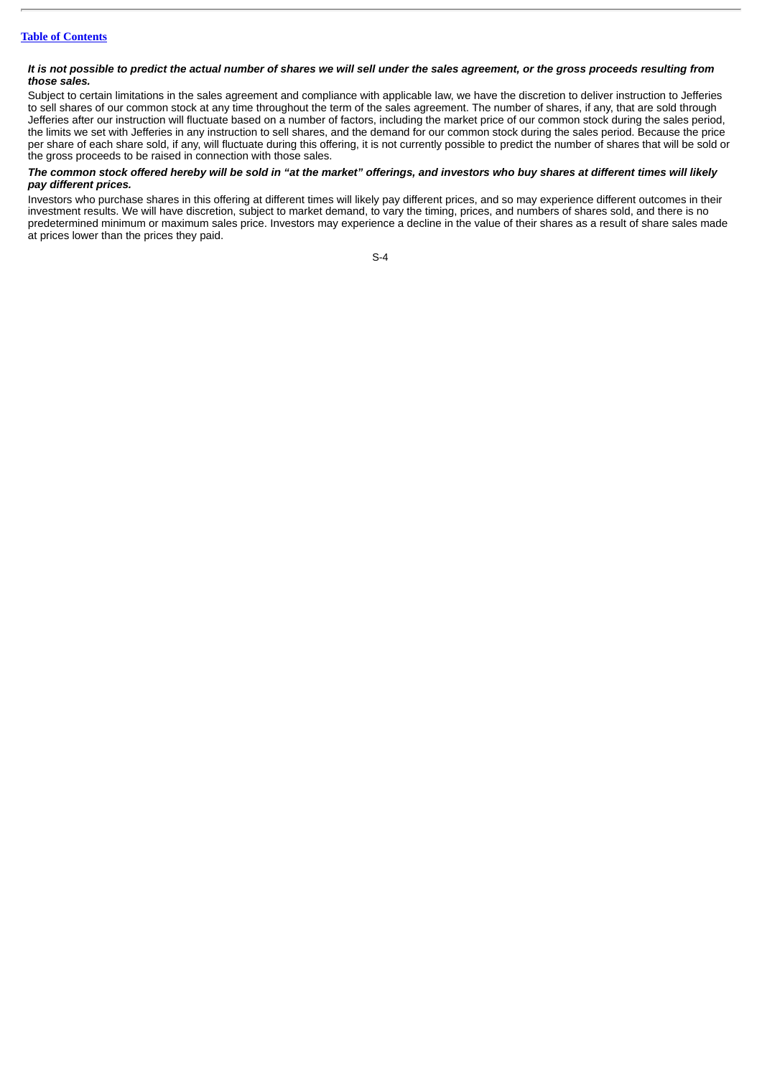#### It is not possible to predict the actual number of shares we will sell under the sales agreement, or the gross proceeds resulting from *those sales.*

Subject to certain limitations in the sales agreement and compliance with applicable law, we have the discretion to deliver instruction to Jefferies to sell shares of our common stock at any time throughout the term of the sales agreement. The number of shares, if any, that are sold through Jefferies after our instruction will fluctuate based on a number of factors, including the market price of our common stock during the sales period, the limits we set with Jefferies in any instruction to sell shares, and the demand for our common stock during the sales period. Because the price per share of each share sold, if any, will fluctuate during this offering, it is not currently possible to predict the number of shares that will be sold or the gross proceeds to be raised in connection with those sales.

#### The common stock offered hereby will be sold in "at the market" offerings, and investors who buy shares at different times will likely *pay different prices.*

Investors who purchase shares in this offering at different times will likely pay different prices, and so may experience different outcomes in their investment results. We will have discretion, subject to market demand, to vary the timing, prices, and numbers of shares sold, and there is no predetermined minimum or maximum sales price. Investors may experience a decline in the value of their shares as a result of share sales made at prices lower than the prices they paid.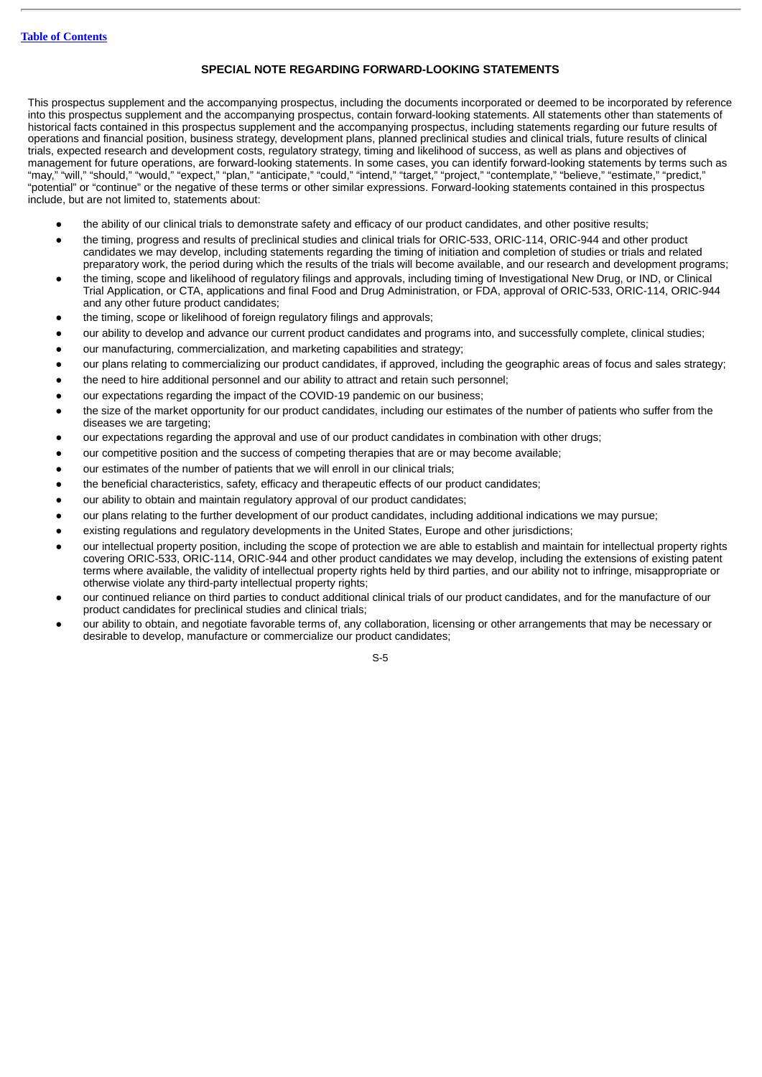#### **SPECIAL NOTE REGARDING FORWARD-LOOKING STATEMENTS**

<span id="page-40-0"></span>This prospectus supplement and the accompanying prospectus, including the documents incorporated or deemed to be incorporated by reference into this prospectus supplement and the accompanying prospectus, contain forward-looking statements. All statements other than statements of historical facts contained in this prospectus supplement and the accompanying prospectus, including statements regarding our future results of operations and financial position, business strategy, development plans, planned preclinical studies and clinical trials, future results of clinical trials, expected research and development costs, regulatory strategy, timing and likelihood of success, as well as plans and objectives of management for future operations, are forward-looking statements. In some cases, you can identify forward-looking statements by terms such as "may," "will," "should," "would," "expect," "plan," "anticipate," "could," "intend," "target," "project," "contemplate," "believe," "estimate," "predict," "potential" or "continue" or the negative of these terms or other similar expressions. Forward-looking statements contained in this prospectus include, but are not limited to, statements about:

- the ability of our clinical trials to demonstrate safety and efficacy of our product candidates, and other positive results;
- the timing, progress and results of preclinical studies and clinical trials for ORIC-533, ORIC-114, ORIC-944 and other product candidates we may develop, including statements regarding the timing of initiation and completion of studies or trials and related preparatory work, the period during which the results of the trials will become available, and our research and development programs;
- the timing, scope and likelihood of regulatory filings and approvals, including timing of Investigational New Drug, or IND, or Clinical Trial Application, or CTA, applications and final Food and Drug Administration, or FDA, approval of ORIC-533, ORIC-114, ORIC-944 and any other future product candidates;
- the timing, scope or likelihood of foreign regulatory filings and approvals;
- our ability to develop and advance our current product candidates and programs into, and successfully complete, clinical studies;
- our manufacturing, commercialization, and marketing capabilities and strategy;
- our plans relating to commercializing our product candidates, if approved, including the geographic areas of focus and sales strategy;
- the need to hire additional personnel and our ability to attract and retain such personnel;
- our expectations regarding the impact of the COVID-19 pandemic on our business;
- the size of the market opportunity for our product candidates, including our estimates of the number of patients who suffer from the diseases we are targeting;
- our expectations regarding the approval and use of our product candidates in combination with other drugs;
- our competitive position and the success of competing therapies that are or may become available;
- our estimates of the number of patients that we will enroll in our clinical trials;
- the beneficial characteristics, safety, efficacy and therapeutic effects of our product candidates;
- our ability to obtain and maintain regulatory approval of our product candidates;
- our plans relating to the further development of our product candidates, including additional indications we may pursue;
- existing regulations and regulatory developments in the United States, Europe and other jurisdictions;
- our intellectual property position, including the scope of protection we are able to establish and maintain for intellectual property rights covering ORIC-533, ORIC-114, ORIC-944 and other product candidates we may develop, including the extensions of existing patent terms where available, the validity of intellectual property rights held by third parties, and our ability not to infringe, misappropriate or otherwise violate any third-party intellectual property rights;
- our continued reliance on third parties to conduct additional clinical trials of our product candidates, and for the manufacture of our product candidates for preclinical studies and clinical trials;
- our ability to obtain, and negotiate favorable terms of, any collaboration, licensing or other arrangements that may be necessary or desirable to develop, manufacture or commercialize our product candidates;

 $S-F$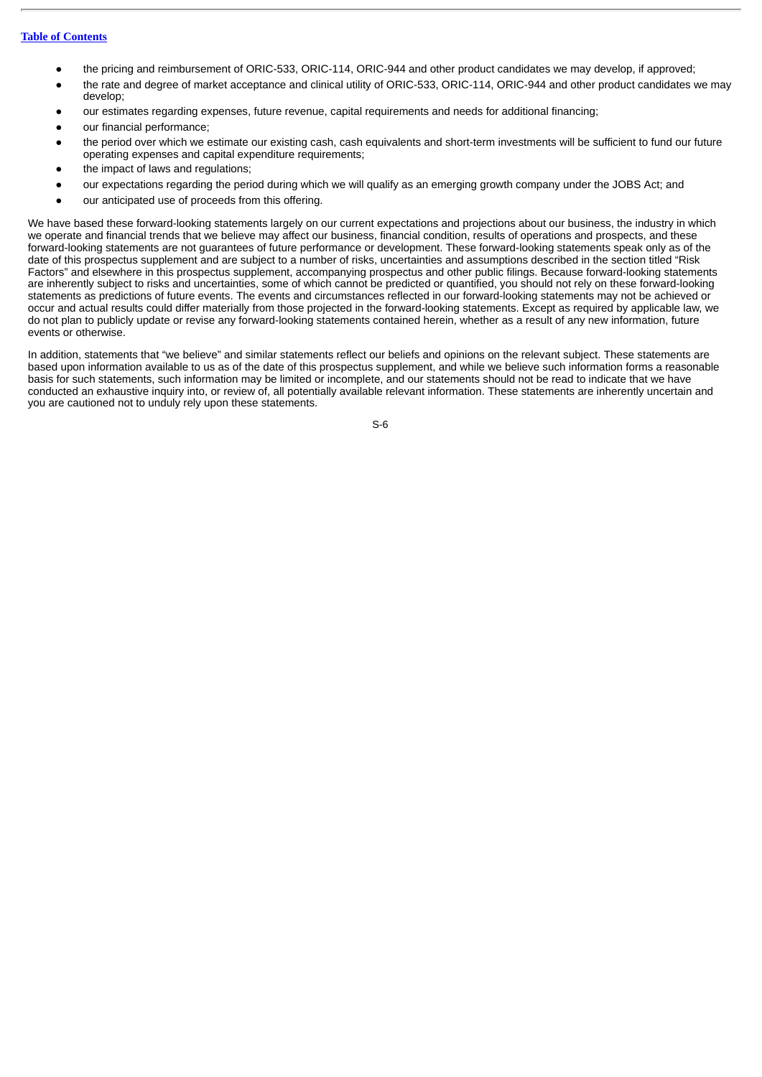- the pricing and reimbursement of ORIC-533, ORIC-114, ORIC-944 and other product candidates we may develop, if approved;
- the rate and degree of market acceptance and clinical utility of ORIC-533, ORIC-114, ORIC-944 and other product candidates we may develop;
- our estimates regarding expenses, future revenue, capital requirements and needs for additional financing;
- our financial performance:
- the period over which we estimate our existing cash, cash equivalents and short-term investments will be sufficient to fund our future operating expenses and capital expenditure requirements;
- the impact of laws and regulations:
- our expectations regarding the period during which we will qualify as an emerging growth company under the JOBS Act; and
- our anticipated use of proceeds from this offering.

We have based these forward-looking statements largely on our current expectations and projections about our business, the industry in which we operate and financial trends that we believe may affect our business, financial condition, results of operations and prospects, and these forward-looking statements are not guarantees of future performance or development. These forward-looking statements speak only as of the date of this prospectus supplement and are subject to a number of risks, uncertainties and assumptions described in the section titled "Risk Factors" and elsewhere in this prospectus supplement, accompanying prospectus and other public filings. Because forward-looking statements are inherently subject to risks and uncertainties, some of which cannot be predicted or quantified, you should not rely on these forward-looking statements as predictions of future events. The events and circumstances reflected in our forward-looking statements may not be achieved or occur and actual results could differ materially from those projected in the forward-looking statements. Except as required by applicable law, we do not plan to publicly update or revise any forward-looking statements contained herein, whether as a result of any new information, future events or otherwise.

In addition, statements that "we believe" and similar statements reflect our beliefs and opinions on the relevant subject. These statements are based upon information available to us as of the date of this prospectus supplement, and while we believe such information forms a reasonable basis for such statements, such information may be limited or incomplete, and our statements should not be read to indicate that we have conducted an exhaustive inquiry into, or review of, all potentially available relevant information. These statements are inherently uncertain and you are cautioned not to unduly rely upon these statements.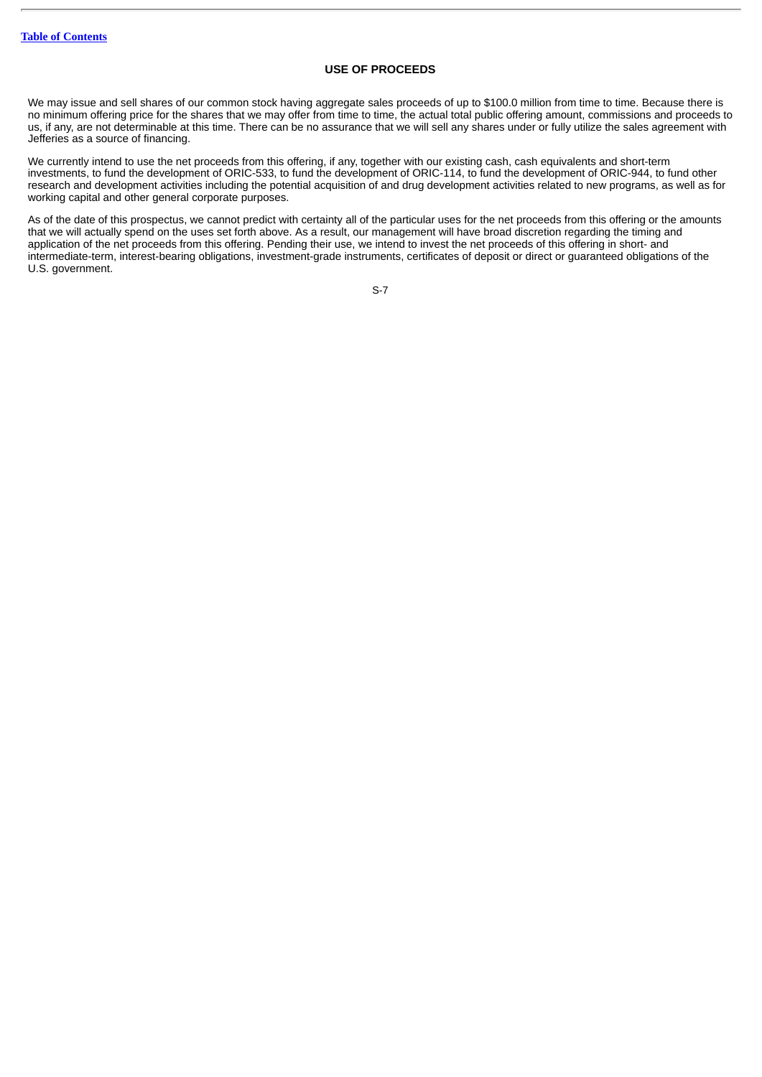#### **USE OF PROCEEDS**

<span id="page-42-0"></span>We may issue and sell shares of our common stock having aggregate sales proceeds of up to \$100.0 million from time to time. Because there is no minimum offering price for the shares that we may offer from time to time, the actual total public offering amount, commissions and proceeds to us, if any, are not determinable at this time. There can be no assurance that we will sell any shares under or fully utilize the sales agreement with Jefferies as a source of financing.

We currently intend to use the net proceeds from this offering, if any, together with our existing cash, cash equivalents and short-term investments, to fund the development of ORIC-533, to fund the development of ORIC-114, to fund the development of ORIC-944, to fund other research and development activities including the potential acquisition of and drug development activities related to new programs, as well as for working capital and other general corporate purposes.

As of the date of this prospectus, we cannot predict with certainty all of the particular uses for the net proceeds from this offering or the amounts that we will actually spend on the uses set forth above. As a result, our management will have broad discretion regarding the timing and application of the net proceeds from this offering. Pending their use, we intend to invest the net proceeds of this offering in short- and intermediate-term, interest-bearing obligations, investment-grade instruments, certificates of deposit or direct or guaranteed obligations of the U.S. government.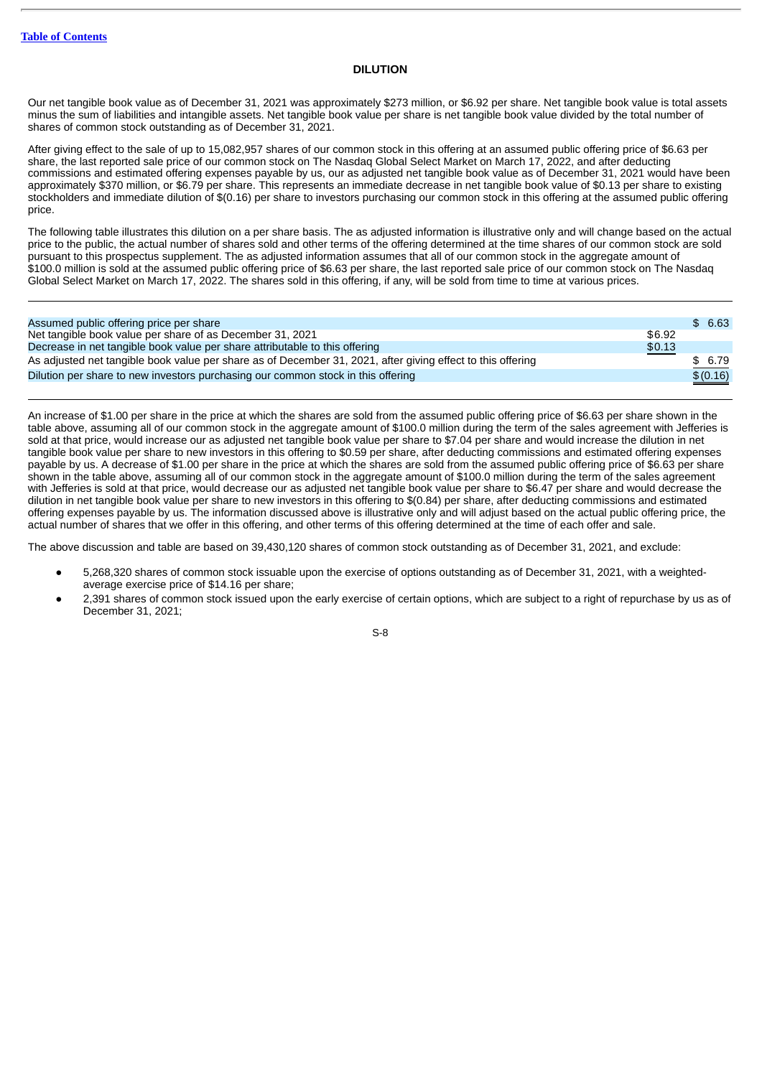#### **DILUTION**

<span id="page-43-0"></span>Our net tangible book value as of December 31, 2021 was approximately \$273 million, or \$6.92 per share. Net tangible book value is total assets minus the sum of liabilities and intangible assets. Net tangible book value per share is net tangible book value divided by the total number of shares of common stock outstanding as of December 31, 2021.

After giving effect to the sale of up to 15,082,957 shares of our common stock in this offering at an assumed public offering price of \$6.63 per share, the last reported sale price of our common stock on The Nasdaq Global Select Market on March 17, 2022, and after deducting commissions and estimated offering expenses payable by us, our as adjusted net tangible book value as of December 31, 2021 would have been approximately \$370 million, or \$6.79 per share. This represents an immediate decrease in net tangible book value of \$0.13 per share to existing stockholders and immediate dilution of \$(0.16) per share to investors purchasing our common stock in this offering at the assumed public offering price.

The following table illustrates this dilution on a per share basis. The as adjusted information is illustrative only and will change based on the actual price to the public, the actual number of shares sold and other terms of the offering determined at the time shares of our common stock are sold pursuant to this prospectus supplement. The as adjusted information assumes that all of our common stock in the aggregate amount of \$100.0 million is sold at the assumed public offering price of \$6.63 per share, the last reported sale price of our common stock on The Nasdaq Global Select Market on March 17, 2022. The shares sold in this offering, if any, will be sold from time to time at various prices.

| Assumed public offering price per share                                                                     |        | \$6.63    |  |
|-------------------------------------------------------------------------------------------------------------|--------|-----------|--|
| Net tangible book value per share of as December 31, 2021                                                   | \$6.92 |           |  |
| Decrease in net tangible book value per share attributable to this offering                                 | \$0.13 |           |  |
| As adjusted net tangible book value per share as of December 31, 2021, after giving effect to this offering |        | \$ 6.79   |  |
| Dilution per share to new investors purchasing our common stock in this offering                            |        | \$ (0.16) |  |
|                                                                                                             |        |           |  |

An increase of \$1.00 per share in the price at which the shares are sold from the assumed public offering price of \$6.63 per share shown in the table above, assuming all of our common stock in the aggregate amount of \$100.0 million during the term of the sales agreement with Jefferies is sold at that price, would increase our as adjusted net tangible book value per share to \$7.04 per share and would increase the dilution in net tangible book value per share to new investors in this offering to \$0.59 per share, after deducting commissions and estimated offering expenses payable by us. A decrease of \$1.00 per share in the price at which the shares are sold from the assumed public offering price of \$6.63 per share shown in the table above, assuming all of our common stock in the aggregate amount of \$100.0 million during the term of the sales agreement with Jefferies is sold at that price, would decrease our as adjusted net tangible book value per share to \$6.47 per share and would decrease the dilution in net tangible book value per share to new investors in this offering to \$(0.84) per share, after deducting commissions and estimated offering expenses payable by us. The information discussed above is illustrative only and will adjust based on the actual public offering price, the actual number of shares that we offer in this offering, and other terms of this offering determined at the time of each offer and sale.

The above discussion and table are based on 39,430,120 shares of common stock outstanding as of December 31, 2021, and exclude:

- 5,268,320 shares of common stock issuable upon the exercise of options outstanding as of December 31, 2021, with a weightedaverage exercise price of \$14.16 per share;
- 2,391 shares of common stock issued upon the early exercise of certain options, which are subject to a right of repurchase by us as of December 31, 2021;

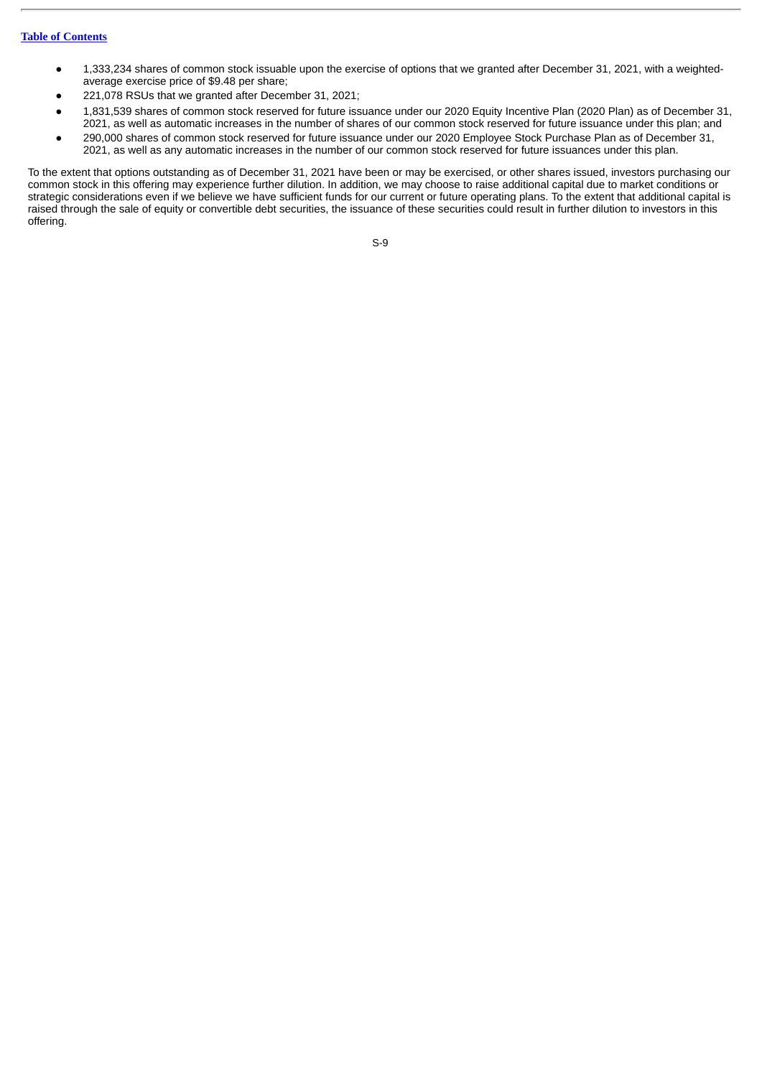- 1,333,234 shares of common stock issuable upon the exercise of options that we granted after December 31, 2021, with a weightedaverage exercise price of \$9.48 per share;
- 221,078 RSUs that we granted after December 31, 2021;
- 1,831,539 shares of common stock reserved for future issuance under our 2020 Equity Incentive Plan (2020 Plan) as of December 31, 2021, as well as automatic increases in the number of shares of our common stock reserved for future issuance under this plan; and
- 290,000 shares of common stock reserved for future issuance under our 2020 Employee Stock Purchase Plan as of December 31, 2021, as well as any automatic increases in the number of our common stock reserved for future issuances under this plan.

To the extent that options outstanding as of December 31, 2021 have been or may be exercised, or other shares issued, investors purchasing our common stock in this offering may experience further dilution. In addition, we may choose to raise additional capital due to market conditions or strategic considerations even if we believe we have sufficient funds for our current or future operating plans. To the extent that additional capital is raised through the sale of equity or convertible debt securities, the issuance of these securities could result in further dilution to investors in this offering.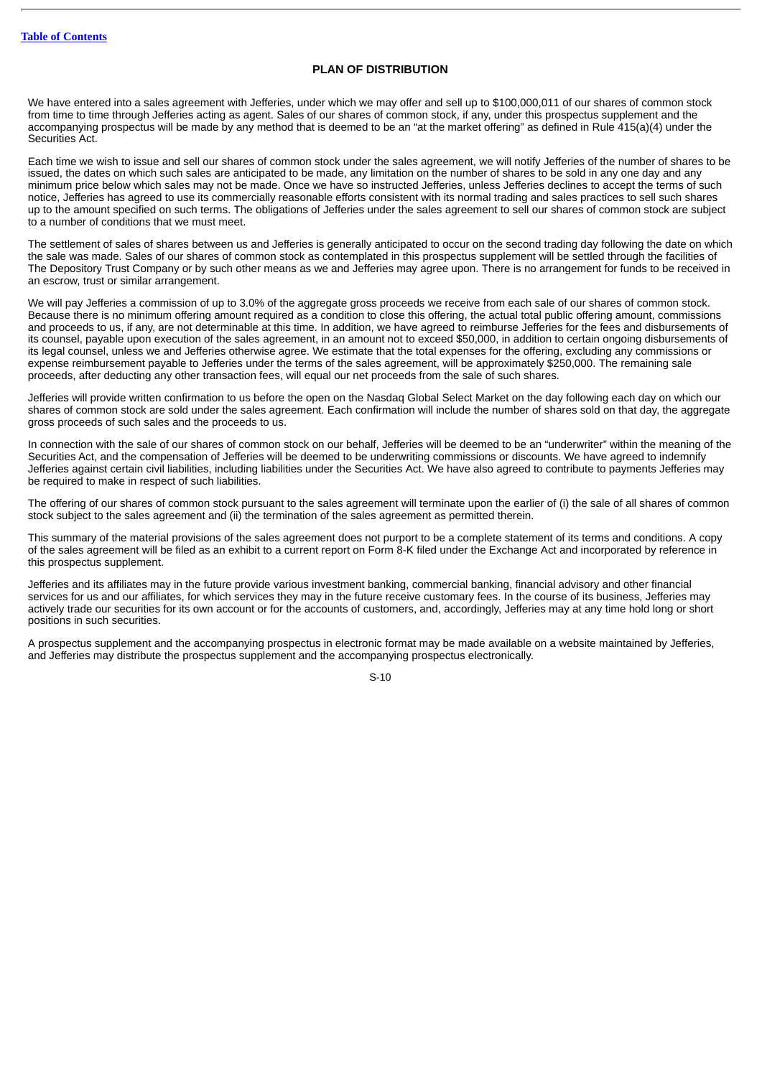#### **PLAN OF DISTRIBUTION**

<span id="page-45-0"></span>We have entered into a sales agreement with Jefferies, under which we may offer and sell up to \$100,000,011 of our shares of common stock from time to time through Jefferies acting as agent. Sales of our shares of common stock, if any, under this prospectus supplement and the accompanying prospectus will be made by any method that is deemed to be an "at the market offering" as defined in Rule 415(a)(4) under the Securities Act.

Each time we wish to issue and sell our shares of common stock under the sales agreement, we will notify Jefferies of the number of shares to be issued, the dates on which such sales are anticipated to be made, any limitation on the number of shares to be sold in any one day and any minimum price below which sales may not be made. Once we have so instructed Jefferies, unless Jefferies declines to accept the terms of such notice, Jefferies has agreed to use its commercially reasonable efforts consistent with its normal trading and sales practices to sell such shares up to the amount specified on such terms. The obligations of Jefferies under the sales agreement to sell our shares of common stock are subject to a number of conditions that we must meet.

The settlement of sales of shares between us and Jefferies is generally anticipated to occur on the second trading day following the date on which the sale was made. Sales of our shares of common stock as contemplated in this prospectus supplement will be settled through the facilities of The Depository Trust Company or by such other means as we and Jefferies may agree upon. There is no arrangement for funds to be received in an escrow, trust or similar arrangement.

We will pay Jefferies a commission of up to 3.0% of the aggregate gross proceeds we receive from each sale of our shares of common stock. Because there is no minimum offering amount required as a condition to close this offering, the actual total public offering amount, commissions and proceeds to us, if any, are not determinable at this time. In addition, we have agreed to reimburse Jefferies for the fees and disbursements of its counsel, payable upon execution of the sales agreement, in an amount not to exceed \$50,000, in addition to certain ongoing disbursements of its legal counsel, unless we and Jefferies otherwise agree. We estimate that the total expenses for the offering, excluding any commissions or expense reimbursement payable to Jefferies under the terms of the sales agreement, will be approximately \$250,000. The remaining sale proceeds, after deducting any other transaction fees, will equal our net proceeds from the sale of such shares.

Jefferies will provide written confirmation to us before the open on the Nasdaq Global Select Market on the day following each day on which our shares of common stock are sold under the sales agreement. Each confirmation will include the number of shares sold on that day, the aggregate gross proceeds of such sales and the proceeds to us.

In connection with the sale of our shares of common stock on our behalf, Jefferies will be deemed to be an "underwriter" within the meaning of the Securities Act, and the compensation of Jefferies will be deemed to be underwriting commissions or discounts. We have agreed to indemnify Jefferies against certain civil liabilities, including liabilities under the Securities Act. We have also agreed to contribute to payments Jefferies may be required to make in respect of such liabilities.

The offering of our shares of common stock pursuant to the sales agreement will terminate upon the earlier of (i) the sale of all shares of common stock subject to the sales agreement and (ii) the termination of the sales agreement as permitted therein.

This summary of the material provisions of the sales agreement does not purport to be a complete statement of its terms and conditions. A copy of the sales agreement will be filed as an exhibit to a current report on Form 8-K filed under the Exchange Act and incorporated by reference in this prospectus supplement.

Jefferies and its affiliates may in the future provide various investment banking, commercial banking, financial advisory and other financial services for us and our affiliates, for which services they may in the future receive customary fees. In the course of its business, Jefferies may actively trade our securities for its own account or for the accounts of customers, and, accordingly, Jefferies may at any time hold long or short positions in such securities.

A prospectus supplement and the accompanying prospectus in electronic format may be made available on a website maintained by Jefferies, and Jefferies may distribute the prospectus supplement and the accompanying prospectus electronically.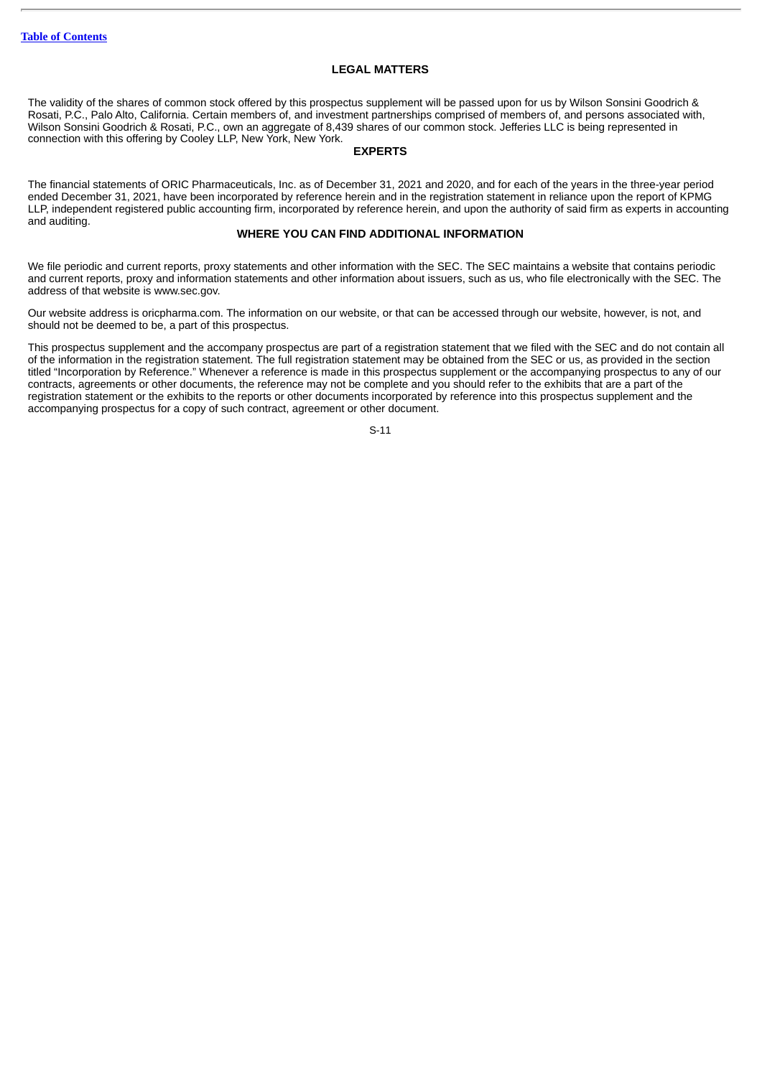#### **LEGAL MATTERS**

<span id="page-46-0"></span>The validity of the shares of common stock offered by this prospectus supplement will be passed upon for us by Wilson Sonsini Goodrich & Rosati, P.C., Palo Alto, California. Certain members of, and investment partnerships comprised of members of, and persons associated with, Wilson Sonsini Goodrich & Rosati, P.C., own an aggregate of 8,439 shares of our common stock. Jefferies LLC is being represented in connection with this offering by Cooley LLP, New York, New York.

#### **EXPERTS**

<span id="page-46-1"></span>The financial statements of ORIC Pharmaceuticals, Inc. as of December 31, 2021 and 2020, and for each of the years in the three-year period ended December 31, 2021, have been incorporated by reference herein and in the registration statement in reliance upon the report of KPMG LLP, independent registered public accounting firm, incorporated by reference herein, and upon the authority of said firm as experts in accounting and auditing.

#### **WHERE YOU CAN FIND ADDITIONAL INFORMATION**

<span id="page-46-2"></span>We file periodic and current reports, proxy statements and other information with the SEC. The SEC maintains a website that contains periodic and current reports, proxy and information statements and other information about issuers, such as us, who file electronically with the SEC. The address of that website is www.sec.gov.

Our website address is oricpharma.com. The information on our website, or that can be accessed through our website, however, is not, and should not be deemed to be, a part of this prospectus.

This prospectus supplement and the accompany prospectus are part of a registration statement that we filed with the SEC and do not contain all of the information in the registration statement. The full registration statement may be obtained from the SEC or us, as provided in the section titled "Incorporation by Reference." Whenever a reference is made in this prospectus supplement or the accompanying prospectus to any of our contracts, agreements or other documents, the reference may not be complete and you should refer to the exhibits that are a part of the registration statement or the exhibits to the reports or other documents incorporated by reference into this prospectus supplement and the accompanying prospectus for a copy of such contract, agreement or other document.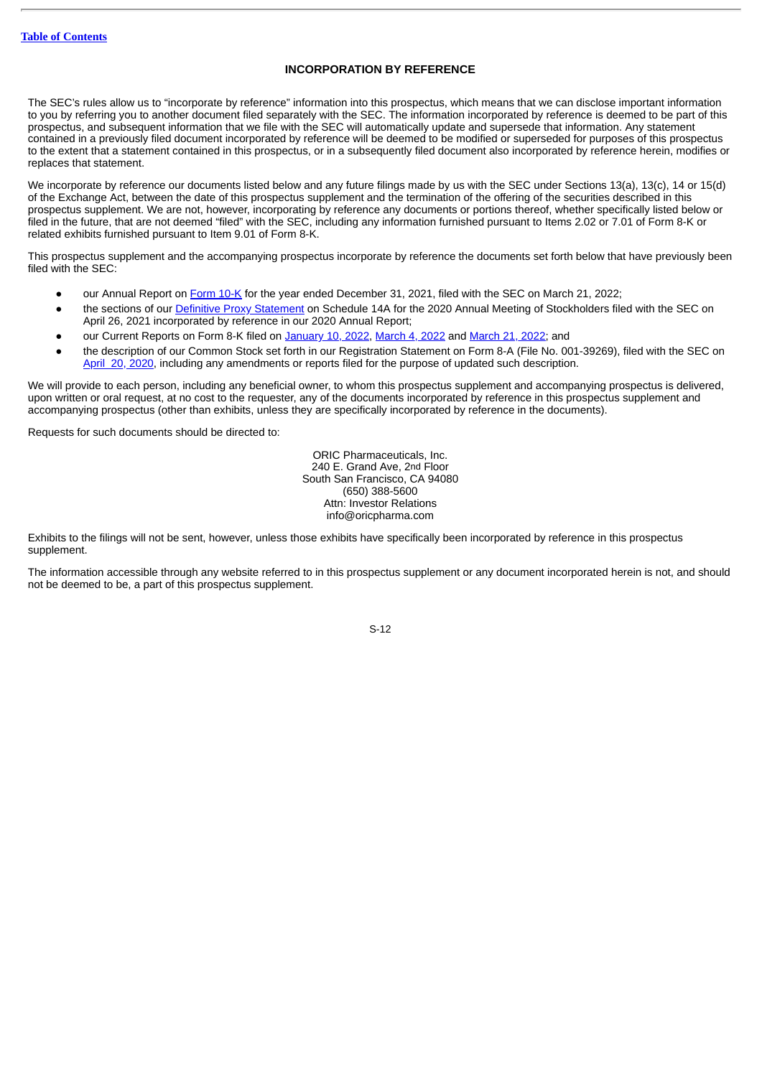#### **INCORPORATION BY REFERENCE**

<span id="page-47-0"></span>The SEC's rules allow us to "incorporate by reference" information into this prospectus, which means that we can disclose important information to you by referring you to another document filed separately with the SEC. The information incorporated by reference is deemed to be part of this prospectus, and subsequent information that we file with the SEC will automatically update and supersede that information. Any statement contained in a previously filed document incorporated by reference will be deemed to be modified or superseded for purposes of this prospectus to the extent that a statement contained in this prospectus, or in a subsequently filed document also incorporated by reference herein, modifies or replaces that statement.

We incorporate by reference our documents listed below and any future filings made by us with the SEC under Sections 13(a), 13(c), 14 or 15(d) of the Exchange Act, between the date of this prospectus supplement and the termination of the offering of the securities described in this prospectus supplement. We are not, however, incorporating by reference any documents or portions thereof, whether specifically listed below or filed in the future, that are not deemed "filed" with the SEC, including any information furnished pursuant to Items 2.02 or 7.01 of Form 8-K or related exhibits furnished pursuant to Item 9.01 of Form 8-K.

This prospectus supplement and the accompanying prospectus incorporate by reference the documents set forth below that have previously been filed with the SEC:

- our Annual Report on [Form](http://www.sec.gov/ix?doc=/Archives/edgar/data/1796280/000095017022004239/oric-20211231.htm) 10-K for the year ended December 31, 2021, filed with the SEC on March 21, 2022;
- the sections of our Definitive Proxy [Statement](http://www.sec.gov/Archives/edgar/data/1796280/000119312521130074/d127916ddef14a.htm) on Schedule 14A for the 2020 Annual Meeting of Stockholders filed with the SEC on April 26, 2021 incorporated by reference in our 2020 Annual Report;
- our Current Reports on Form 8-K filed on [January](http://www.sec.gov/ix?doc=/Archives/edgar/data/1796280/000119312522005116/d243804d8k.htm) 10, 2022, [March](http://www.sec.gov/ix?doc=/Archives/edgar/data/1796280/000119312522080683/d337066d8k.htm) 4, 2022 and March 21, 2022; and
- the description of our Common Stock set forth in our Registration Statement on Form 8-A (File No. 001-39269), filed with the SEC on April 20, [2020](http://www.sec.gov/Archives/edgar/data/1796280/000119312520112233/d859615d8a12b.htm), including any amendments or reports filed for the purpose of updated such description.

We will provide to each person, including any beneficial owner, to whom this prospectus supplement and accompanying prospectus is delivered. upon written or oral request, at no cost to the requester, any of the documents incorporated by reference in this prospectus supplement and accompanying prospectus (other than exhibits, unless they are specifically incorporated by reference in the documents).

Requests for such documents should be directed to:

ORIC Pharmaceuticals, Inc. 240 E. Grand Ave, 2nd Floor South San Francisco, CA 94080 (650) 388-5600 Attn: Investor Relations info@oricpharma.com

Exhibits to the filings will not be sent, however, unless those exhibits have specifically been incorporated by reference in this prospectus supplement.

The information accessible through any website referred to in this prospectus supplement or any document incorporated herein is not, and should not be deemed to be, a part of this prospectus supplement.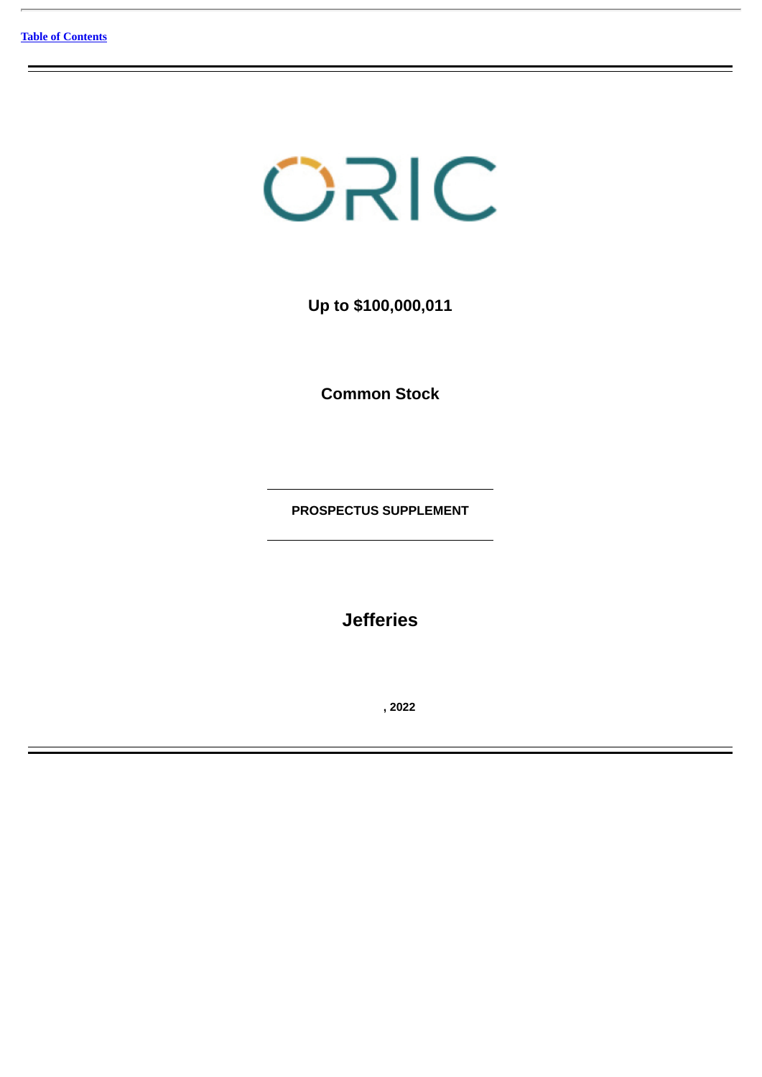# ORIC

**Up to \$100,000,011**

**Common Stock**

**PROSPECTUS SUPPLEMENT**

**Jefferies**

**, 2022**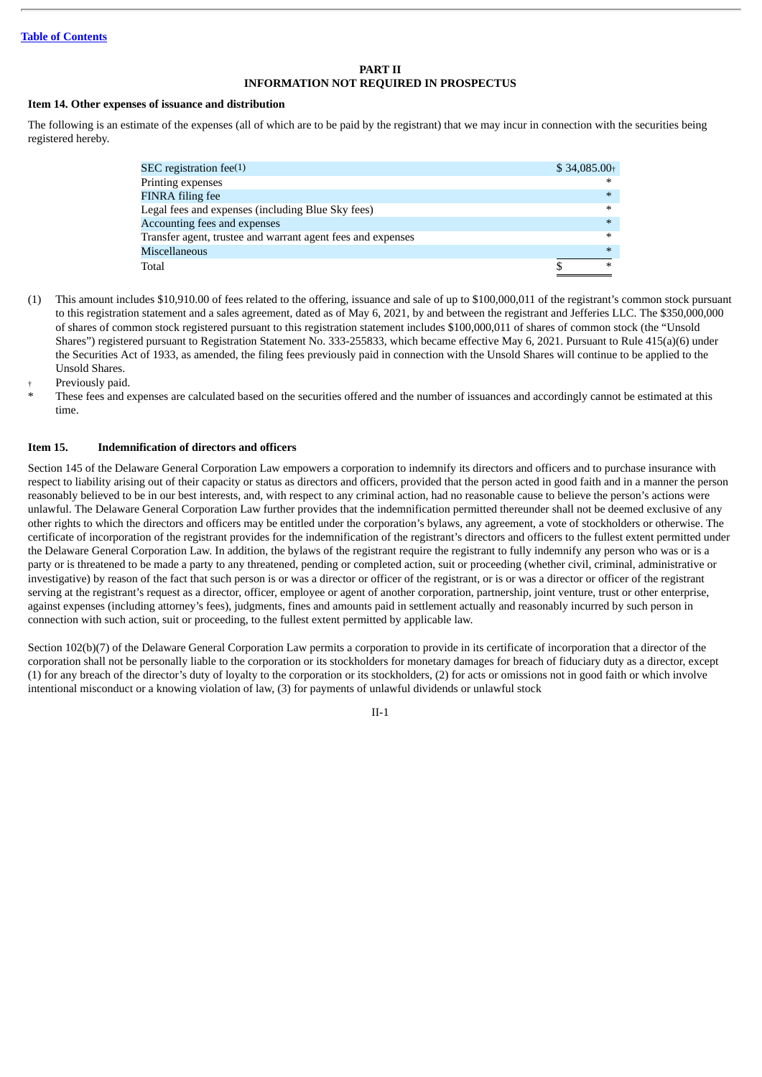#### **PART II INFORMATION NOT REQUIRED IN PROSPECTUS**

#### **Item 14. Other expenses of issuance and distribution**

The following is an estimate of the expenses (all of which are to be paid by the registrant) that we may incur in connection with the securities being registered hereby.

| SEC registration fee $(1)$                                  | $$34,085.00+$ |
|-------------------------------------------------------------|---------------|
| Printing expenses                                           | $\ast$        |
| FINRA filing fee                                            | $\ast$        |
| Legal fees and expenses (including Blue Sky fees)           | $\ast$        |
| Accounting fees and expenses                                | $*$           |
| Transfer agent, trustee and warrant agent fees and expenses | $*$           |
| <b>Miscellaneous</b>                                        | $\ast$        |
| Total                                                       | $\ast$        |

- (1) This amount includes \$10,910.00 of fees related to the offering, issuance and sale of up to \$100,000,011 of the registrant's common stock pursuant to this registration statement and a sales agreement, dated as of May 6, 2021, by and between the registrant and Jefferies LLC. The \$350,000,000 of shares of common stock registered pursuant to this registration statement includes \$100,000,011 of shares of common stock (the "Unsold Shares") registered pursuant to Registration Statement No. 333-255833, which became effective May 6, 2021. Pursuant to Rule 415(a)(6) under the Securities Act of 1933, as amended, the filing fees previously paid in connection with the Unsold Shares will continue to be applied to the Unsold Shares.
- Previously paid.
- These fees and expenses are calculated based on the securities offered and the number of issuances and accordingly cannot be estimated at this time.

#### **Item 15. Indemnification of directors and officers**

Section 145 of the Delaware General Corporation Law empowers a corporation to indemnify its directors and officers and to purchase insurance with respect to liability arising out of their capacity or status as directors and officers, provided that the person acted in good faith and in a manner the person reasonably believed to be in our best interests, and, with respect to any criminal action, had no reasonable cause to believe the person's actions were unlawful. The Delaware General Corporation Law further provides that the indemnification permitted thereunder shall not be deemed exclusive of any other rights to which the directors and officers may be entitled under the corporation's bylaws, any agreement, a vote of stockholders or otherwise. The certificate of incorporation of the registrant provides for the indemnification of the registrant's directors and officers to the fullest extent permitted under the Delaware General Corporation Law. In addition, the bylaws of the registrant require the registrant to fully indemnify any person who was or is a party or is threatened to be made a party to any threatened, pending or completed action, suit or proceeding (whether civil, criminal, administrative or investigative) by reason of the fact that such person is or was a director or officer of the registrant, or is or was a director or officer of the registrant serving at the registrant's request as a director, officer, employee or agent of another corporation, partnership, joint venture, trust or other enterprise, against expenses (including attorney's fees), judgments, fines and amounts paid in settlement actually and reasonably incurred by such person in connection with such action, suit or proceeding, to the fullest extent permitted by applicable law.

Section 102(b)(7) of the Delaware General Corporation Law permits a corporation to provide in its certificate of incorporation that a director of the corporation shall not be personally liable to the corporation or its stockholders for monetary damages for breach of fiduciary duty as a director, except (1) for any breach of the director's duty of loyalty to the corporation or its stockholders, (2) for acts or omissions not in good faith or which involve intentional misconduct or a knowing violation of law, (3) for payments of unlawful dividends or unlawful stock

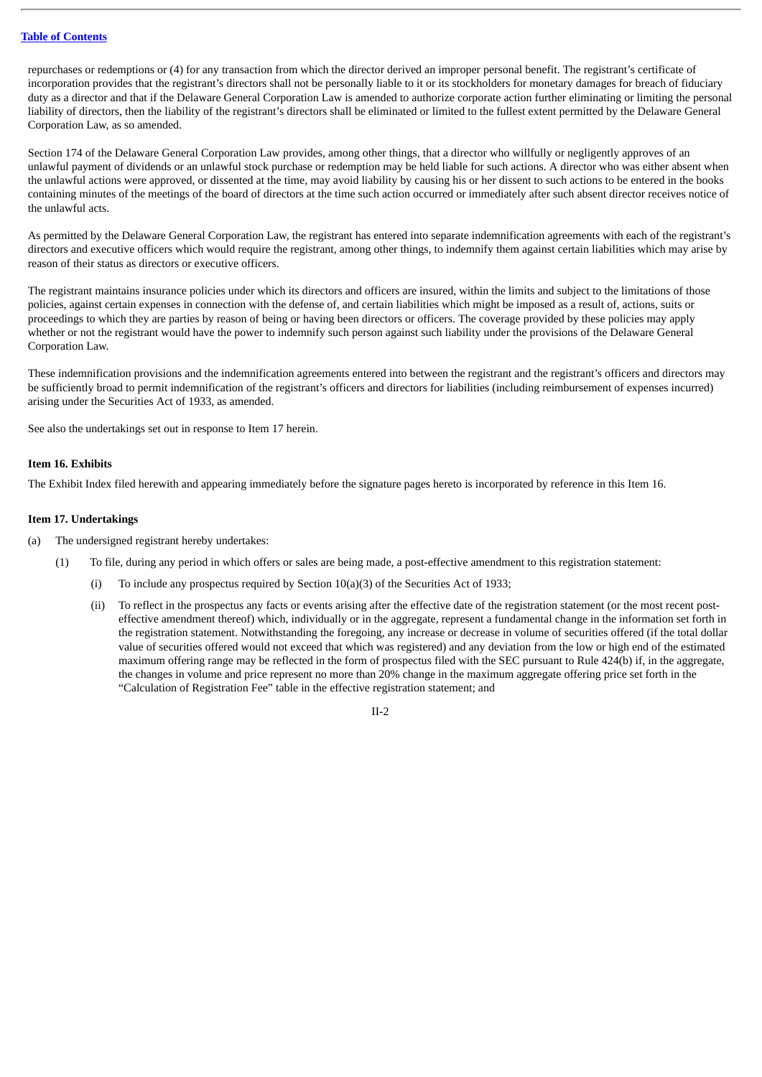repurchases or redemptions or (4) for any transaction from which the director derived an improper personal benefit. The registrant's certificate of incorporation provides that the registrant's directors shall not be personally liable to it or its stockholders for monetary damages for breach of fiduciary duty as a director and that if the Delaware General Corporation Law is amended to authorize corporate action further eliminating or limiting the personal liability of directors, then the liability of the registrant's directors shall be eliminated or limited to the fullest extent permitted by the Delaware General Corporation Law, as so amended.

Section 174 of the Delaware General Corporation Law provides, among other things, that a director who willfully or negligently approves of an unlawful payment of dividends or an unlawful stock purchase or redemption may be held liable for such actions. A director who was either absent when the unlawful actions were approved, or dissented at the time, may avoid liability by causing his or her dissent to such actions to be entered in the books containing minutes of the meetings of the board of directors at the time such action occurred or immediately after such absent director receives notice of the unlawful acts.

As permitted by the Delaware General Corporation Law, the registrant has entered into separate indemnification agreements with each of the registrant's directors and executive officers which would require the registrant, among other things, to indemnify them against certain liabilities which may arise by reason of their status as directors or executive officers.

The registrant maintains insurance policies under which its directors and officers are insured, within the limits and subject to the limitations of those policies, against certain expenses in connection with the defense of, and certain liabilities which might be imposed as a result of, actions, suits or proceedings to which they are parties by reason of being or having been directors or officers. The coverage provided by these policies may apply whether or not the registrant would have the power to indemnify such person against such liability under the provisions of the Delaware General Corporation Law.

These indemnification provisions and the indemnification agreements entered into between the registrant and the registrant's officers and directors may be sufficiently broad to permit indemnification of the registrant's officers and directors for liabilities (including reimbursement of expenses incurred) arising under the Securities Act of 1933, as amended.

See also the undertakings set out in response to Item 17 herein.

#### **Item 16. Exhibits**

The Exhibit Index filed herewith and appearing immediately before the signature pages hereto is incorporated by reference in this Item 16.

#### **Item 17. Undertakings**

- (a) The undersigned registrant hereby undertakes:
	- (1) To file, during any period in which offers or sales are being made, a post-effective amendment to this registration statement:
		- (i) To include any prospectus required by Section  $10(a)(3)$  of the Securities Act of 1933;
		- (ii) To reflect in the prospectus any facts or events arising after the effective date of the registration statement (or the most recent posteffective amendment thereof) which, individually or in the aggregate, represent a fundamental change in the information set forth in the registration statement. Notwithstanding the foregoing, any increase or decrease in volume of securities offered (if the total dollar value of securities offered would not exceed that which was registered) and any deviation from the low or high end of the estimated maximum offering range may be reflected in the form of prospectus filed with the SEC pursuant to Rule 424(b) if, in the aggregate, the changes in volume and price represent no more than 20% change in the maximum aggregate offering price set forth in the "Calculation of Registration Fee" table in the effective registration statement; and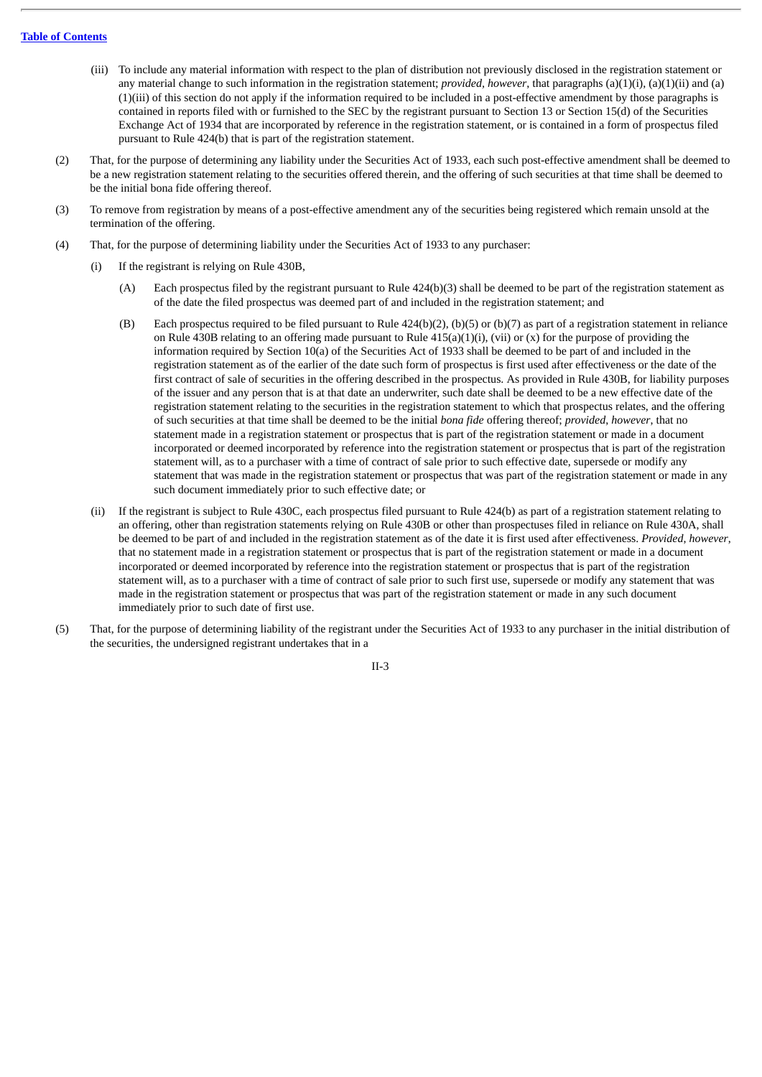- (iii) To include any material information with respect to the plan of distribution not previously disclosed in the registration statement or any material change to such information in the registration statement; *provided, however*, that paragraphs (a)(1)(i), (a)(1)(ii) and (a) (1)(iii) of this section do not apply if the information required to be included in a post-effective amendment by those paragraphs is contained in reports filed with or furnished to the SEC by the registrant pursuant to Section 13 or Section 15(d) of the Securities Exchange Act of 1934 that are incorporated by reference in the registration statement, or is contained in a form of prospectus filed pursuant to Rule 424(b) that is part of the registration statement.
- (2) That, for the purpose of determining any liability under the Securities Act of 1933, each such post-effective amendment shall be deemed to be a new registration statement relating to the securities offered therein, and the offering of such securities at that time shall be deemed to be the initial bona fide offering thereof.
- (3) To remove from registration by means of a post-effective amendment any of the securities being registered which remain unsold at the termination of the offering.
- (4) That, for the purpose of determining liability under the Securities Act of 1933 to any purchaser:
	- (i) If the registrant is relying on Rule 430B,
		- (A) Each prospectus filed by the registrant pursuant to Rule 424(b)(3) shall be deemed to be part of the registration statement as of the date the filed prospectus was deemed part of and included in the registration statement; and
		- (B) Each prospectus required to be filed pursuant to Rule 424(b)(2), (b)(5) or (b)(7) as part of a registration statement in reliance on Rule 430B relating to an offering made pursuant to Rule  $415(a)(1)(i)$ , (vii) or (x) for the purpose of providing the information required by Section 10(a) of the Securities Act of 1933 shall be deemed to be part of and included in the registration statement as of the earlier of the date such form of prospectus is first used after effectiveness or the date of the first contract of sale of securities in the offering described in the prospectus. As provided in Rule 430B, for liability purposes of the issuer and any person that is at that date an underwriter, such date shall be deemed to be a new effective date of the registration statement relating to the securities in the registration statement to which that prospectus relates, and the offering of such securities at that time shall be deemed to be the initial *bona fide* offering thereof; *provided*, *however*, that no statement made in a registration statement or prospectus that is part of the registration statement or made in a document incorporated or deemed incorporated by reference into the registration statement or prospectus that is part of the registration statement will, as to a purchaser with a time of contract of sale prior to such effective date, supersede or modify any statement that was made in the registration statement or prospectus that was part of the registration statement or made in any such document immediately prior to such effective date; or
	- (ii) If the registrant is subject to Rule 430C, each prospectus filed pursuant to Rule 424(b) as part of a registration statement relating to an offering, other than registration statements relying on Rule 430B or other than prospectuses filed in reliance on Rule 430A, shall be deemed to be part of and included in the registration statement as of the date it is first used after effectiveness. *Provided*, *however*, that no statement made in a registration statement or prospectus that is part of the registration statement or made in a document incorporated or deemed incorporated by reference into the registration statement or prospectus that is part of the registration statement will, as to a purchaser with a time of contract of sale prior to such first use, supersede or modify any statement that was made in the registration statement or prospectus that was part of the registration statement or made in any such document immediately prior to such date of first use.
- (5) That, for the purpose of determining liability of the registrant under the Securities Act of 1933 to any purchaser in the initial distribution of the securities, the undersigned registrant undertakes that in a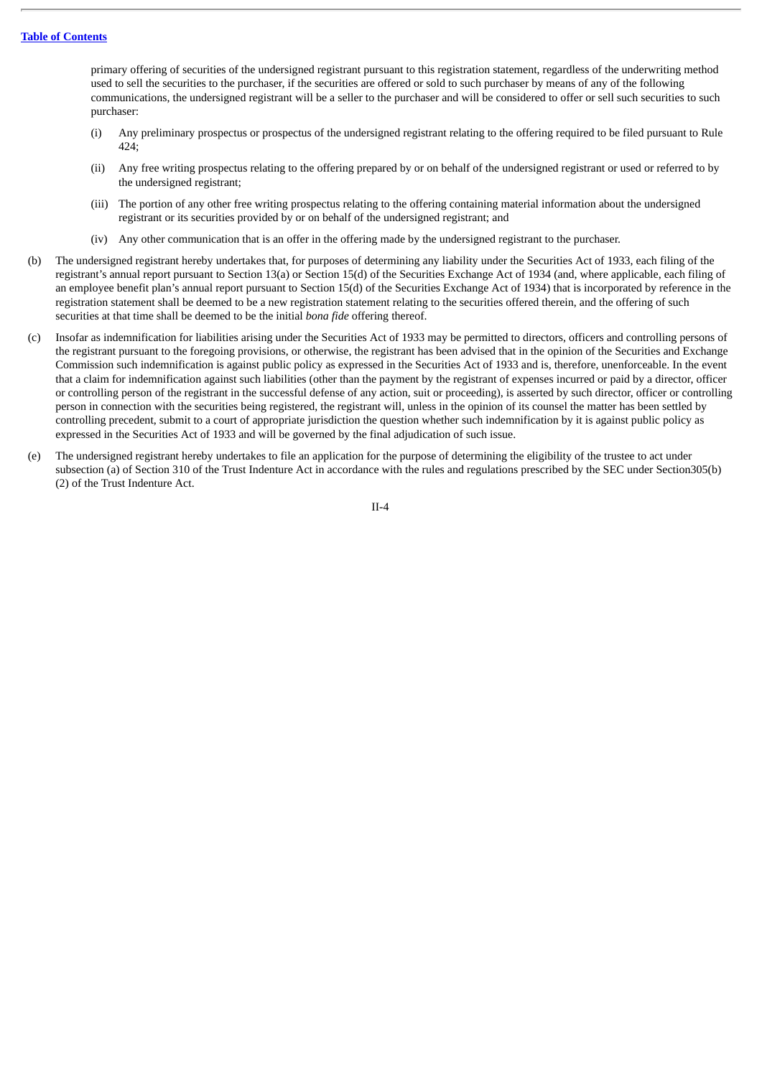primary offering of securities of the undersigned registrant pursuant to this registration statement, regardless of the underwriting method used to sell the securities to the purchaser, if the securities are offered or sold to such purchaser by means of any of the following communications, the undersigned registrant will be a seller to the purchaser and will be considered to offer or sell such securities to such purchaser:

- (i) Any preliminary prospectus or prospectus of the undersigned registrant relating to the offering required to be filed pursuant to Rule 424;
- (ii) Any free writing prospectus relating to the offering prepared by or on behalf of the undersigned registrant or used or referred to by the undersigned registrant;
- (iii) The portion of any other free writing prospectus relating to the offering containing material information about the undersigned registrant or its securities provided by or on behalf of the undersigned registrant; and
- (iv) Any other communication that is an offer in the offering made by the undersigned registrant to the purchaser.
- (b) The undersigned registrant hereby undertakes that, for purposes of determining any liability under the Securities Act of 1933, each filing of the registrant's annual report pursuant to Section 13(a) or Section 15(d) of the Securities Exchange Act of 1934 (and, where applicable, each filing of an employee benefit plan's annual report pursuant to Section 15(d) of the Securities Exchange Act of 1934) that is incorporated by reference in the registration statement shall be deemed to be a new registration statement relating to the securities offered therein, and the offering of such securities at that time shall be deemed to be the initial *bona fide* offering thereof.
- (c) Insofar as indemnification for liabilities arising under the Securities Act of 1933 may be permitted to directors, officers and controlling persons of the registrant pursuant to the foregoing provisions, or otherwise, the registrant has been advised that in the opinion of the Securities and Exchange Commission such indemnification is against public policy as expressed in the Securities Act of 1933 and is, therefore, unenforceable. In the event that a claim for indemnification against such liabilities (other than the payment by the registrant of expenses incurred or paid by a director, officer or controlling person of the registrant in the successful defense of any action, suit or proceeding), is asserted by such director, officer or controlling person in connection with the securities being registered, the registrant will, unless in the opinion of its counsel the matter has been settled by controlling precedent, submit to a court of appropriate jurisdiction the question whether such indemnification by it is against public policy as expressed in the Securities Act of 1933 and will be governed by the final adjudication of such issue.
- (e) The undersigned registrant hereby undertakes to file an application for the purpose of determining the eligibility of the trustee to act under subsection (a) of Section 310 of the Trust Indenture Act in accordance with the rules and regulations prescribed by the SEC under Section305(b) (2) of the Trust Indenture Act.

 $II-A$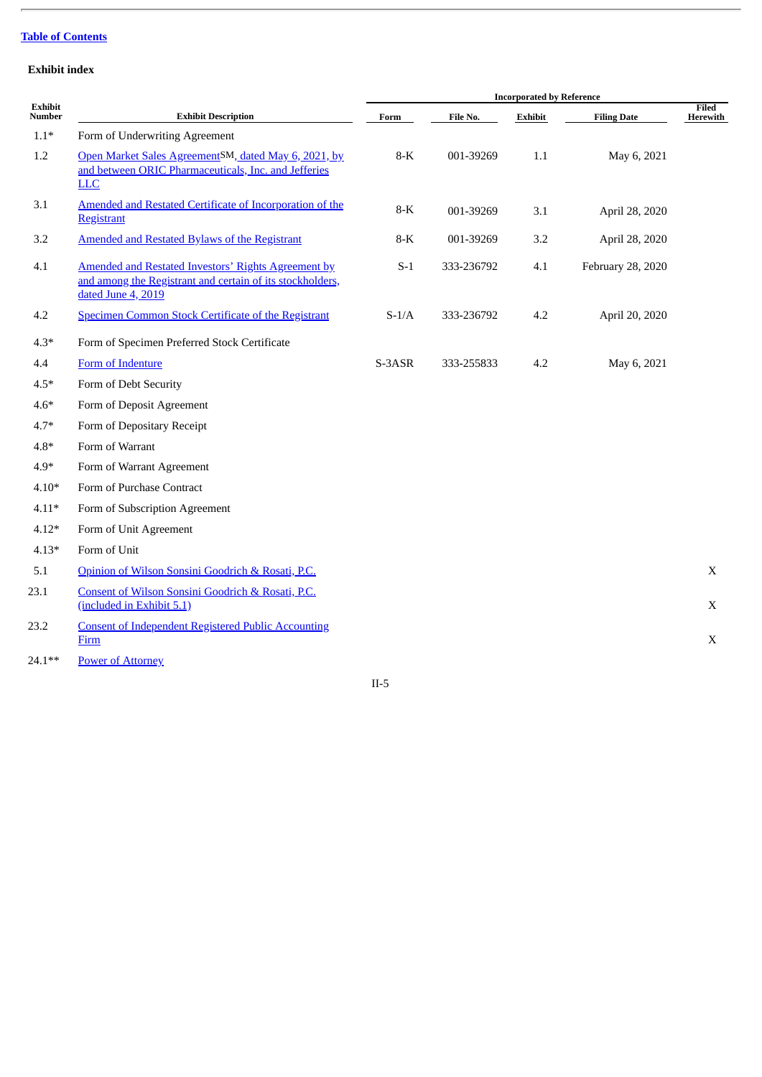ł.

#### **Exhibit index**

| <b>Incorporated by Reference</b> |                                                                                                                                         |         |            |                |                    |                          |
|----------------------------------|-----------------------------------------------------------------------------------------------------------------------------------------|---------|------------|----------------|--------------------|--------------------------|
| Exhibit<br>Number                | <b>Exhibit Description</b>                                                                                                              | Form    | File No.   | <b>Exhibit</b> | <b>Filing Date</b> | <b>Filed</b><br>Herewith |
| $1.1*$                           | Form of Underwriting Agreement                                                                                                          |         |            |                |                    |                          |
| 1.2                              | Open Market Sales Agreement <sup>SM</sup> , dated May 6, 2021, by<br>and between ORIC Pharmaceuticals, Inc. and Jefferies<br><b>LLC</b> | $8-K$   | 001-39269  | 1.1            | May 6, 2021        |                          |
| 3.1                              | Amended and Restated Certificate of Incorporation of the<br>Registrant                                                                  | $8-K$   | 001-39269  | 3.1            | April 28, 2020     |                          |
| 3.2                              | <b>Amended and Restated Bylaws of the Registrant</b>                                                                                    | $8-K$   | 001-39269  | 3.2            | April 28, 2020     |                          |
| 4.1                              | Amended and Restated Investors' Rights Agreement by<br>and among the Registrant and certain of its stockholders,<br>dated June 4, 2019  | $S-1$   | 333-236792 | 4.1            | February 28, 2020  |                          |
| 4.2                              | Specimen Common Stock Certificate of the Registrant                                                                                     | $S-1/A$ | 333-236792 | 4.2            | April 20, 2020     |                          |
| $4.3*$                           | Form of Specimen Preferred Stock Certificate                                                                                            |         |            |                |                    |                          |
| 4.4                              | Form of Indenture                                                                                                                       | S-3ASR  | 333-255833 | 4.2            | May 6, 2021        |                          |
| $4.5*$                           | Form of Debt Security                                                                                                                   |         |            |                |                    |                          |
| $4.6*$                           | Form of Deposit Agreement                                                                                                               |         |            |                |                    |                          |
| $4.7*$                           | Form of Depositary Receipt                                                                                                              |         |            |                |                    |                          |
| $4.8*$                           | Form of Warrant                                                                                                                         |         |            |                |                    |                          |
| $4.9*$                           | Form of Warrant Agreement                                                                                                               |         |            |                |                    |                          |
| $4.10*$                          | Form of Purchase Contract                                                                                                               |         |            |                |                    |                          |
| $4.11*$                          | Form of Subscription Agreement                                                                                                          |         |            |                |                    |                          |
| $4.12*$                          | Form of Unit Agreement                                                                                                                  |         |            |                |                    |                          |
| $4.13*$                          | Form of Unit                                                                                                                            |         |            |                |                    |                          |
| 5.1                              | Opinion of Wilson Sonsini Goodrich & Rosati, P.C.                                                                                       |         |            |                |                    | X                        |
| 23.1                             | Consent of Wilson Sonsini Goodrich & Rosati, P.C.<br>(included in Exhibit 5.1)                                                          |         |            |                |                    | X                        |
| 23.2                             | <b>Consent of Independent Registered Public Accounting</b><br>Firm                                                                      |         |            |                |                    | X                        |
| $24.1***$                        | <b>Power of Attorney</b>                                                                                                                |         |            |                |                    |                          |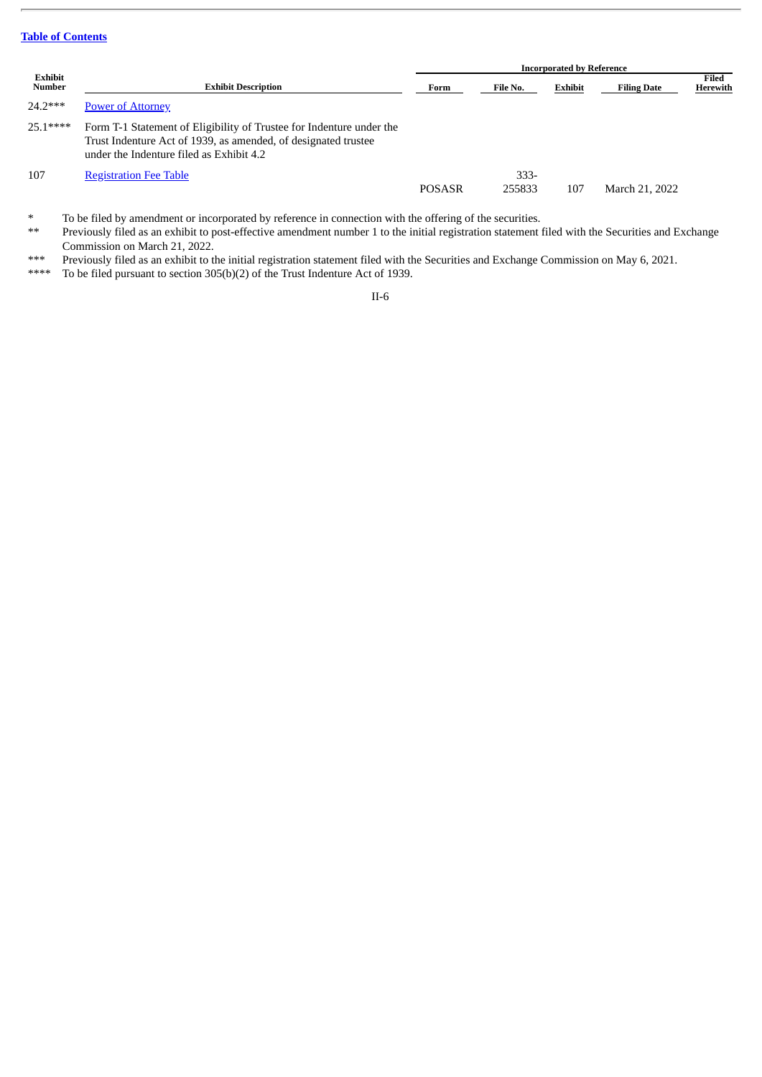|                                 |                                                                                                                                                                                    | <b>Incorporated by Reference</b> |                   |         |                    |                   |
|---------------------------------|------------------------------------------------------------------------------------------------------------------------------------------------------------------------------------|----------------------------------|-------------------|---------|--------------------|-------------------|
| <b>Exhibit</b><br><b>Number</b> | <b>Exhibit Description</b>                                                                                                                                                         | Form                             | File No.          | Exhibit | <b>Filing Date</b> | Filed<br>Herewith |
| $24.2***$                       | <b>Power of Attorney</b>                                                                                                                                                           |                                  |                   |         |                    |                   |
| $25.1***$                       | Form T-1 Statement of Eligibility of Trustee for Indenture under the<br>Trust Indenture Act of 1939, as amended, of designated trustee<br>under the Indenture filed as Exhibit 4.2 |                                  |                   |         |                    |                   |
| 107                             | <b>Registration Fee Table</b>                                                                                                                                                      | <b>POSASR</b>                    | $333 -$<br>255833 | 107     | March 21, 2022     |                   |

\* To be filed by amendment or incorporated by reference in connection with the offering of the securities.<br>\*\* Previously filed as an exhibit to post-effective amendment number 1 to the initial registration statement t

Previously filed as an exhibit to post-effective amendment number 1 to the initial registration statement filed with the Securities and Exchange Commission on March 21, 2022.

\*\*\* Previously filed as an exhibit to the initial registration statement filed with the Securities and Exchange Commission on May 6, 2021.<br>\*\*\*\* To be filed pursuant to section 305(b)(2) of the Trust Indenture Act of 1939.

To be filed pursuant to section  $305(b)(2)$  of the Trust Indenture Act of 1939.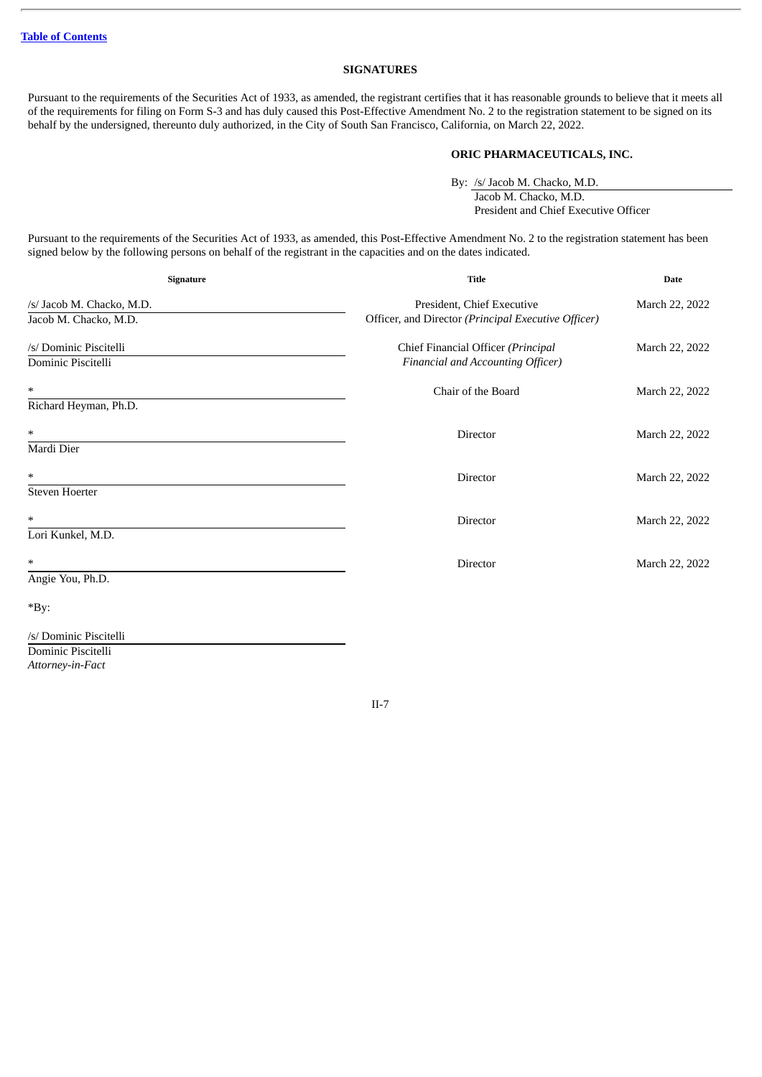#### **SIGNATURES**

Pursuant to the requirements of the Securities Act of 1933, as amended, the registrant certifies that it has reasonable grounds to believe that it meets all of the requirements for filing on Form S-3 and has duly caused this Post-Effective Amendment No. 2 to the registration statement to be signed on its behalf by the undersigned, thereunto duly authorized, in the City of South San Francisco, California, on March 22, 2022.

#### **ORIC PHARMACEUTICALS, INC.**

By: /s/ Jacob M. Chacko, M.D. Jacob M. Chacko, M.D. President and Chief Executive Officer

Pursuant to the requirements of the Securities Act of 1933, as amended, this Post-Effective Amendment No. 2 to the registration statement has been signed below by the following persons on behalf of the registrant in the capacities and on the dates indicated.

| Signature                                          | <b>Title</b>                                                                      | <b>Date</b>    |
|----------------------------------------------------|-----------------------------------------------------------------------------------|----------------|
| /s/ Jacob M. Chacko, M.D.<br>Jacob M. Chacko, M.D. | President, Chief Executive<br>Officer, and Director (Principal Executive Officer) | March 22, 2022 |
| /s/ Dominic Piscitelli<br>Dominic Piscitelli       | Chief Financial Officer (Principal<br>Financial and Accounting Officer)           | March 22, 2022 |
| $\ast$<br>Richard Heyman, Ph.D.                    | Chair of the Board                                                                | March 22, 2022 |
| $\ast$<br>Mardi Dier                               | Director                                                                          | March 22, 2022 |
| $\ast$<br><b>Steven Hoerter</b>                    | Director                                                                          | March 22, 2022 |
| $\ast$<br>Lori Kunkel, M.D.                        | Director                                                                          | March 22, 2022 |
| $\ast$<br>Angie You, Ph.D.                         | Director                                                                          | March 22, 2022 |
| $*$ By:                                            |                                                                                   |                |

/s/ Dominic Piscitelli

Dominic Piscitelli *Attorney-in-Fact*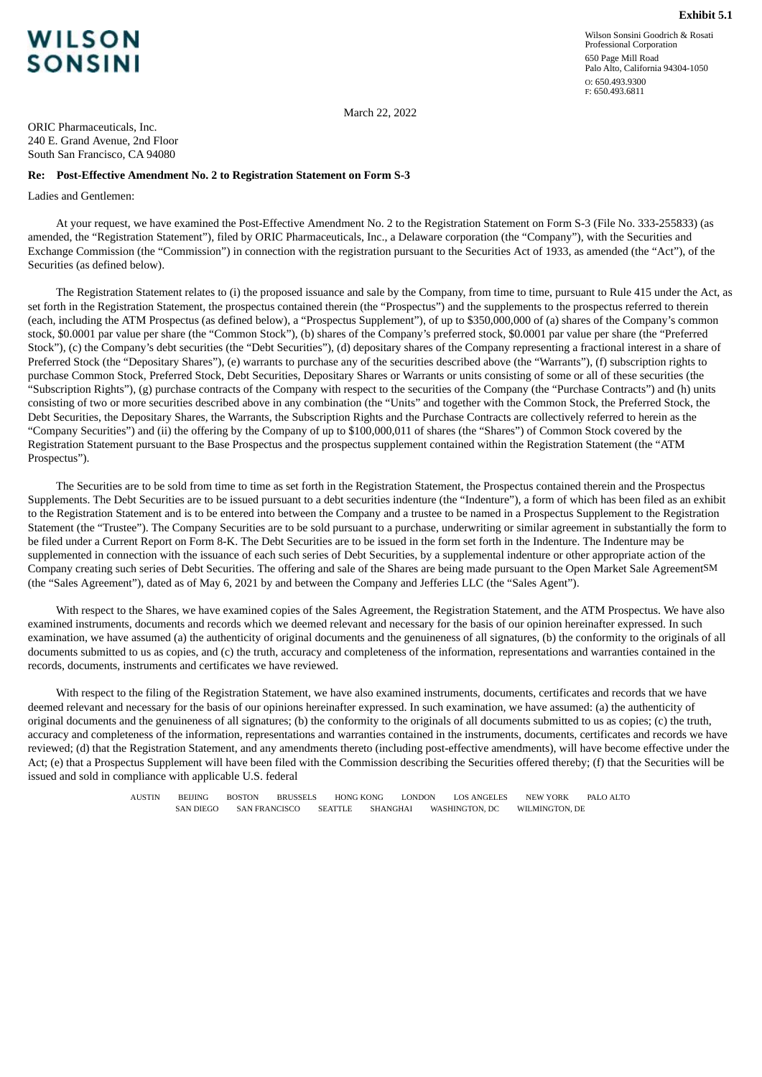Wilson Sonsini Goodrich & Rosati Professional Corporation 650 Page Mill Road Palo Alto, California 94304-1050 O: 650.493.9300 F: 650.493.6811

March 22, 2022

<span id="page-56-0"></span>ORIC Pharmaceuticals, Inc. 240 E. Grand Avenue, 2nd Floor South San Francisco, CA 94080

#### **Re: Post-Effective Amendment No. 2 to Registration Statement on Form S-3**

Ladies and Gentlemen:

At your request, we have examined the Post-Effective Amendment No. 2 to the Registration Statement on Form S-3 (File No. 333-255833) (as amended, the "Registration Statement"), filed by ORIC Pharmaceuticals, Inc., a Delaware corporation (the "Company"), with the Securities and Exchange Commission (the "Commission") in connection with the registration pursuant to the Securities Act of 1933, as amended (the "Act"), of the Securities (as defined below).

The Registration Statement relates to (i) the proposed issuance and sale by the Company, from time to time, pursuant to Rule 415 under the Act, as set forth in the Registration Statement, the prospectus contained therein (the "Prospectus") and the supplements to the prospectus referred to therein (each, including the ATM Prospectus (as defined below), a "Prospectus Supplement"), of up to \$350,000,000 of (a) shares of the Company's common stock, \$0.0001 par value per share (the "Common Stock"), (b) shares of the Company's preferred stock, \$0.0001 par value per share (the "Preferred Stock"), (c) the Company's debt securities (the "Debt Securities"), (d) depositary shares of the Company representing a fractional interest in a share of Preferred Stock (the "Depositary Shares"), (e) warrants to purchase any of the securities described above (the "Warrants"), (f) subscription rights to purchase Common Stock, Preferred Stock, Debt Securities, Depositary Shares or Warrants or units consisting of some or all of these securities (the "Subscription Rights"), (g) purchase contracts of the Company with respect to the securities of the Company (the "Purchase Contracts") and (h) units consisting of two or more securities described above in any combination (the "Units" and together with the Common Stock, the Preferred Stock, the Debt Securities, the Depositary Shares, the Warrants, the Subscription Rights and the Purchase Contracts are collectively referred to herein as the "Company Securities") and (ii) the offering by the Company of up to \$100,000,011 of shares (the "Shares") of Common Stock covered by the Registration Statement pursuant to the Base Prospectus and the prospectus supplement contained within the Registration Statement (the "ATM Prospectus").

The Securities are to be sold from time to time as set forth in the Registration Statement, the Prospectus contained therein and the Prospectus Supplements. The Debt Securities are to be issued pursuant to a debt securities indenture (the "Indenture"), a form of which has been filed as an exhibit to the Registration Statement and is to be entered into between the Company and a trustee to be named in a Prospectus Supplement to the Registration Statement (the "Trustee"). The Company Securities are to be sold pursuant to a purchase, underwriting or similar agreement in substantially the form to be filed under a Current Report on Form 8-K. The Debt Securities are to be issued in the form set forth in the Indenture. The Indenture may be supplemented in connection with the issuance of each such series of Debt Securities, by a supplemental indenture or other appropriate action of the Company creating such series of Debt Securities. The offering and sale of the Shares are being made pursuant to the Open Market Sale AgreementSM (the "Sales Agreement"), dated as of May 6, 2021 by and between the Company and Jefferies LLC (the "Sales Agent").

With respect to the Shares, we have examined copies of the Sales Agreement, the Registration Statement, and the ATM Prospectus. We have also examined instruments, documents and records which we deemed relevant and necessary for the basis of our opinion hereinafter expressed. In such examination, we have assumed (a) the authenticity of original documents and the genuineness of all signatures, (b) the conformity to the originals of all documents submitted to us as copies, and (c) the truth, accuracy and completeness of the information, representations and warranties contained in the records, documents, instruments and certificates we have reviewed.

With respect to the filing of the Registration Statement, we have also examined instruments, documents, certificates and records that we have deemed relevant and necessary for the basis of our opinions hereinafter expressed. In such examination, we have assumed: (a) the authenticity of original documents and the genuineness of all signatures; (b) the conformity to the originals of all documents submitted to us as copies; (c) the truth, accuracy and completeness of the information, representations and warranties contained in the instruments, documents, certificates and records we have reviewed; (d) that the Registration Statement, and any amendments thereto (including post-effective amendments), will have become effective under the Act; (e) that a Prospectus Supplement will have been filed with the Commission describing the Securities offered thereby; (f) that the Securities will be issued and sold in compliance with applicable U.S. federal

> AUSTIN BEIJING BOSTON BRUSSELS HONG KONG LONDON LOS ANGELES NEW YORK PALO ALTO SAN DIEGO SAN FRANCISCO SEATTLE SHANGHAI WASHINGTON DC WILMINGTON DE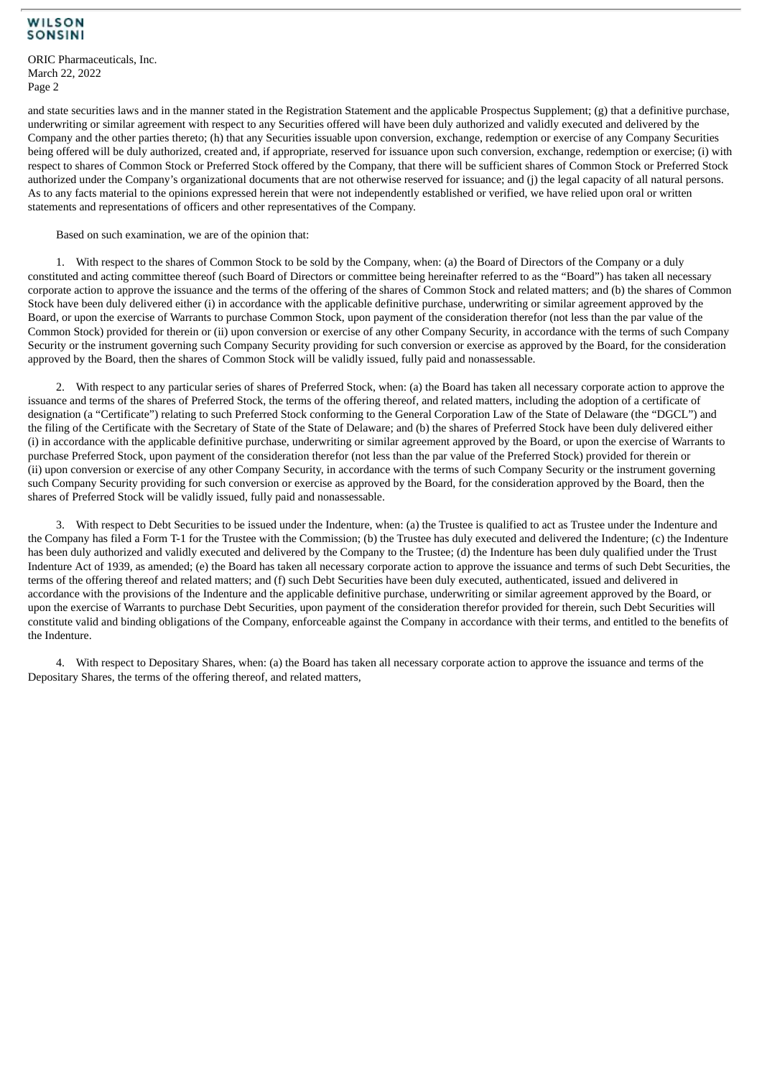

ORIC Pharmaceuticals, Inc. March 22, 2022 Page 2

and state securities laws and in the manner stated in the Registration Statement and the applicable Prospectus Supplement; (g) that a definitive purchase, underwriting or similar agreement with respect to any Securities offered will have been duly authorized and validly executed and delivered by the Company and the other parties thereto; (h) that any Securities issuable upon conversion, exchange, redemption or exercise of any Company Securities being offered will be duly authorized, created and, if appropriate, reserved for issuance upon such conversion, exchange, redemption or exercise; (i) with respect to shares of Common Stock or Preferred Stock offered by the Company, that there will be sufficient shares of Common Stock or Preferred Stock authorized under the Company's organizational documents that are not otherwise reserved for issuance; and (j) the legal capacity of all natural persons. As to any facts material to the opinions expressed herein that were not independently established or verified, we have relied upon oral or written statements and representations of officers and other representatives of the Company.

#### Based on such examination, we are of the opinion that:

1. With respect to the shares of Common Stock to be sold by the Company, when: (a) the Board of Directors of the Company or a duly constituted and acting committee thereof (such Board of Directors or committee being hereinafter referred to as the "Board") has taken all necessary corporate action to approve the issuance and the terms of the offering of the shares of Common Stock and related matters; and (b) the shares of Common Stock have been duly delivered either (i) in accordance with the applicable definitive purchase, underwriting or similar agreement approved by the Board, or upon the exercise of Warrants to purchase Common Stock, upon payment of the consideration therefor (not less than the par value of the Common Stock) provided for therein or (ii) upon conversion or exercise of any other Company Security, in accordance with the terms of such Company Security or the instrument governing such Company Security providing for such conversion or exercise as approved by the Board, for the consideration approved by the Board, then the shares of Common Stock will be validly issued, fully paid and nonassessable.

2. With respect to any particular series of shares of Preferred Stock, when: (a) the Board has taken all necessary corporate action to approve the issuance and terms of the shares of Preferred Stock, the terms of the offering thereof, and related matters, including the adoption of a certificate of designation (a "Certificate") relating to such Preferred Stock conforming to the General Corporation Law of the State of Delaware (the "DGCL") and the filing of the Certificate with the Secretary of State of the State of Delaware; and (b) the shares of Preferred Stock have been duly delivered either (i) in accordance with the applicable definitive purchase, underwriting or similar agreement approved by the Board, or upon the exercise of Warrants to purchase Preferred Stock, upon payment of the consideration therefor (not less than the par value of the Preferred Stock) provided for therein or (ii) upon conversion or exercise of any other Company Security, in accordance with the terms of such Company Security or the instrument governing such Company Security providing for such conversion or exercise as approved by the Board, for the consideration approved by the Board, then the shares of Preferred Stock will be validly issued, fully paid and nonassessable.

3. With respect to Debt Securities to be issued under the Indenture, when: (a) the Trustee is qualified to act as Trustee under the Indenture and the Company has filed a Form T-1 for the Trustee with the Commission; (b) the Trustee has duly executed and delivered the Indenture; (c) the Indenture has been duly authorized and validly executed and delivered by the Company to the Trustee; (d) the Indenture has been duly qualified under the Trust Indenture Act of 1939, as amended; (e) the Board has taken all necessary corporate action to approve the issuance and terms of such Debt Securities, the terms of the offering thereof and related matters; and (f) such Debt Securities have been duly executed, authenticated, issued and delivered in accordance with the provisions of the Indenture and the applicable definitive purchase, underwriting or similar agreement approved by the Board, or upon the exercise of Warrants to purchase Debt Securities, upon payment of the consideration therefor provided for therein, such Debt Securities will constitute valid and binding obligations of the Company, enforceable against the Company in accordance with their terms, and entitled to the benefits of the Indenture.

4. With respect to Depositary Shares, when: (a) the Board has taken all necessary corporate action to approve the issuance and terms of the Depositary Shares, the terms of the offering thereof, and related matters,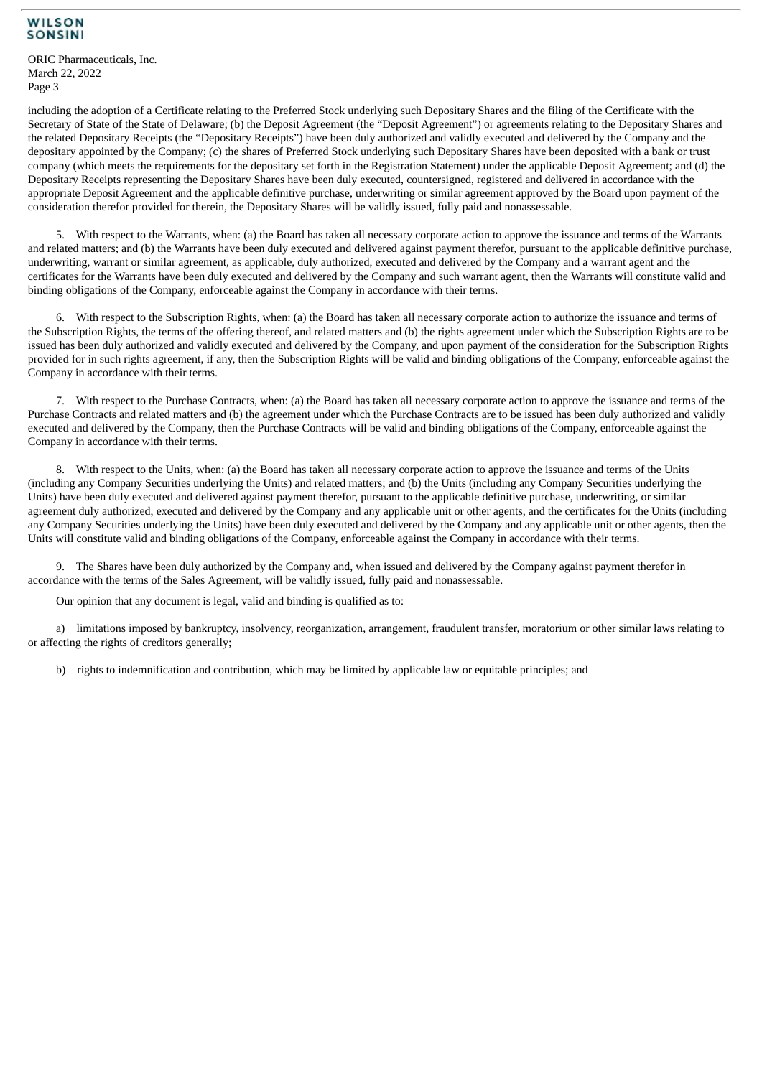#### WILSON **SONSINI**

ORIC Pharmaceuticals, Inc. March 22, 2022 Page 3

including the adoption of a Certificate relating to the Preferred Stock underlying such Depositary Shares and the filing of the Certificate with the Secretary of State of the State of Delaware; (b) the Deposit Agreement (the "Deposit Agreement") or agreements relating to the Depositary Shares and the related Depositary Receipts (the "Depositary Receipts") have been duly authorized and validly executed and delivered by the Company and the depositary appointed by the Company; (c) the shares of Preferred Stock underlying such Depositary Shares have been deposited with a bank or trust company (which meets the requirements for the depositary set forth in the Registration Statement) under the applicable Deposit Agreement; and (d) the Depositary Receipts representing the Depositary Shares have been duly executed, countersigned, registered and delivered in accordance with the appropriate Deposit Agreement and the applicable definitive purchase, underwriting or similar agreement approved by the Board upon payment of the consideration therefor provided for therein, the Depositary Shares will be validly issued, fully paid and nonassessable.

5. With respect to the Warrants, when: (a) the Board has taken all necessary corporate action to approve the issuance and terms of the Warrants and related matters; and (b) the Warrants have been duly executed and delivered against payment therefor, pursuant to the applicable definitive purchase, underwriting, warrant or similar agreement, as applicable, duly authorized, executed and delivered by the Company and a warrant agent and the certificates for the Warrants have been duly executed and delivered by the Company and such warrant agent, then the Warrants will constitute valid and binding obligations of the Company, enforceable against the Company in accordance with their terms.

6. With respect to the Subscription Rights, when: (a) the Board has taken all necessary corporate action to authorize the issuance and terms of the Subscription Rights, the terms of the offering thereof, and related matters and (b) the rights agreement under which the Subscription Rights are to be issued has been duly authorized and validly executed and delivered by the Company, and upon payment of the consideration for the Subscription Rights provided for in such rights agreement, if any, then the Subscription Rights will be valid and binding obligations of the Company, enforceable against the Company in accordance with their terms.

7. With respect to the Purchase Contracts, when: (a) the Board has taken all necessary corporate action to approve the issuance and terms of the Purchase Contracts and related matters and (b) the agreement under which the Purchase Contracts are to be issued has been duly authorized and validly executed and delivered by the Company, then the Purchase Contracts will be valid and binding obligations of the Company, enforceable against the Company in accordance with their terms.

8. With respect to the Units, when: (a) the Board has taken all necessary corporate action to approve the issuance and terms of the Units (including any Company Securities underlying the Units) and related matters; and (b) the Units (including any Company Securities underlying the Units) have been duly executed and delivered against payment therefor, pursuant to the applicable definitive purchase, underwriting, or similar agreement duly authorized, executed and delivered by the Company and any applicable unit or other agents, and the certificates for the Units (including any Company Securities underlying the Units) have been duly executed and delivered by the Company and any applicable unit or other agents, then the Units will constitute valid and binding obligations of the Company, enforceable against the Company in accordance with their terms.

9. The Shares have been duly authorized by the Company and, when issued and delivered by the Company against payment therefor in accordance with the terms of the Sales Agreement, will be validly issued, fully paid and nonassessable.

Our opinion that any document is legal, valid and binding is qualified as to:

a) limitations imposed by bankruptcy, insolvency, reorganization, arrangement, fraudulent transfer, moratorium or other similar laws relating to or affecting the rights of creditors generally;

b) rights to indemnification and contribution, which may be limited by applicable law or equitable principles; and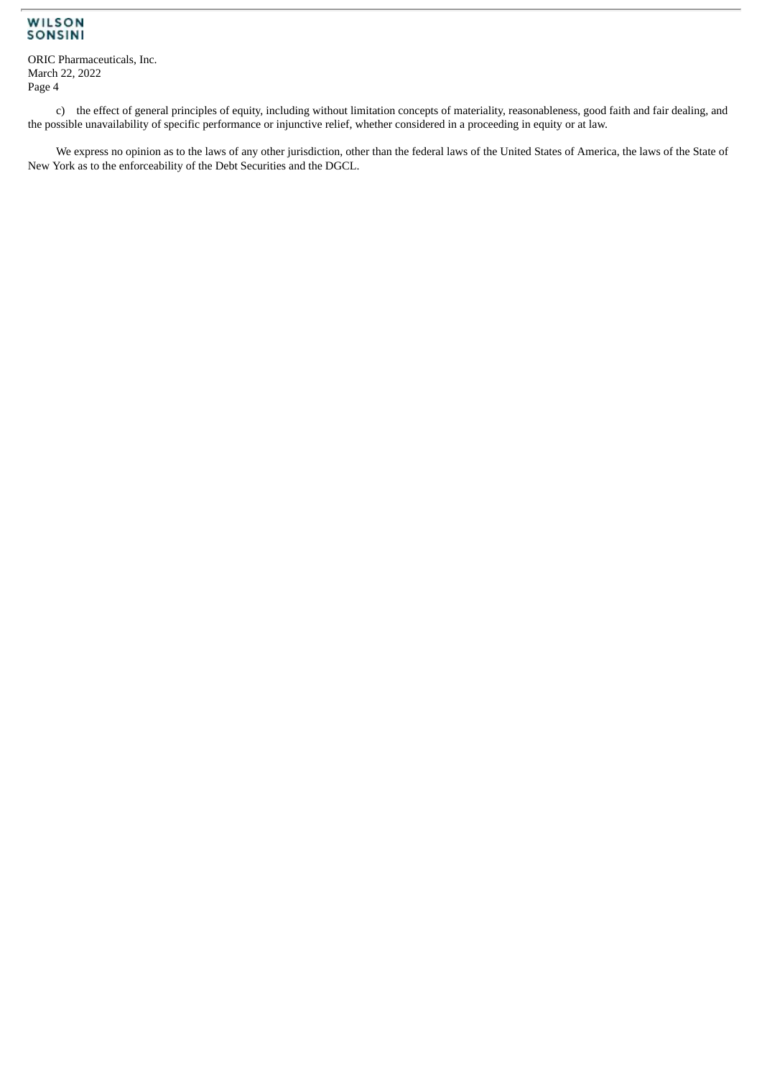## WILSON<br>SONSINI

ORIC Pharmaceuticals, Inc. March 22, 2022 Page 4

c) the effect of general principles of equity, including without limitation concepts of materiality, reasonableness, good faith and fair dealing, and the possible unavailability of specific performance or injunctive relief, whether considered in a proceeding in equity or at law.

We express no opinion as to the laws of any other jurisdiction, other than the federal laws of the United States of America, the laws of the State of New York as to the enforceability of the Debt Securities and the DGCL.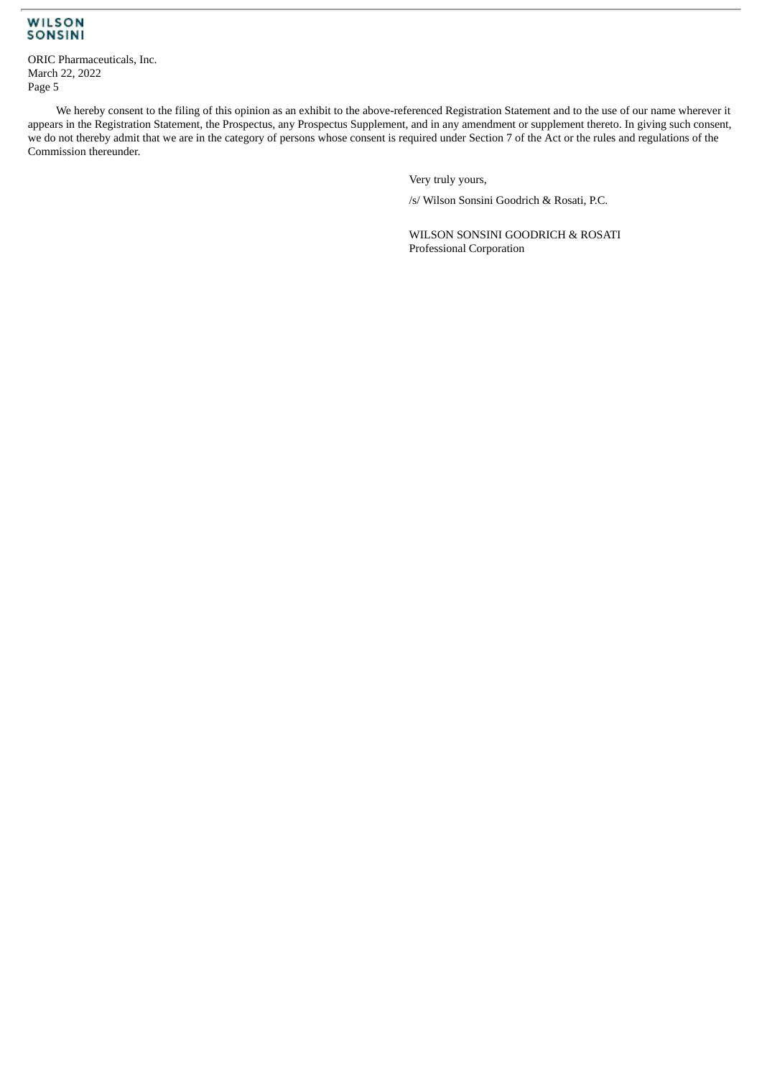#### **WILSON SONSINI**

ORIC Pharmaceuticals, Inc. March 22, 2022 Page 5

We hereby consent to the filing of this opinion as an exhibit to the above-referenced Registration Statement and to the use of our name wherever it appears in the Registration Statement, the Prospectus, any Prospectus Supplement, and in any amendment or supplement thereto. In giving such consent, we do not thereby admit that we are in the category of persons whose consent is required under Section 7 of the Act or the rules and regulations of the Commission thereunder.

Very truly yours,

/s/ Wilson Sonsini Goodrich & Rosati, P.C.

WILSON SONSINI GOODRICH & ROSATI Professional Corporation